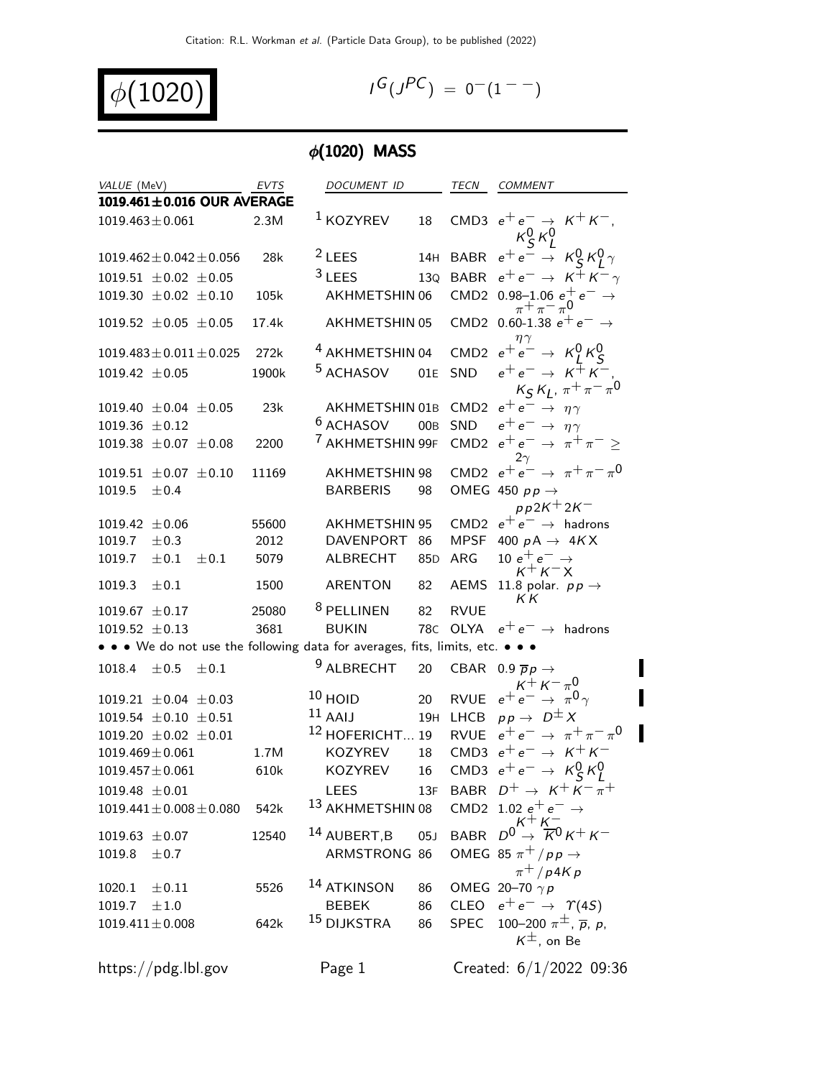$$
\phi(1020)
$$

$$
I^G(J^{PC}) = 0^-(1^{--})
$$

# $\phi(1020)$  MASS

| VALUE (MeV)                                                                   | <b>EVTS</b> | DOCUMENT ID                 |                 | TECN        | COMMENT                                                           |
|-------------------------------------------------------------------------------|-------------|-----------------------------|-----------------|-------------|-------------------------------------------------------------------|
| 1019.461±0.016 OUR AVERAGE                                                    |             |                             |                 |             |                                                                   |
| $1019.463 \pm 0.061$                                                          | 2.3M        | $1$ KOZYREV                 | 18              |             | CMD3 $e^+e^- \rightarrow K^+K^-$<br>$\kappa_S^0 \kappa_L^0$       |
| $1019.462 \pm 0.042 \pm 0.056$                                                | 28k         | $2$ LEES                    | 14H             |             | BABR $e^+e^- \rightarrow K_S^0 K_I^0 \gamma$                      |
| 1019.51 $\pm$ 0.02 $\pm$ 0.05                                                 |             | $3$ LEES                    | 13Q             |             | BABR $e^+e^- \rightarrow K^+K^-\gamma$                            |
| 1019.30 $\pm$ 0.02 $\pm$ 0.10                                                 | 105k        | AKHMETSHIN 06               |                 |             | CMD2 0.98-1.06 $e^+$ $e^ \rightarrow$<br>$\pi^{+}\pi^{-}\pi^{0}$  |
| 1019.52 $\pm$ 0.05 $\pm$ 0.05                                                 | 17.4k       | AKHMETSHIN 05               |                 |             | CMD2 0.60-1.38 $e^+e^-$<br>$\eta \gamma$                          |
| $1019.483 \pm 0.011 \pm 0.025$                                                | 272k        | <sup>4</sup> AKHMETSHIN 04  |                 |             | CMD2 $e^+e^- \rightarrow K^0_I K^0_S$                             |
| $1019.42 \pm 0.05$                                                            | 1900k       | <sup>5</sup> ACHASOV        | 01E             | SND         | $e^+e^- \rightarrow K^+K^-$<br>$K_S K_L$ , $\pi^+ \pi^- \pi^0$    |
| 1019.40 $\pm$ 0.04 $\pm$ 0.05                                                 | 23k         |                             |                 |             | AKHMETSHIN 01B CMD2 $e^+e^- \rightarrow \eta \gamma$              |
| 1019.36 $\pm$ 0.12                                                            |             | <sup>6</sup> ACHASOV        | 00B             | SND         | $e^+e^- \rightarrow \eta \gamma$                                  |
| 1019.38 $\pm$ 0.07 $\pm$ 0.08                                                 | 2200        | <sup>7</sup> AKHMETSHIN 99F |                 |             | CMD2 $e^+e^- \rightarrow \pi^+\pi^-$<br>$2\gamma$                 |
| 1019.51 $\pm$ 0.07 $\pm$ 0.10                                                 | 11169       | <b>AKHMETSHIN 98</b>        |                 |             | CMD2 $e^+e^- \rightarrow \pi^+\pi^-\pi^0$                         |
| 1019.5<br>±0.4                                                                |             | <b>BARBERIS</b>             | 98              |             | OMEG 450 $pp \rightarrow$<br>$pp2K+2K^-$                          |
| 1019.42 $\pm 0.06$                                                            | 55600       | <b>AKHMETSHIN 95</b>        |                 |             | CMD2 $e^+e^- \rightarrow$ hadrons                                 |
| 1019.7<br>$\pm 0.3$                                                           | 2012        | DAVENPORT                   | 86              | MPSF        | 400 $pA \rightarrow 4KX$                                          |
| 1019.7<br>$\pm 0.1$<br>$\pm 0.1$                                              | 5079        | <b>ALBRECHT</b>             | 85 <sub>D</sub> | ARG         | 10 $e^+e^- \rightarrow$                                           |
| 1019.3<br>$\pm 0.1$                                                           | 1500        | ARENTON                     | 82              | AEMS        | $K^+K^-X$<br>11.8 polar. $pp \rightarrow$                         |
| 1019.67 $\pm$ 0.17                                                            | 25080       | <sup>8</sup> PELLINEN       | 82              | <b>RVUE</b> | ΚK                                                                |
| 1019.52 $\pm$ 0.13                                                            | 3681        | <b>BUKIN</b>                | 78 <sub>C</sub> |             | OLYA $e^+e^- \rightarrow$ hadrons                                 |
| • • • We do not use the following data for averages, fits, limits, etc. • • • |             |                             |                 |             |                                                                   |
|                                                                               |             | <sup>9</sup> ALBRECHT       | 20              |             |                                                                   |
| 1018.4<br>$\pm 0.5$<br>$\pm 0.1$                                              |             |                             |                 |             | CBAR 0.9 $\overline{p}p \rightarrow$<br>$K^{+} K^{-} \pi^{0}$     |
| 1019.21 $\pm$ 0.04 $\pm$ 0.03                                                 |             | $10$ HOID                   | 20              |             | RVUE $e^+e^- \rightarrow \pi^0 \gamma$                            |
| 1019.54 $\pm$ 0.10 $\pm$ 0.51                                                 |             | $^{11}$ AAIJ                |                 |             | 19H LHCB $pp \rightarrow D^{\pm} X$                               |
| 1019.20 $\pm 0.02$ $\pm 0.01$                                                 |             | <sup>12</sup> HOFERICHT 19  |                 |             | RVUE $e^+e^- \rightarrow \pi^+\pi^-\pi^0$                         |
| $1019.469 \pm 0.061$                                                          | 1.7M        | <b>KOZYREV</b>              | 18              |             | CMD3 $e^+e^- \rightarrow K^+K^-$                                  |
| $1019.457 \pm 0.061$                                                          | 610k        | <b>KOZYREV</b>              | 16              |             | CMD3 $e^+e^- \rightarrow K_S^0 K_I^0$                             |
| $1019.48 \pm 0.01$                                                            |             | <b>LEES</b>                 |                 |             | 13F BABR $D^+ \rightarrow K^+ K^- \overline{\pi}^+$               |
| $1019.441 \pm 0.008 \pm 0.080$                                                | 542k        | <sup>13</sup> AKHMETSHIN 08 |                 |             | CMD2 1.02 $e^+e^- \rightarrow$                                    |
| $1019.63 \pm 0.07$                                                            | 12540       | 14 AUBERT, B                | 05 <sub>J</sub> | <b>BABR</b> | $D^0 \rightarrow K^+ K^-$                                         |
| 1019.8<br>±0.7                                                                |             | ARMSTRONG 86                |                 |             | OMEG 85 $\pi^{+}/pp \rightarrow$<br>$\pi^+/p4Kp$                  |
| 1020.1<br>$\pm 0.11$                                                          | 5526        | <sup>14</sup> ATKINSON      | 86              |             | OMEG 20-70 $\gamma p$                                             |
| 1019.7<br>±1.0                                                                |             | <b>BEBEK</b>                | 86              |             | CLEO $e^+e^- \rightarrow \gamma(4S)$                              |
| $1019.411 \pm 0.008$                                                          | 642k        | <sup>15</sup> DIJKSTRA      | 86              | SPEC        | 100–200 $\pi^{\pm}$ , $\overline{p}$ , $p$ ,<br>$K^{\pm}$ , on Be |
| https://pdg.lbl.gov                                                           |             | Page 1                      |                 |             | Created: $6/1/2022$ 09:36                                         |

 $\blacksquare$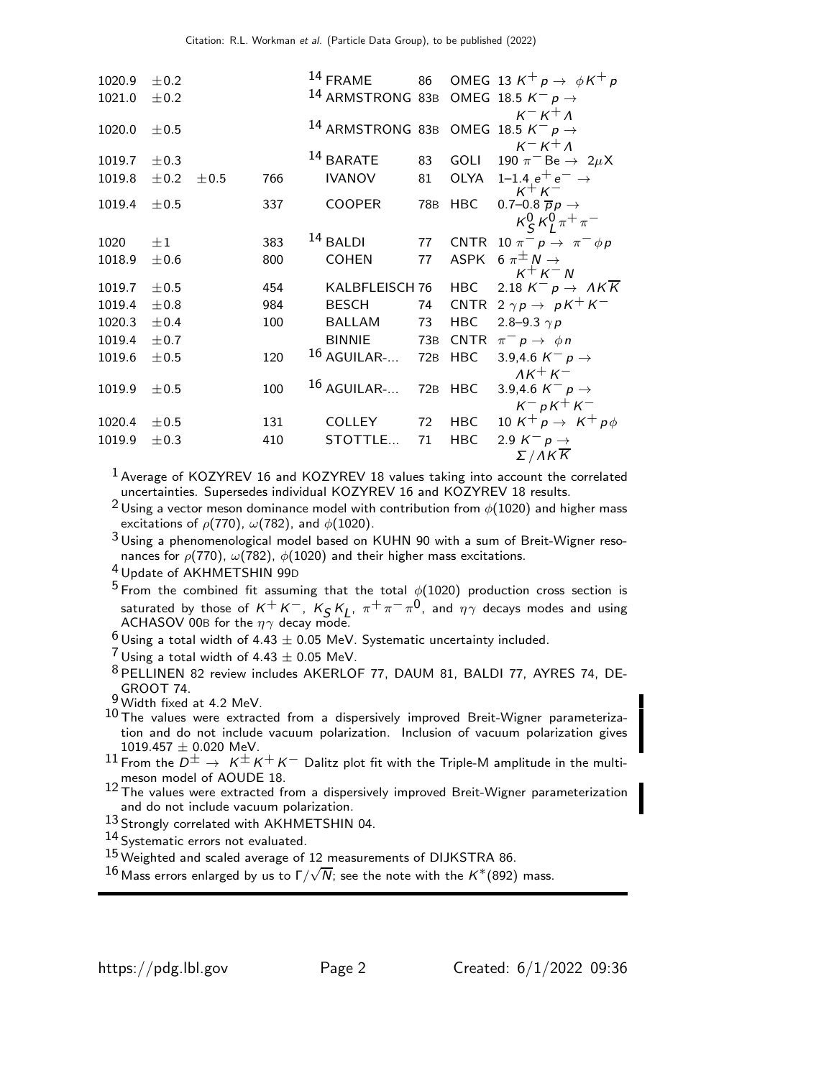| 1020.9 | ±0.2      |      |     |            | $14$ FRAME           |     |             | 86 OMEG 13 $K^+p \rightarrow \phi K^+p$                                        |
|--------|-----------|------|-----|------------|----------------------|-----|-------------|--------------------------------------------------------------------------------|
| 1021.0 | ±0.2      |      |     |            |                      |     |             | <sup>14</sup> ARMSTRONG 83B OMEG 18.5 $K^ p \rightarrow$                       |
|        |           |      |     |            |                      |     |             | $K^- K^+ \Lambda$                                                              |
| 1020.0 | ±0.5      |      |     |            |                      |     |             | <sup>14</sup> ARMSTRONG 83B OMEG 18.5 $K^- p \rightarrow$<br>$K^- K^+ \Lambda$ |
| 1019.7 | $\pm$ 0.3 |      |     |            | <sup>14</sup> BARATE | 83  | GOLI        | 190 $\pi^-$ Be $\rightarrow 2\mu X$                                            |
| 1019.8 | ±0.2      | ±0.5 | 766 |            | <b>IVANOV</b>        | 81  | OLYA        | 1–1.4 $e^+e^- \rightarrow$                                                     |
| 1019.4 | ±0.5      |      | 337 |            | <b>COOPER</b>        | 78B | HBC         | $K^+K^-$<br>0.7–0.8 $\overline{p}p \rightarrow$                                |
|        |           |      |     |            |                      |     |             | $K_S^0 K_I^0 \pi^+ \pi^-$                                                      |
| 1020   | $\pm 1$   |      | 383 | $14$ BALDI |                      | 77  |             | CNTR 10 $\pi^- p \rightarrow \pi^- \phi p$                                     |
|        |           |      |     |            |                      |     |             |                                                                                |
| 1018.9 | $\pm 0.6$ |      | 800 |            | <b>COHEN</b>         | 77  | <b>ASPK</b> | 6 $\pi^{\pm} N \rightarrow$<br>$K^+ K^- N$                                     |
| 1019.7 | ±0.5      |      | 454 |            | KALBFLEISCH 76       |     | <b>HBC</b>  | 2.18 $K^- p \rightarrow AK\overline{K}$                                        |
| 1019.4 | ±0.8      |      | 984 |            | <b>BESCH</b>         | 74  |             | CNTR $2 \gamma p \rightarrow pK^+K^-$                                          |
| 1020.3 | ±0.4      |      | 100 |            | BALLAM               | 73  | <b>HBC</b>  | 2.8–9.3 $\gamma p$                                                             |
| 1019.4 | ±0.7      |      |     |            | <b>BINNIE</b>        | 73B | <b>CNTR</b> | $\pi^- p \to \phi n$                                                           |
| 1019.6 | ±0.5      |      | 120 |            | $16$ AGUILAR-        | 72B | <b>HBC</b>  | 3.9,4.6 $K^- p \rightarrow$                                                    |
|        |           |      |     |            |                      |     |             | $AK^+K^-$                                                                      |
| 1019.9 | ±0.5      |      | 100 |            | $16$ AGUILAR-        | 72B | HBC         | 3.9,4.6 $K^- p \rightarrow$                                                    |
|        |           |      |     |            |                      |     |             | $K^- pK^+K^-$                                                                  |
| 1020.4 | ±0.5      |      | 131 |            | <b>COLLEY</b>        | 72  | <b>HBC</b>  | 10 K <sup>+</sup> p $\rightarrow$ K <sup>+</sup> p $\phi$                      |
| 1019.9 | $\pm 0.3$ |      | 410 |            | STOTTLE              | 71  | <b>HBC</b>  | 2.9 $K^- p \rightarrow$                                                        |
|        |           |      |     |            |                      |     |             | $\Sigma/AK\overline{K}$                                                        |

 $1$  Average of KOZYREV 16 and KOZYREV 18 values taking into account the correlated uncertainties. Supersedes individual KOZYREV 16 and KOZYREV 18 results.

<sup>2</sup> Using a vector meson dominance model with contribution from  $\phi(1020)$  and higher mass excitations of  $\rho$ (770),  $\omega$ (782), and  $\phi$ (1020).

 $3$ Using a phenomenological model based on KUHN 90 with a sum of Breit-Wigner resonances for  $\rho(770)$ ,  $\omega(782)$ ,  $\phi(1020)$  and their higher mass excitations.

4 Update of AKHMETSHIN 99<sup>D</sup>

<sup>5</sup> From the combined fit assuming that the total  $\phi(1020)$  production cross section is saturated by those of  $K^+K^-$ ,  $K_S K_L$ ,  $\pi^+\pi^-\pi^0$ , and  $\eta\gamma$  decays modes and using ACHASOV 00B for the  $\eta\gamma$  decay mode.

 $^6$  Using a total width of 4.43  $\pm$  0.05 MeV. Systematic uncertainty included.

 $7$  Using a total width of 4.43  $\pm$  0.05 MeV.

8 PELLINEN 82 review includes AKERLOF 77, DAUM 81, BALDI 77, AYRES 74, DE-GROOT 74.

- 10 The values were extracted from a dispersively improved Breit-Wigner parameterization and do not include vacuum polarization. Inclusion of vacuum polarization gives  $1019.457 \pm 0.020$  MeV.
- $11$  From the  $D^{\pm} \rightarrow K^{\pm} K^+ K^-$  Dalitz plot fit with the Triple-M amplitude in the multimeson model of AOUDE 18.
- 12 The values were extracted from a dispersively improved Breit-Wigner parameterization and do not include vacuum polarization.
- 13 Strongly correlated with AKHMETSHIN 04.

14 Systematic errors not evaluated.

15 Weighted and scaled average of 12 measurements of DIJKSTRA 86.

 $^{16}$  Mass errors enlarged by us to Γ/ $\sqrt{N}$ ; see the note with the K\*(892) mass.

<sup>9</sup> Width fixed at 4.2 MeV.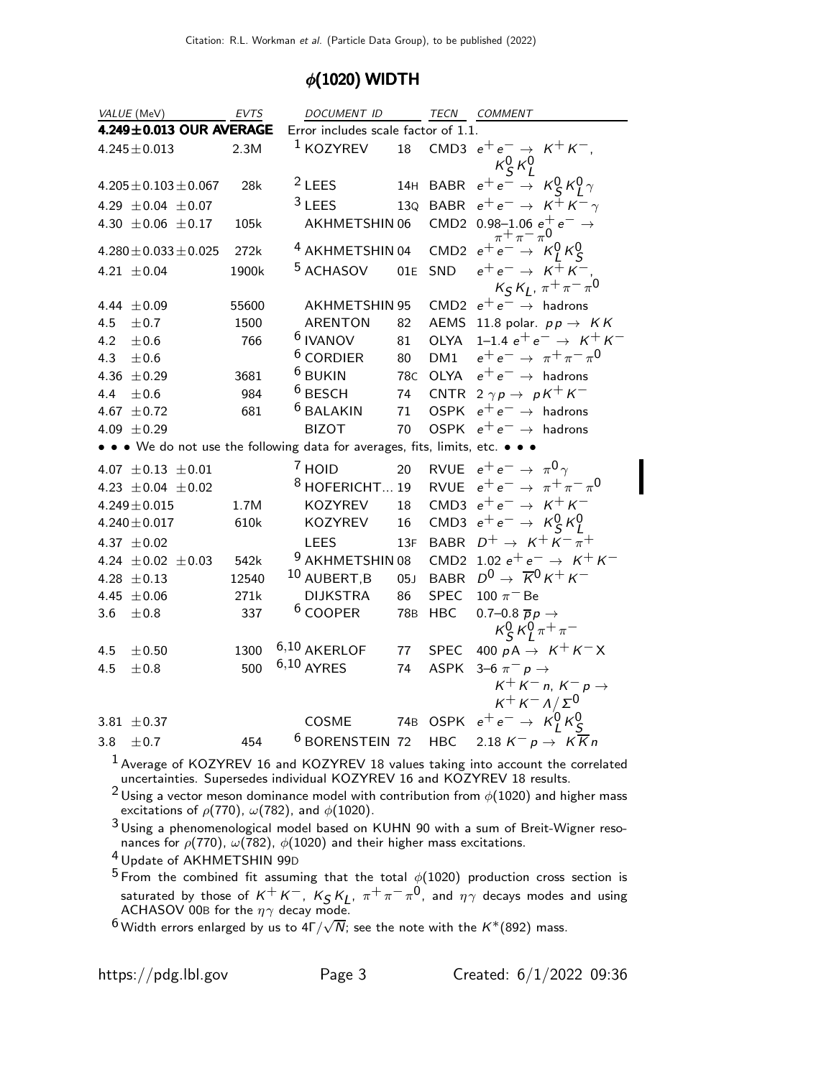### $\phi$ (1020) WIDTH

|     | VALUE (MeV)                 | EVTS  | DOCUMENT ID                                                               |            |             | TECN COMMENT                                                        |
|-----|-----------------------------|-------|---------------------------------------------------------------------------|------------|-------------|---------------------------------------------------------------------|
|     | 4.249±0.013 OUR AVERAGE     |       | Error includes scale factor of 1.1.                                       |            |             |                                                                     |
|     | $4.245 \pm 0.013$           | 2.3M  | <sup>1</sup> KOZYREV                                                      | 18         |             | CMD3 $e^+e^- \rightarrow K^+K^-$ ,<br>$\kappa_S^0 \, \kappa_L^0$    |
|     | $4.205 \pm 0.103 \pm 0.067$ | 28k   | $2$ LEES                                                                  |            | 14H BABR    | $e^+e^- \rightarrow K_S^0 K_I^0 \gamma$                             |
|     | 4.29 $\pm$ 0.04 $\pm$ 0.07  |       | $3$ LEES                                                                  |            |             | 130 BABR $e^+e^- \rightarrow K^+K^-\gamma$                          |
|     | 4.30 $\pm$ 0.06 $\pm$ 0.17  | 105k  | AKHMETSHIN 06                                                             |            |             | CMD2 0.98-1.06 $e^+$ $e^ \rightarrow$                               |
|     | $4.280 \pm 0.033 \pm 0.025$ | 272k  | <sup>4</sup> AKHMETSHIN 04                                                |            |             | CMD2 $e^{\pi}e^{\pi} \rightarrow \kappa_1^0 \kappa_5^0$             |
|     | 4.21 $\pm 0.04$             | 1900k | <sup>5</sup> ACHASOV                                                      | 01E        | SND         | $e^+e^- \rightarrow K^{\mp} K^-$<br>$K_S K_L$ , $\pi^+ \pi^- \pi^0$ |
|     | 4.44 $\pm 0.09$             | 55600 | <b>AKHMETSHIN 95</b>                                                      |            | CMD2        | $e^+e^- \rightarrow$ hadrons                                        |
| 4.5 | ± 0.7                       | 1500  | <b>ARENTON</b>                                                            | 82         | AEMS        | 11.8 polar. $pp \rightarrow KK$                                     |
| 4.2 | $\pm$ 0.6                   | 766   | <sup>6</sup> IVANOV                                                       | 81         | OLYA        | 1–1.4 $e^+e^- \rightarrow K^+K^-$                                   |
| 4.3 | ±0.6                        |       | $6$ CORDIER                                                               | 80         | DM1         | $e^+e^- \to \pi^+\pi^-\pi^0$                                        |
|     | 4.36 $\pm$ 0.29             | 3681  | <sup>6</sup> BUKIN                                                        | 78C        | OLYA        | $e^+e^- \rightarrow$ hadrons                                        |
| 4.4 | ±0.6                        | 984   | <sup>6</sup> BESCH                                                        | 74         | CNTR        | $2 \gamma p \rightarrow p K^+ K^-$                                  |
|     | 4.67 $\pm$ 0.72             | 681   | <sup>6</sup> BALAKIN                                                      | 71         | <b>OSPK</b> | $e^+e^- \rightarrow$ hadrons                                        |
|     | 4.09 $\pm$ 0.29             |       | <b>BIZOT</b>                                                              | 70         | <b>OSPK</b> | $e^+e^- \rightarrow$ hadrons                                        |
|     |                             |       | • • • We do not use the following data for averages, fits, limits, etc. • |            |             |                                                                     |
|     | 4.07 $\pm$ 0.13 $\pm$ 0.01  |       | <sup>7</sup> HOID                                                         | 20         |             | RVUE $e^+e^- \rightarrow \pi^0 \gamma$                              |
|     | 4.23 $\pm$ 0.04 $\pm$ 0.02  |       | $8$ HOFERICHT 19                                                          |            |             | RVUE $e^+e^- \rightarrow \pi^+\pi^-\pi^0$                           |
|     | $4.249 \pm 0.015$           | 1.7M  | KOZYREV                                                                   | 18         |             | CMD3 $e^+e^- \rightarrow K^+K^-$                                    |
|     | $4.240 \pm 0.017$           | 610k  | KOZYREV                                                                   | 16         |             | CMD3 $e^+e^- \rightarrow K_S^0 K_I^0$                               |
|     | 4.37 $\pm 0.02$             |       | <b>LEES</b>                                                               | 13F        | <b>BABR</b> | $D^+ \rightarrow K^+ K^- \overline{\pi}^+$                          |
|     | 4.24 $\pm$ 0.02 $\pm$ 0.03  | 542k  | <sup>9</sup> AKHMETSHIN 08                                                |            | CMD2        | 1.02 $e^+e^- \rightarrow K^+K^-$                                    |
|     | 4.28 $\pm$ 0.13             | 12540 | 10 AUBERT, B                                                              | 05J        | <b>BABR</b> | $D^0 \rightarrow \overline{K}^0 K^+ K^-$                            |
|     | 4.45 $\pm 0.06$             | 271k  | <b>DIJKSTRA</b>                                                           | 86         | <b>SPEC</b> | 100 $\pi$ <sup>-</sup> Be                                           |
| 3.6 | $\pm 0.8$                   | 337   | <sup>6</sup> COOPER                                                       | <b>78B</b> | <b>HBC</b>  | 0.7–0.8 $\overline{p}p \rightarrow$<br>$K_S^0 K_I^0 \pi^+ \pi^-$    |
| 4.5 | ± 0.50                      | 1300  | $6,10$ AKERLOF                                                            | 77         | <b>SPEC</b> | 400 $pA \rightarrow K^+K^-X$                                        |
| 4.5 | ±0.8                        | 500   | $6,10$ AYRES                                                              | 74         | <b>ASPK</b> | 3–6 $\pi^- p \to$                                                   |
|     |                             |       |                                                                           |            |             | $K^+ K^-$ n, $K^- p \rightarrow$<br>$K^+ K^- \Lambda / \Sigma^0$    |
|     | 3.81 $\pm$ 0.37             |       | COSME                                                                     |            | 74B OSPK    | $e^+e^- \rightarrow \kappa_1^0 \kappa_5^0$                          |
| 3.8 | ± 0.7                       | 454   | <sup>6</sup> BORENSTEIN 72                                                |            | <b>HBC</b>  | 2.18 $K^- p \rightarrow K \overline{K} n$                           |

 $<sup>1</sup>$  Average of KOZYREV 16 and KOZYREV 18 values taking into account the correlated</sup> uncertainties. Supersedes individual KOZYREV 16 and KOZYREV 18 results.

 $^2$ Using a vector meson dominance model with contribution from  $\phi(1020)$  and higher mass excitations of  $\rho(770)$ ,  $\omega(782)$ , and  $\phi(1020)$ .

 $3$ Using a phenomenological model based on KUHN 90 with a sum of Breit-Wigner resonances for  $\rho(770)$ ,  $\omega(782)$ ,  $\phi(1020)$  and their higher mass excitations.

4 Update of AKHMETSHIN 99<sup>D</sup>

 $^5$  From the combined fit assuming that the total  $\phi(1020)$  production cross section is saturated by those of  $K^+K^-$ ,  $K_S K_L$ ,  $\pi^+\pi^-\pi^0$ , and  $\eta\gamma$  decays modes and using ACHASOV 00B for the  $\eta\gamma$  decay mode.

 $^6$  Width errors enlarged by us to 4Γ/ $\sqrt{N}$ ; see the note with the  $K^*(892)$  mass.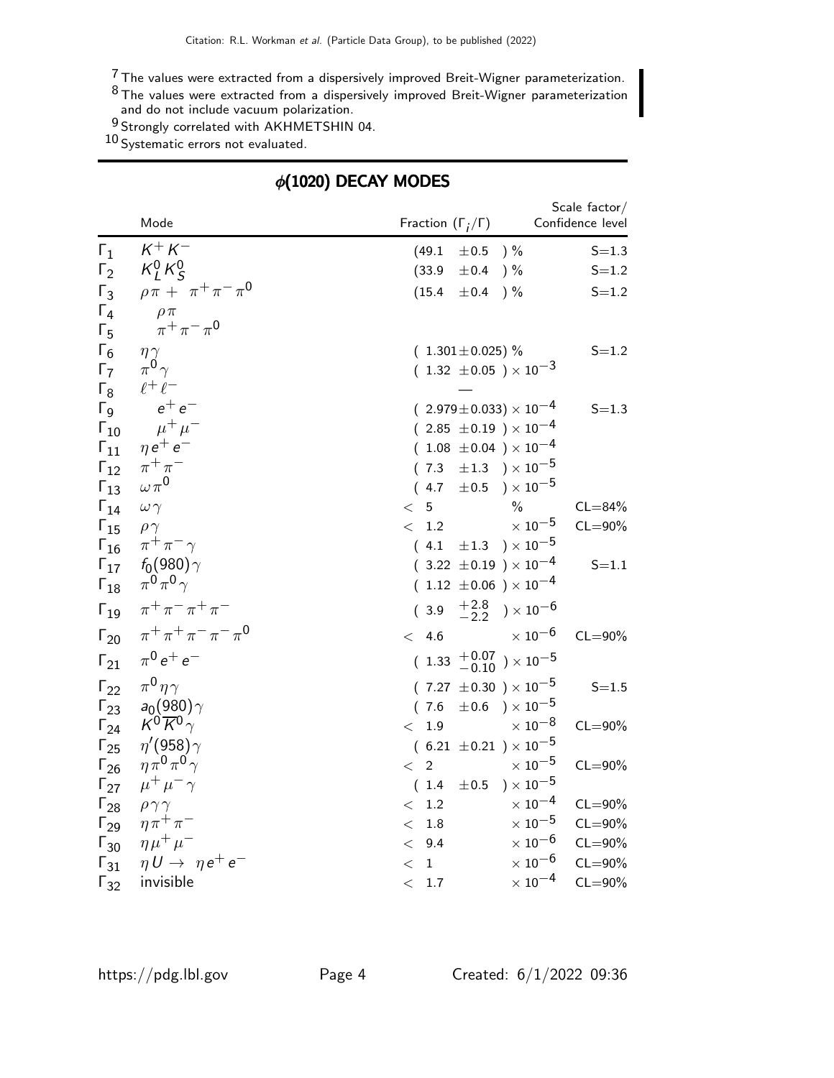$\rm ^7$  The values were extracted from a dispersively improved Breit-Wigner parameterization.

 $^8$ The values were extracted from a dispersively improved Breit-Wigner parameterization and do not include vacuum polarization.

 $^{9}$  Strongly correlated with AKHMETSHIN 04.

10 Systematic errors not evaluated.

# $\phi(1020)$  DECAY MODES

|                                | Mode                                  | Fraction $(\Gamma_i/\Gamma)$                      |                                     | Scale factor/<br>Confidence level |
|--------------------------------|---------------------------------------|---------------------------------------------------|-------------------------------------|-----------------------------------|
| $\Gamma_1$                     | $K^+ K^-$                             | (49.1)<br>$\pm 0.5$                               | ) %                                 | $S = 1.3$                         |
| $\Gamma_2$                     | $K_l^0 K_S^0$                         | (33.9)<br>$\pm 0.4$                               | $) \%$                              | $S = 1.2$                         |
| $\Gamma_3$                     | $\rho \pi + \pi^+ \pi^- \pi^0$        | (15.4)<br>±0.4                                    | $)\%$                               | $S = 1.2$                         |
| $\Gamma_4$                     | $\rho \pi$                            |                                                   |                                     |                                   |
| $\Gamma_5$                     | $\pi^+ \pi^- \pi^0$                   |                                                   |                                     |                                   |
| $\Gamma_6$                     | $\eta \gamma$                         | $(1.301 \pm 0.025)\%$                             |                                     | $S = 1.2$                         |
| $\Gamma_7$                     | $\pi^0 \gamma$                        | $(1.32 \pm 0.05) \times 10^{-3}$                  |                                     |                                   |
| $\Gamma_8$                     | $\ell^+\ell^-$                        |                                                   |                                     |                                   |
| $\Gamma$ <sub>9</sub>          | $e^+e^-$                              | $(2.979 \pm 0.033) \times 10^{-4}$                |                                     | $S = 1.3$                         |
| $\Gamma_{10}$                  | $\mu^+ \mu^-$                         | $(2.85 \pm 0.19) \times 10^{-4}$                  |                                     |                                   |
| $\Gamma_{11}$                  | $\eta e^+ e^-$                        | $(1.08 \pm 0.04) \times 10^{-4}$                  |                                     |                                   |
| $\Gamma_{12}$                  | $\pi^+\pi^-$<br>$\omega \pi^0$        | $(7.3 \pm 1.3) \times 10^{-5}$                    |                                     |                                   |
| $\Gamma_{13}$                  |                                       | $(4.7 \pm 0.5) \times 10^{-5}$                    |                                     |                                   |
| $\Gamma_{14}$                  | $\omega \gamma$                       | 5 <sub>5</sub><br>$\lt$                           | $\frac{0}{6}$<br>$\times$ $10^{-5}$ | $CL = 84%$                        |
| $\Gamma_{15}$                  | $\rho \gamma$<br>$\pi^+\pi^-\gamma$   | < 1.2<br>$(4.1 \pm 1.3) \times 10^{-5}$           |                                     | $CL = 90\%$                       |
| $\Gamma_{16}$<br>$\Gamma_{17}$ | $f_0(980)\gamma$                      | $(3.22 \pm 0.19) \times 10^{-4}$                  |                                     | $S = 1.1$                         |
| $\Gamma_{18}$                  | $\pi^0 \pi^0 \gamma$                  | $(1.12 \pm 0.06) \times 10^{-4}$                  |                                     |                                   |
|                                |                                       |                                                   |                                     |                                   |
| $\Gamma_{19}$                  | $\pi^{+}\pi^{-}\pi^{+}\pi^{-}$        | (3.9)                                             | $^{+2.8}_{-2.2}$ ) $\times 10^{-6}$ |                                   |
| $\Gamma_{20}$                  | $\pi^{+}\pi^{+}\pi^{-}\pi^{-}\pi^{0}$ | < 4.6                                             | $\times$ 10 $^{-6}$                 | $CL = 90\%$                       |
| $\Gamma_{21}$                  | $\pi^{0} e^{+} e^{-}$                 | ( $1.33$ $\,^{+0.07}_{-0.10}$ ) $\times\,10^{-5}$ |                                     |                                   |
| $\Gamma_{22}$                  | $\pi^0 \eta \gamma$                   | $(7.27 \pm 0.30) \times 10^{-5}$                  |                                     | $S = 1.5$                         |
| $\Gamma_{23}$                  | $a_0(980)\gamma$                      | (7.6)                                             | $\pm 0.6$ ) $\times 10^{-5}$        |                                   |
| $\Gamma_{24}$                  | $K^0 \overline{K}{}^0 \gamma$         | < 1.9                                             | $\times$ $10^{-8}$                  | $CL = 90\%$                       |
| $\Gamma_{25}$                  | $\eta'(958)\gamma$                    | $(6.21 \pm 0.21) \times 10^{-5}$                  |                                     |                                   |
| $\Gamma_{26}$                  | $\eta \pi^0 \pi^0 \gamma$             | $2^{\circ}$<br>$\lt$                              | $\times$ 10 $^{-5}$                 | $CL = 90\%$                       |
| $\Gamma_{27}$                  | $\mu^+ \mu^- \gamma$                  | $(1.4 \pm 0.5)$                                   | $)\times10^{-5}$                    |                                   |
| $\Gamma_{28}$                  | $\rho \gamma \gamma$                  | $1.2\,$<br>$\lt$                                  | $\times$ 10 <sup>-4</sup>           | $CL = 90\%$                       |
| $\Gamma_{29}$                  | $\eta \pi^+ \pi^-$                    | 1.8<br>$\lt$                                      | $\times$ $10^{-5}$                  | $CL = 90\%$                       |
| $\Gamma_{30}$                  | $\eta\mu^+\mu^-$                      | 9.4<br>$\lt$                                      | $\times$ $10^{-6}$                  | $CL = 90\%$                       |
| $\Gamma_{31}$                  | $\eta U \rightarrow \eta e^+ e^-$     | $\mathbf{1}$<br>$\lt$                             | $\times$ 10 <sup>-6</sup>           | $CL = 90\%$                       |
| $\Gamma_{32}$                  | invisible                             | < 1.7                                             | $\times$ 10 <sup>-4</sup>           | $CL = 90\%$                       |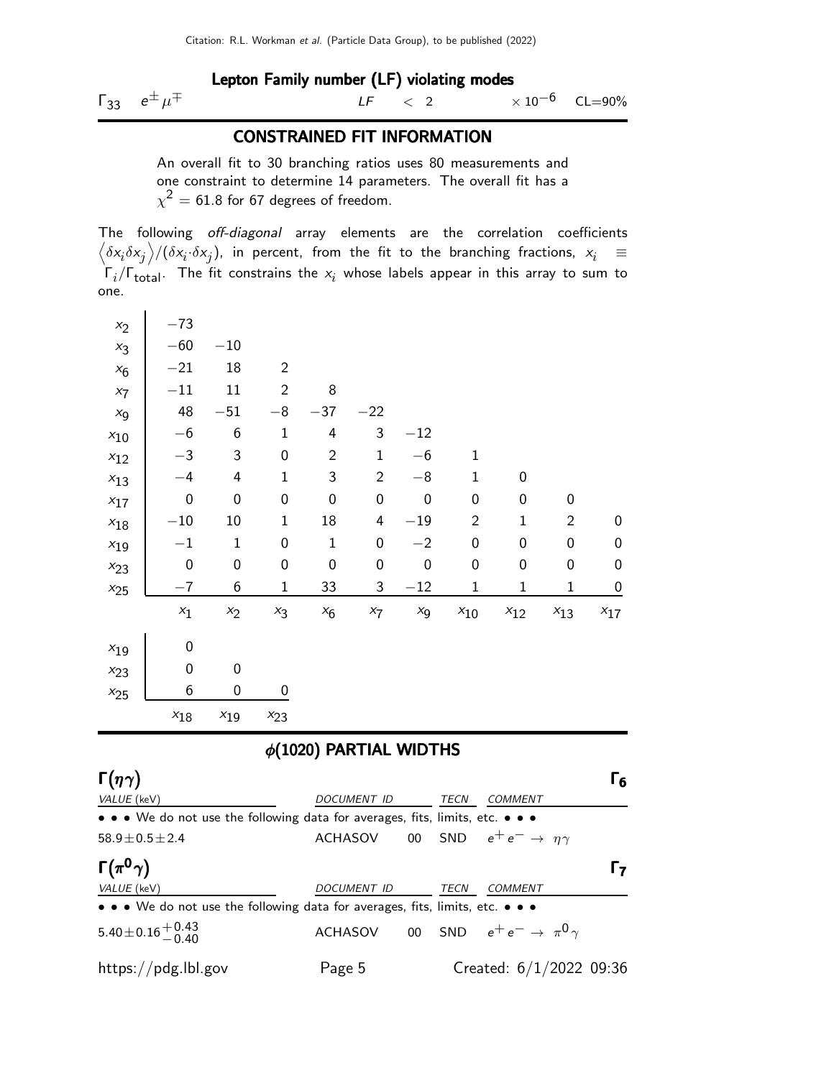### Lepton Family number (LF) violating modes

 $Γ_{33}$   $e^{\pm}$ μ  $\mp$  LF  $<$  2  $\times 10^{-6}$  CL=90%

### CONSTRAINED FIT INFORMATION

An overall fit to 30 branching ratios uses 80 measurements and one constraint to determine 14 parameters. The overall fit has a  $\chi^2=$  61.8 for 67 degrees of freedom.

The following off-diagonal array elements are the correlation coefficients  $\left<\delta x_i\delta x_j\right>$ / $(\delta x_i\cdot\delta x_j)$ , in percent, from the fit to the branching fractions,  $x_i$   $\;\equiv$  $\Gamma_i/\Gamma_{\rm total}$ . The fit constrains the  $x_i$  whose labels appear in this array to sum to one.

| $x_2$                               | $-73$                                                                         |              |                |                  |                             |                  |                |                                   |                  |                  |
|-------------------------------------|-------------------------------------------------------------------------------|--------------|----------------|------------------|-----------------------------|------------------|----------------|-----------------------------------|------------------|------------------|
| $x_3$                               | $-60$                                                                         | $-10$        |                |                  |                             |                  |                |                                   |                  |                  |
| $x_6$                               | $-21$                                                                         | 18           | $\overline{2}$ |                  |                             |                  |                |                                   |                  |                  |
| $x_7$                               | $-11$                                                                         | 11           | $\overline{2}$ | 8                |                             |                  |                |                                   |                  |                  |
| $x_{9}$                             | 48                                                                            | $-51$        | $-8$           | $-37$            | $-22$                       |                  |                |                                   |                  |                  |
| $x_{10}$                            | $-6$                                                                          | 6            | 1              | 4                | 3                           | $-12$            |                |                                   |                  |                  |
| $x_{12}$                            | $-3$                                                                          | 3            | 0              | $\overline{2}$   | $\mathbf{1}$                | $-6$             | 1              |                                   |                  |                  |
| $x_{13}$                            | $-4$                                                                          | 4            | 1              | 3                | $\overline{2}$              | $-8$             | $\mathbf{1}$   | 0                                 |                  |                  |
| $x_{17}$                            | $\mathbf 0$                                                                   | 0            | 0              | $\boldsymbol{0}$ | $\mathbf 0$                 | $\boldsymbol{0}$ | 0              | 0                                 | 0                |                  |
| $x_{18}$                            | $-10$                                                                         | 10           | 1              | 18               | 4                           | $-19$            | $\overline{2}$ | 1                                 | $\overline{2}$   | 0                |
| $x_{19}$                            | $^{-1}$                                                                       | $\mathbf{1}$ | 0              | $\mathbf{1}$     | 0                           | $-2$             | 0              | 0                                 | $\boldsymbol{0}$ | $\boldsymbol{0}$ |
| $x_{23}$                            | $\boldsymbol{0}$                                                              | 0            | 0              | 0                | 0                           | $\boldsymbol{0}$ | 0              | 0                                 | 0                | 0                |
| $x_{25}$                            | $-7$                                                                          | 6            | 1              | 33               | 3                           | $-12$            | 1              | 1                                 | 1                | $\boldsymbol{0}$ |
|                                     | $x_1$                                                                         | $x_2$        | $x_3$          | $x_6$            | $x_7$                       | $x_{9}$          | $x_{10}$       | $x_{12}$                          | $x_{13}$         | $x_{17}$         |
| $x_{19}$                            | 0                                                                             |              |                |                  |                             |                  |                |                                   |                  |                  |
| $x_{23}$                            | 0                                                                             | 0            |                |                  |                             |                  |                |                                   |                  |                  |
| $x_{25}$                            | 6                                                                             | $\mathbf 0$  | 0              |                  |                             |                  |                |                                   |                  |                  |
|                                     | $x_{18}$                                                                      | $x_{19}$     | $x_{23}$       |                  |                             |                  |                |                                   |                  |                  |
|                                     |                                                                               |              |                |                  | $\phi(1020)$ PARTIAL WIDTHS |                  |                |                                   |                  |                  |
| $\Gamma(\eta\gamma)$<br>VALUE (keV) |                                                                               |              |                |                  | DOCUMENT ID                 |                  | <b>TECN</b>    | COMMENT                           |                  | $\mathsf{r}_6$   |
|                                     | • • • We do not use the following data for averages, fits, limits, etc. •     |              |                |                  |                             |                  |                |                                   |                  |                  |
| $58.9 \pm 0.5 \pm 2.4$              |                                                                               |              |                |                  | <b>ACHASOV</b>              | 00               | <b>SND</b>     | $e^+e^- \rightarrow \eta \gamma$  |                  |                  |
| Г $(\pi^{\mathbf{0}}\gamma)$        |                                                                               |              |                |                  |                             |                  |                |                                   |                  | $\Gamma_7$       |
| VALUE (keV)                         |                                                                               |              |                |                  | DOCUMENT ID                 |                  | TECN           | COMMENT                           |                  |                  |
|                                     | • • • We do not use the following data for averages, fits, limits, etc. • • • |              |                |                  |                             |                  |                |                                   |                  |                  |
|                                     | $5.40\!\pm\!0.16\genfrac{}{}{0pt}{}{+0.43}{-0.40}$                            |              |                |                  | ACHASOV                     | $00\,$           | SND            | $e^+e^- \rightarrow \pi^0 \gamma$ |                  |                  |

https://pdg.lbl.gov Page 5 Created: 6/1/2022 09:36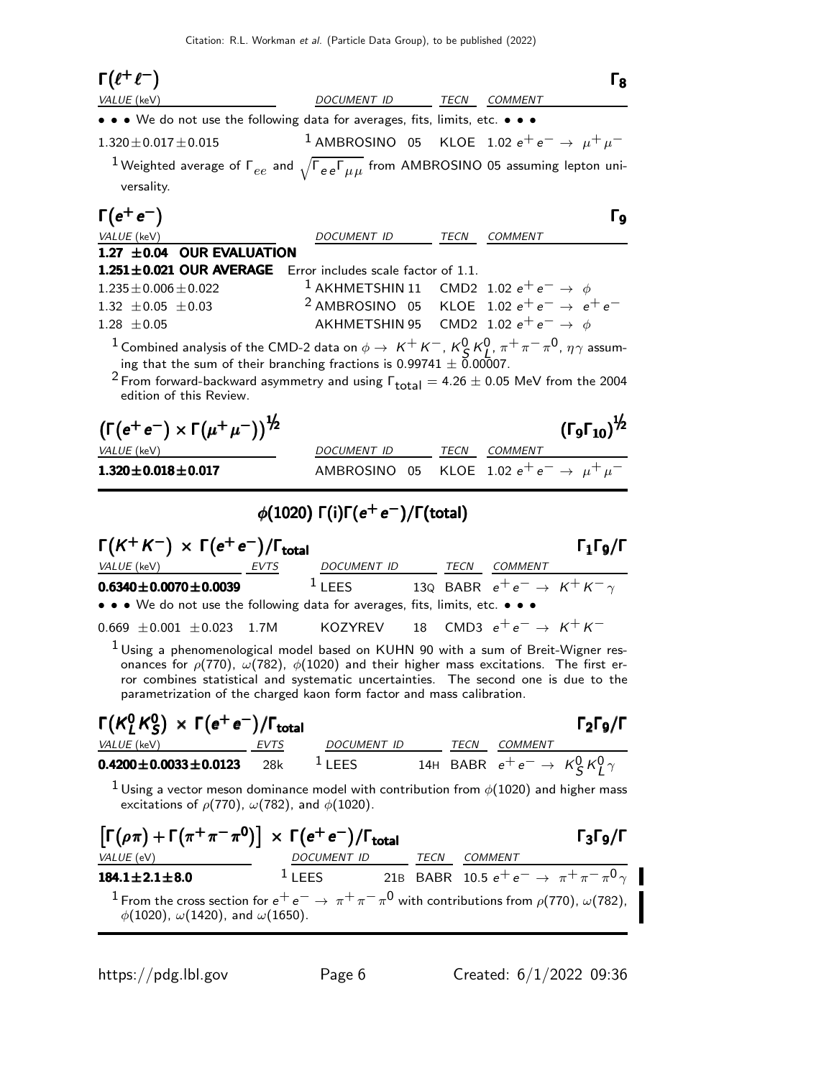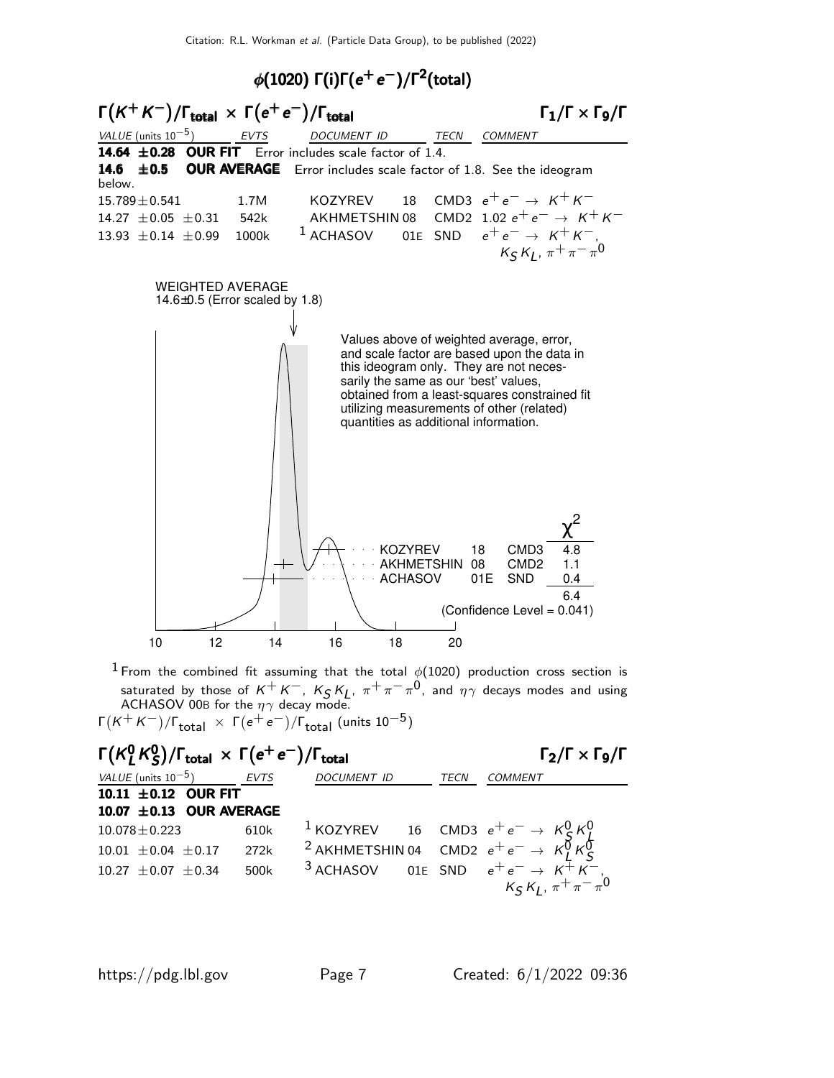



 $^1$  From the combined fit assuming that the total  $\phi(1020)$  production cross section is saturated by those of  $K^+K^-$ ,  $K_S K_L$ ,  $\pi^+\pi^-\pi^0$ , and  $\eta\gamma$  decays modes and using ACHASOV 00B for the  $\eta\gamma$  decay mode.

Γ $(\mathsf{K}^+\mathsf{K}^-)/\mathsf{\Gamma}_{\mathsf{total}}\ \times\ \mathsf{\Gamma}(\mathsf{e}^+\mathsf{e}^-)/\mathsf{\Gamma}_{\mathsf{total}}\ (\mathsf{units}\ 10^{-5})$ 

| $\Gamma(K^0_I K^0_S)/\Gamma_{\text{total}} \times \Gamma(e^+e^-)/\Gamma_{\text{total}}$ |      | $\Gamma_2/\Gamma \times \Gamma_9/\Gamma$ |  |             |                                                                                                                                   |
|-----------------------------------------------------------------------------------------|------|------------------------------------------|--|-------------|-----------------------------------------------------------------------------------------------------------------------------------|
| VALUE (units $10^{-5}$ ) EVTS                                                           |      | <b>DOCUMENT ID</b>                       |  | <b>TECN</b> | COMMENT                                                                                                                           |
| 10.11 $\pm$ 0.12 OUR FIT                                                                |      |                                          |  |             |                                                                                                                                   |
| 10.07 ± 0.13 OUR AVERAGE                                                                |      |                                          |  |             |                                                                                                                                   |
| $10.078 \pm 0.223$                                                                      | 610k |                                          |  |             |                                                                                                                                   |
| $10.01 \pm 0.04 \pm 0.17$ 272k                                                          |      |                                          |  |             | <sup>1</sup> KOZYREV 16 CMD3 $e^+e^- \rightarrow K_S^0 K_L^0$<br><sup>2</sup> AKHMETSHIN 04 CMD2 $e^+e^- \rightarrow K_L^0 K_S^0$ |
| $10.27 \pm 0.07 \pm 0.34$                                                               | 500k |                                          |  |             | <sup>3</sup> ACHASOV 01E SND $e^+e^- \rightarrow K^{\pm}K^-$ ,<br>$K_S K_L$ , $\pi^+\pi^-\pi^0$                                   |
|                                                                                         |      |                                          |  |             |                                                                                                                                   |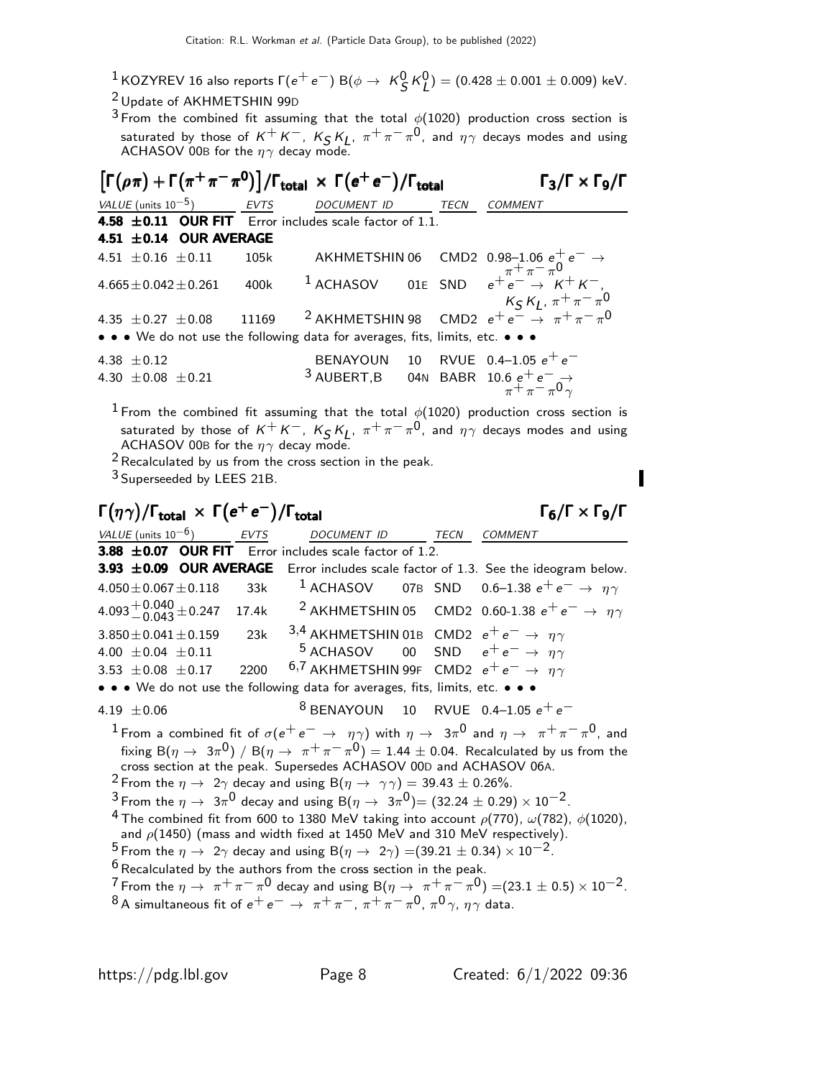- $^1$ KOZYREV 16 also reports Г $(e^+e^-)$  B $(\phi \to \ K_S^0 \, \kappa_L^0) = (0.428 \pm 0.001 \pm 0.009)$  keV.
- 2 Update of AKHMETSHIN 99<sup>D</sup>

<sup>3</sup> From the combined fit assuming that the total  $\phi(1020)$  production cross section is saturated by those of  $K^+K^-$ ,  $K_S K_L$ ,  $\pi^+\pi^-\pi^0$ , and  $\eta\gamma$  decays modes and using ACHASOV 00B for the  $\eta\gamma$  decay mode.

| $\left[\Gamma(\rho\pi) + \Gamma(\pi^+\pi^-\pi^0)\right] / \Gamma_{\text{total}} \times \Gamma(e^+e^-) / \Gamma_{\text{total}}$ | $\Gamma_3/\Gamma \times \Gamma_9/\Gamma$ |      |                                                                               |      |                                                                                                    |
|--------------------------------------------------------------------------------------------------------------------------------|------------------------------------------|------|-------------------------------------------------------------------------------|------|----------------------------------------------------------------------------------------------------|
|                                                                                                                                | VALUE (units $10^{-5}$ ) EVTS            |      | <i>DOCUMENT ID</i>                                                            | TECN | <b>COMMENT</b>                                                                                     |
|                                                                                                                                |                                          |      | 4.58 $\pm$ 0.11 OUR FIT Error includes scale factor of 1.1.                   |      |                                                                                                    |
|                                                                                                                                | 4.51 $\pm$ 0.14 OUR AVERAGE              |      |                                                                               |      |                                                                                                    |
|                                                                                                                                | 4.51 $\pm$ 0.16 $\pm$ 0.11 105k          |      |                                                                               |      |                                                                                                    |
|                                                                                                                                | $4.665 \pm 0.042 \pm 0.261$              | 400k |                                                                               |      | AKHMETSHIN 06 CMD2 0.98-1.06 $e^+e^- \rightarrow$<br>1 ACHASOV 01E SND $e^+e^- \rightarrow K^+K^-$ |
|                                                                                                                                |                                          |      |                                                                               |      | 4.35 ± 0.27 ± 0.08 11169 $2$ AKHMETSHIN 98 CMD2 $e^+e^- \rightarrow \pi^+\pi^-\pi^0$               |
|                                                                                                                                |                                          |      | • • • We do not use the following data for averages, fits, limits, etc. • • • |      |                                                                                                    |
| 4.38 $\pm$ 0.12<br>4.30 $\pm$ 0.08 $\pm$ 0.21                                                                                  |                                          |      | 3 AUBERT, B 04N BABR 10.6 $e^+e^- \rightarrow \pi^+ \pi^- \pi^0 \gamma$       |      | BENAYOUN 10 RVUE 0.4-1.05 $e^+e^-$                                                                 |

<sup>1</sup> From the combined fit assuming that the total  $\phi(1020)$  production cross section is saturated by those of  $K^+K^-$ ,  $K_S K_L$ ,  $\pi^+\pi^-\pi^0$ , and  $\eta\gamma$  decays modes and using ACHASOV 00B for the  $\eta\gamma$  decay mode.

2Recalculated by us from the cross section in the peak.

3 Superseeded by LEES 21B.

# $\Gamma(\eta\gamma)/\Gamma_{\rm total} \, \times \, \Gamma(e^+e^-)/\Gamma_{\rm total}$  Γ<sub>6</sub>/Γ  $\times$  Γ<sub>9</sub>/Γ

VALUE (units  $10^{-6}$ ) EVTS DOCUMENT ID TECN COMMENT  $\overline{3.88 \pm 0.07}$  OUR FIT Error includes scale factor of 1.2. **3.93**  $\pm$ **0.09 OUR AVERAGE** Error includes scale factor of 1.3. See the ideogram below.<br>4.050 + 0.067 + 0.118 33k <sup>1</sup> ACHASOV 07B SND 0.6–1.38  $e^+e^- \rightarrow n\gamma$ 33k 1 ACHASOV 07B SND 0.6-1.38  $e^+e^- \rightarrow \eta \gamma$  $4.093 + 0.040 + 0.247$  $4.093^{+0.040}_{-0.043}$  ± 0.247 17.4k <sup>2</sup> AKHMETSHIN 05 CMD2 0.60-1.38  $e^+e^- \rightarrow \eta \gamma$ <br>3.850 ± 0.041 ± 0.159 23k <sup>3,4</sup> AKHMETSHIN 01B CMD2  $e^+e^- \rightarrow \eta \gamma$ 3,4 AKHMETSHIN 01B CMD2  $e^+e^- \rightarrow \eta \gamma$ <br>5 ACHASOV 00 SND  $e^+e^- \rightarrow \eta \gamma$  $4.00 \pm 0.04 \pm 0.11$ <br>3.53  $\pm$  0.08  $\pm$  0.17 2200  $3.5$  AKHMETSHIN 99F CMD2  $e^+e^- \rightarrow \eta \gamma$ • • • We do not use the following data for averages, fits, limits, etc. • • • 4.19  $\pm$  0.06 <sup>8</sup> BENAYOUN 10 RVUE 0.4–1.05  $e^+e^ 1$  From a combined fit of  $\sigma(e^+e^- \rightarrow \eta \gamma)$  with  $\eta \rightarrow 3\pi^0$  and  $\eta \rightarrow \pi^+ \pi^- \pi^0$ , and fixing B $(\eta \to 3\pi^0)$  / B $(\eta \to \pi^+\pi^-\pi^0)$  = 1.44  $\pm$  0.04. Recalculated by us from the cross section at the peak. Supersedes ACHASOV 00D and ACHASOV 06A. <sup>2</sup> From the  $\eta \to 2\gamma$  decay and using B( $\eta \to \gamma \gamma$ ) = 39.43  $\pm$  0.26%.  $\frac{3}{4}$  From the  $\eta \to 3\pi^0$  decay and using B $(\eta \to 3\pi^0)$   $=(32.24 \pm 0.29) \times 10^{-2}$ . <sup>4</sup> The combined fit from 600 to 1380 MeV taking into account  $\rho(770)$ ,  $\omega(782)$ ,  $\phi(1020)$ , and  $\rho$ (1450) (mass and width fixed at 1450 MeV and 310 MeV respectively). <sup>5</sup> From the  $\eta \to 2\gamma$  decay and using B( $\eta \to 2\gamma$ ) =(39.21 ± 0.34) × 10<sup>-2</sup>.  $6$  Recalculated by the authors from the cross section in the peak.  $7$  From the  $\eta \to \pi^+ \pi^- \pi^0$  decay and using B $(\eta \to \pi^+ \pi^- \pi^0) =$  (23.1  $\pm$  0.5)  $\times$  10<sup>-2</sup>.  $^8$ A simultaneous fit of  $e^+e^-\,\rightarrow\,\pi^+\pi^-$ ,  $\pi^+\pi^-\pi^0$ ,  $\pi^0\gamma$ ,  $\eta\gamma$  data.

 $\Gamma_6/\Gamma \times \Gamma_9/\Gamma$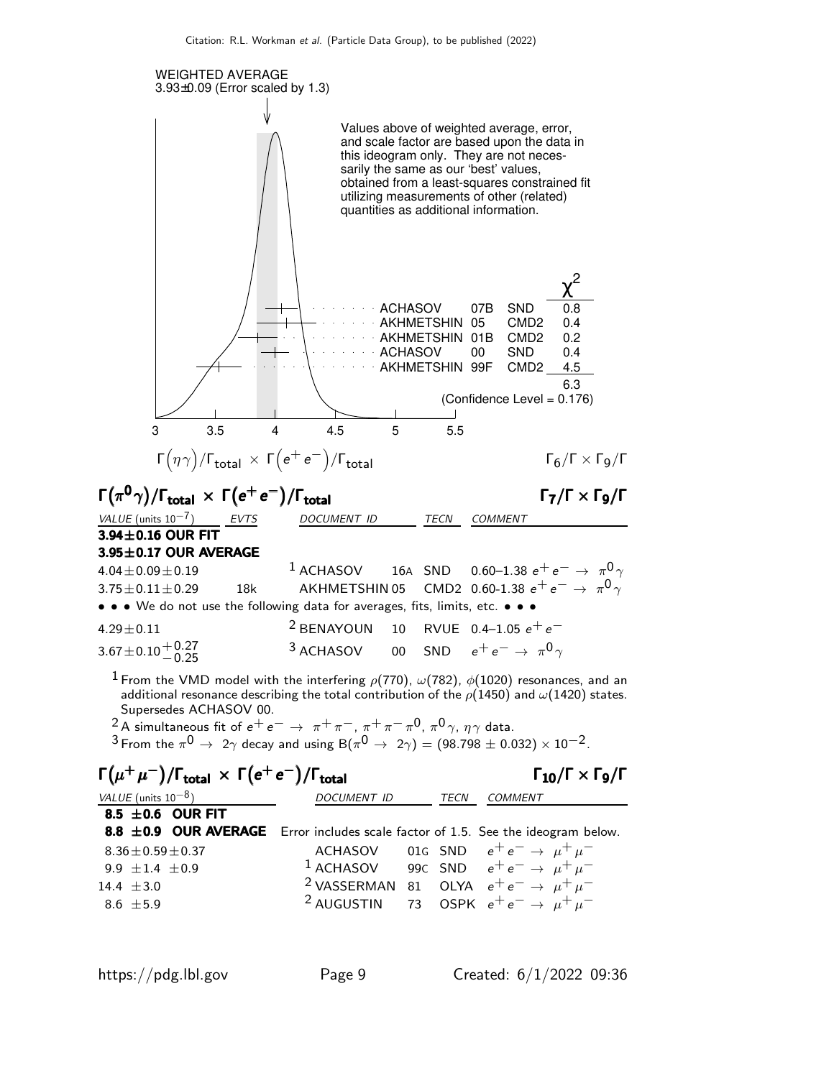

| $\mathcal{L}$ , $\mathcal{L}$ , $\mathcal{L}$ , $\mathcal{L}$                    |                    |      | - -                                                            |
|----------------------------------------------------------------------------------|--------------------|------|----------------------------------------------------------------|
| VALUE (units $10^{-8}$ )                                                         | <i>DOCUMENT ID</i> | TECN | <b>COMMENT</b>                                                 |
| 8.5 $\pm$ 0.6 OUR FIT                                                            |                    |      |                                                                |
| 8.8 ±0.9 OUR AVERAGE Error includes scale factor of 1.5. See the ideogram below. |                    |      |                                                                |
| $8.36 \pm 0.59 \pm 0.37$                                                         |                    |      | ACHASOV 01G SND $e^+e^- \rightarrow \mu^+\mu^-$                |
| 9.9 $\pm$ 1.4 $\pm$ 0.9                                                          |                    |      | <sup>1</sup> ACHASOV 99C SND $e^+e^- \rightarrow \mu^+\mu^-$   |
| 14.4 $\pm 3.0$                                                                   |                    |      | <sup>2</sup> VASSERMAN 81 OLYA $e^+e^- \rightarrow \mu^+\mu^-$ |
| $8.6 \pm 5.9$                                                                    |                    |      | <sup>2</sup> AUGUSTIN 73 OSPK $e^+e^- \rightarrow \mu^+\mu^-$  |
|                                                                                  |                    |      |                                                                |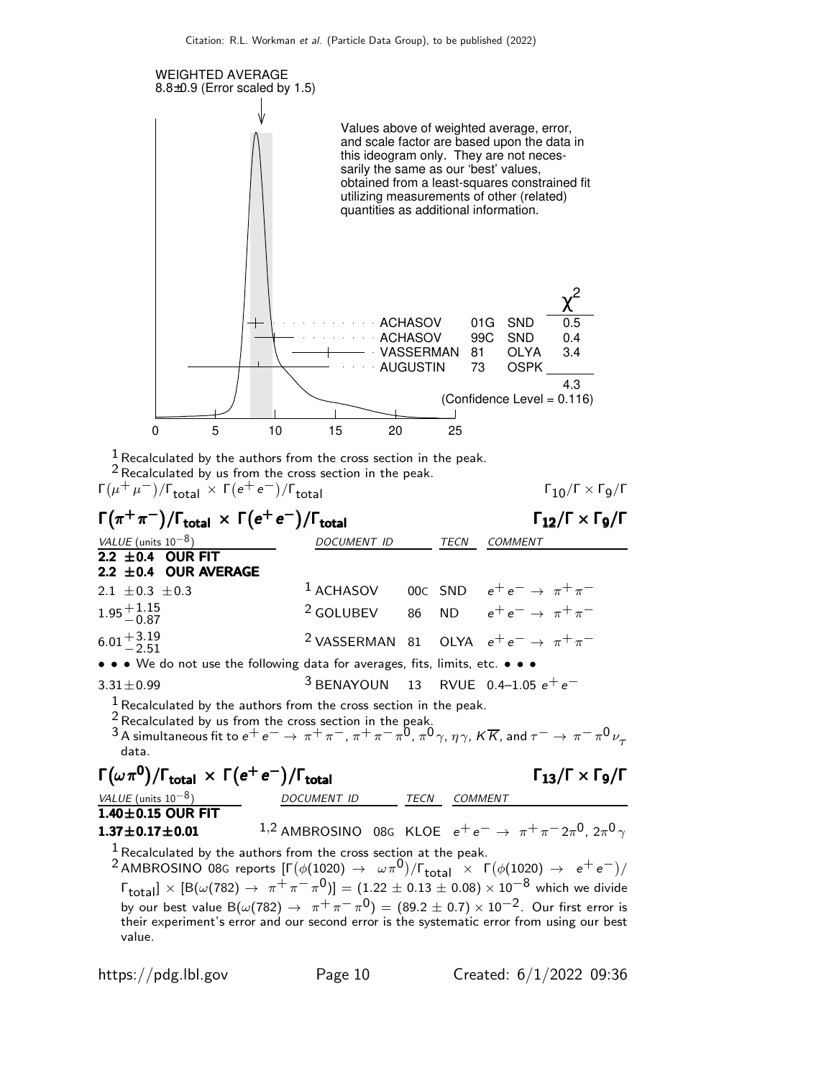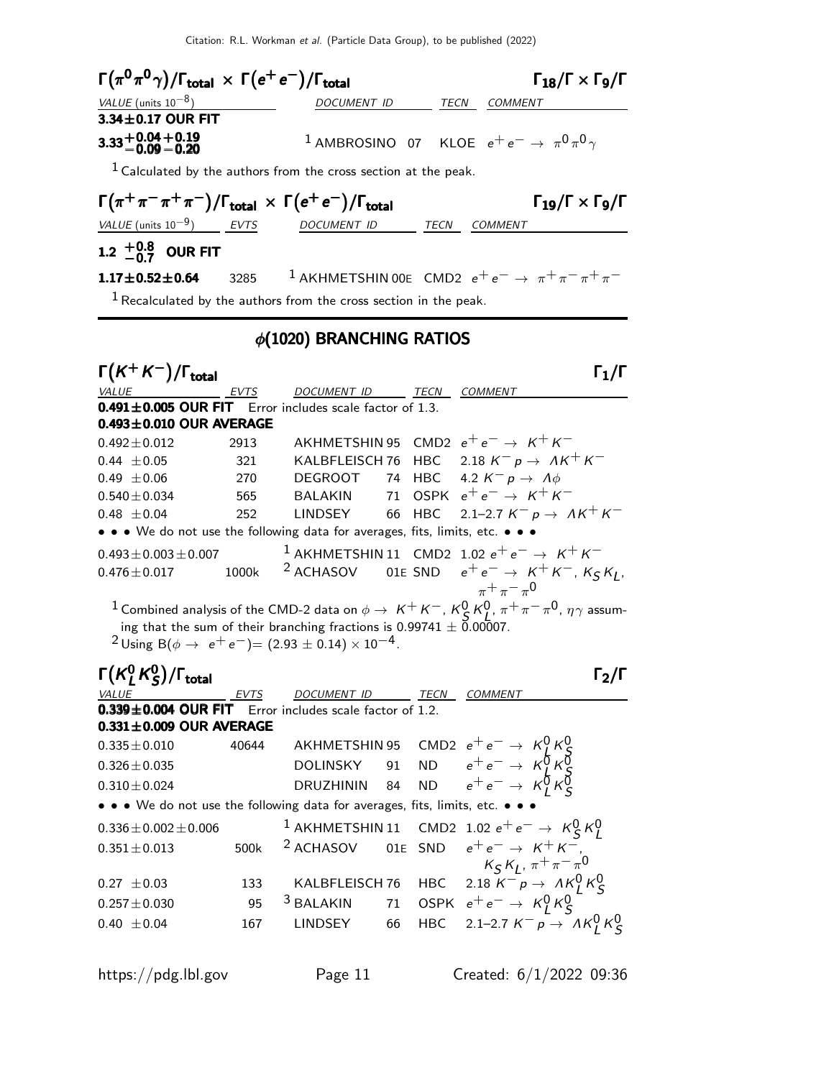Citation: R.L. Workman et al. (Particle Data Group), to be published (2022)

| $\Gamma(\pi^{\mathbf{0}}\pi^{\mathbf{0}}\gamma)/\Gamma_{\mathbf{total}}\,\times\,\Gamma(e^+\,e^-)/\Gamma_{\mathbf{total}}$ |                               |                                                                         |    |      | $\Gamma_{18}/\Gamma \times \Gamma_{9}/\Gamma$                                                                                                                                               |  |  |  |
|----------------------------------------------------------------------------------------------------------------------------|-------------------------------|-------------------------------------------------------------------------|----|------|---------------------------------------------------------------------------------------------------------------------------------------------------------------------------------------------|--|--|--|
| VALUE (units $10^{-8}$ )                                                                                                   |                               | DOCUMENT ID                                                             |    | TECN | COMMENT                                                                                                                                                                                     |  |  |  |
| $3.34 \pm 0.17$ OUR FIT                                                                                                    |                               |                                                                         |    |      |                                                                                                                                                                                             |  |  |  |
| $3.33 + 0.04 + 0.19$<br>$-0.09 - 0.20$                                                                                     |                               |                                                                         |    |      | <sup>1</sup> AMBROSINO 07 KLOE $e^+e^- \rightarrow \pi^0 \pi^0 \gamma$                                                                                                                      |  |  |  |
| $1$ Calculated by the authors from the cross section at the peak.                                                          |                               |                                                                         |    |      |                                                                                                                                                                                             |  |  |  |
| $\Gamma(\pi^+\pi^-\pi^+\pi^-)/\Gamma_{\rm total} \times \Gamma(e^+e^-)/\Gamma_{\rm total}$                                 |                               |                                                                         |    |      | $\Gamma_{19}/\Gamma \times \Gamma_{9}/\Gamma$                                                                                                                                               |  |  |  |
| $VALUE$ (units $10^{-9}$ ) EVTS                                                                                            |                               | DOCUMENT ID                                                             |    |      | TECN COMMENT                                                                                                                                                                                |  |  |  |
| 1.2 $^{+0.8}_{-0.7}$ OUR FIT                                                                                               |                               |                                                                         |    |      |                                                                                                                                                                                             |  |  |  |
| $1.17 \pm 0.52 \pm 0.64$                                                                                                   |                               |                                                                         |    |      | 3285 <sup>1</sup> AKHMETSHIN 00E CMD2 $e^+e^- \rightarrow \pi^+\pi^-\pi^+\pi^-$                                                                                                             |  |  |  |
| $1$ Recalculated by the authors from the cross section in the peak.                                                        |                               |                                                                         |    |      |                                                                                                                                                                                             |  |  |  |
|                                                                                                                            | $\phi(1020)$ BRANCHING RATIOS |                                                                         |    |      |                                                                                                                                                                                             |  |  |  |
| $\Gamma(K^+K^-)/\Gamma_{\rm total}$                                                                                        |                               |                                                                         |    |      | $\Gamma_1/\Gamma$                                                                                                                                                                           |  |  |  |
|                                                                                                                            | EVTS                          | <b>DOCUMENT ID</b>                                                      |    | TECN | <b>COMMENT</b>                                                                                                                                                                              |  |  |  |
| $0.491 \pm 0.005$ OUR FIT Error includes scale factor of 1.3.<br>$0.493 \pm 0.010$ OUR AVERAGE                             |                               |                                                                         |    |      |                                                                                                                                                                                             |  |  |  |
| $0.492 \pm 0.012$                                                                                                          | 2913                          |                                                                         |    |      | AKHMETSHIN 95 CMD2 $e^+e^- \rightarrow K^+K^-$                                                                                                                                              |  |  |  |
| $0.44 \pm 0.05$                                                                                                            | 321                           |                                                                         |    |      | KALBFLEISCH 76 HBC 2.18 $K^- p \rightarrow AK^+K^-$                                                                                                                                         |  |  |  |
| $0.49 \pm 0.06$                                                                                                            | 270                           |                                                                         |    |      | DEGROOT 74 HBC 4.2 $K^- p \rightarrow A\phi$                                                                                                                                                |  |  |  |
| $0.540 \pm 0.034$                                                                                                          | 565                           |                                                                         |    |      | BALAKIN 71 OSPK $e^+e^- \rightarrow K^+K^-$                                                                                                                                                 |  |  |  |
| $0.48 \pm 0.04$                                                                                                            | 252                           |                                                                         |    |      | LINDSEY 66 HBC 2.1-2.7 $K^- p \rightarrow AK^+K^-$                                                                                                                                          |  |  |  |
| • • • We do not use the following data for averages, fits, limits, etc. • • •                                              |                               |                                                                         |    |      |                                                                                                                                                                                             |  |  |  |
| $0.493 \pm 0.003 \pm 0.007$                                                                                                |                               |                                                                         |    |      | <sup>1</sup> AKHMETSHIN 11 CMD2 1.02 $e^+e^- \rightarrow K^+K^-$                                                                                                                            |  |  |  |
| $0.476 \pm 0.017$                                                                                                          | 1000k                         |                                                                         |    |      | <sup>2</sup> ACHASOV 01E SND $e^+e^- \rightarrow K^+K^-, K_S K_J$ ,                                                                                                                         |  |  |  |
|                                                                                                                            |                               |                                                                         |    |      | $\pi^+ \pi^- \pi^0$                                                                                                                                                                         |  |  |  |
|                                                                                                                            |                               |                                                                         |    |      | $^{-1}$ Combined analysis of the CMD-2 data on $\phi\to~$ K <sup>+</sup> K <sup>-</sup> , K <sup>0</sup> K <sup>0</sup> , $\pi^+\pi^-\pi^0$ , $\eta\gamma$ assum-                           |  |  |  |
|                                                                                                                            |                               | ing that the sum of their branching fractions is 0.99741 $\pm$ 0.00007. |    |      |                                                                                                                                                                                             |  |  |  |
| <sup>2</sup> Using B( $\phi \rightarrow e^+e^-$ ) = (2.93 $\pm$ 0.14) $\times$ 10 <sup>-4</sup> .                          |                               |                                                                         |    |      |                                                                                                                                                                                             |  |  |  |
| $\Gamma(K_L^0K_S^0)/\Gamma_{\rm total}$                                                                                    |                               |                                                                         |    |      | $\Gamma_2/\Gamma$                                                                                                                                                                           |  |  |  |
| VALUE                                                                                                                      | EVTS                          | DOCUMENT ID                                                             |    | TECN | <b>COMMENT</b>                                                                                                                                                                              |  |  |  |
| 0.339±0.004 OUR FIT Error includes scale factor of 1.2.<br>$0.331 \pm 0.009$ OUR AVERAGE                                   |                               |                                                                         |    |      |                                                                                                                                                                                             |  |  |  |
| $0.335 \pm 0.010$                                                                                                          | 40644                         |                                                                         |    |      |                                                                                                                                                                                             |  |  |  |
| $0.326 \pm 0.035$                                                                                                          |                               |                                                                         |    |      |                                                                                                                                                                                             |  |  |  |
| $0.310 \pm 0.024$                                                                                                          |                               |                                                                         |    |      |                                                                                                                                                                                             |  |  |  |
| • • • We do not use the following data for averages, fits, limits, etc. • • •                                              |                               |                                                                         |    |      |                                                                                                                                                                                             |  |  |  |
|                                                                                                                            |                               |                                                                         |    |      |                                                                                                                                                                                             |  |  |  |
| $0.336 \pm 0.002 \pm 0.006$                                                                                                |                               | $1$ AKHMETSHIN 11                                                       |    |      | CMD2 1.02 $e^+e^- \rightarrow \kappa_S^0 \kappa_L^0$                                                                                                                                        |  |  |  |
| $0.351 \pm 0.013$                                                                                                          | 500k                          | <sup>2</sup> ACHASOV                                                    |    |      | ACHASOV OIE SND $e^+e^- \rightarrow K^+K^-$<br>$K_S K_L$ , $\pi^+\pi^-\pi^0$<br>KALBFLEISCH 76 HBC 2.18 $K^-p \rightarrow AK_L^0 K_S^0$<br>BALAKIN 71 OSPK $e^+e^- \rightarrow K_L^0 K_S^0$ |  |  |  |
| $0.27 \pm 0.03$                                                                                                            | 133                           |                                                                         |    |      |                                                                                                                                                                                             |  |  |  |
| $0.257 \pm 0.030$                                                                                                          | 95                            | <sup>3</sup> BALAKIN                                                    |    |      |                                                                                                                                                                                             |  |  |  |
| $0.40 \pm 0.04$                                                                                                            | 167                           | LINDSEY                                                                 | 66 |      | HBC 2.1-2.7 $K^- p \to \Lambda K^0$ $K^0_S$                                                                                                                                                 |  |  |  |
|                                                                                                                            |                               |                                                                         |    |      |                                                                                                                                                                                             |  |  |  |

https://pdg.lbl.gov Page 11 Created: 6/1/2022 09:36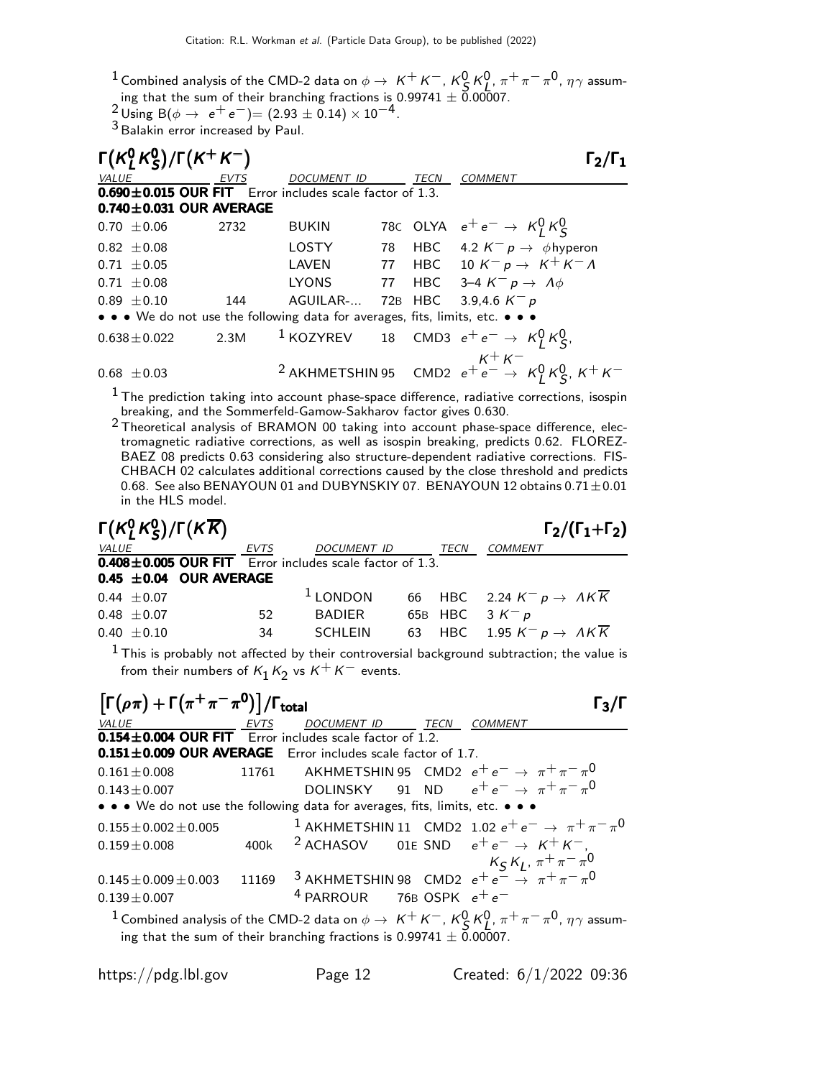<sup>1</sup> Combined analysis of the CMD-2 data on φ →  $K^+ K^-$ ,  $K^0_S K^0_S$ ,  $\pi^+ \pi^- \pi^0$ ,  $\eta \gamma$  assuming that the sum of their branching fractions is  $0.99741 \pm 0.00007$ .

 $\frac{2}{3}$  Using B( $\phi \rightarrow e^+e^-$ )= (2.93 ± 0.14) × 10<sup>-4</sup>.

3 Balakin error increased by Paul.

| $\Gamma(K_1^0 K_5^0)/\Gamma(K^+ K^-)$<br>$\Gamma_2/\Gamma_1$ |      |                                                                               |  |             |                                                                              |  |
|--------------------------------------------------------------|------|-------------------------------------------------------------------------------|--|-------------|------------------------------------------------------------------------------|--|
| VALUE                                                        | EVTS | <b>DOCUMENT ID</b>                                                            |  | <b>TECN</b> | <b>COMMENT</b>                                                               |  |
|                                                              |      | 0.690±0.015 OUR FIT Error includes scale factor of 1.3.                       |  |             |                                                                              |  |
| $0.740 \pm 0.031$ OUR AVERAGE                                |      |                                                                               |  |             |                                                                              |  |
| $0.70 + 0.06$                                                | 2732 | <b>BUKIN</b>                                                                  |  |             | 78C OLYA $e^+e^- \rightarrow K^0_I K^0_S$                                    |  |
| $0.82 \pm 0.08$                                              |      | <b>LOSTY</b>                                                                  |  |             | 78 HBC 4.2 $K^- p \rightarrow \phi$ hyperon                                  |  |
| $0.71 \pm 0.05$                                              |      | LAVEN                                                                         |  |             | 77 HBC 10 $K^- p \rightarrow K^+ K^- \Lambda$                                |  |
| $0.71 \pm 0.08$                                              |      | <b>LYONS</b>                                                                  |  |             | 77 HBC 3-4 $K^- p \rightarrow A \phi$                                        |  |
| $0.89 + 0.10$                                                | 144  | AGUILAR-                                                                      |  |             | 72B HBC 3.9,4.6 $K^- p$                                                      |  |
|                                                              |      | • • • We do not use the following data for averages, fits, limits, etc. • • • |  |             |                                                                              |  |
| $0.638 \pm 0.022$                                            |      |                                                                               |  |             | 2.3M <sup>1</sup> KOZYREV 18 CMD3 $e^+e^- \rightarrow K_I^0 K_S^0$ ,         |  |
| $0.68 \pm 0.03$                                              |      |                                                                               |  |             | <sup>2</sup> AKHMETSHIN 95 CMD2 $e^+e^- \rightarrow K_L^0 K_S^0$ , $K^+ K^-$ |  |

 $^{\rm 1}$  The prediction taking into account phase-space difference, radiative corrections, isospin breaking, and the Sommerfeld-Gamow-Sakharov factor gives 0.630.

<sup>2</sup> Theoretical analysis of BRAMON 00 taking into account phase-space difference, electromagnetic radiative corrections, as well as isospin breaking, predicts 0.62. FLOREZ-BAEZ 08 predicts 0.63 considering also structure-dependent radiative corrections. FIS-CHBACH 02 calculates additional corrections caused by the close threshold and predicts 0.68. See also BENAYOUN 01 and DUBYNSKIY 07. BENAYOUN 12 obtains 0.71 ± 0.01 in the HLS model.

| $\Gamma(K^0, K^0, \sqrt{\Gamma(KK)})$                         |      |                  |  | $\Gamma_2/(\Gamma_1+\Gamma_2)$                 |
|---------------------------------------------------------------|------|------------------|--|------------------------------------------------|
| <i>VALUE</i>                                                  | EVTS | DOCUMENT ID TECN |  | <i>COMMENT</i>                                 |
| $0.408 \pm 0.005$ OUR FIT Error includes scale factor of 1.3. |      |                  |  |                                                |
| 0.45 $\pm$ 0.04 OUR AVERAGE                                   |      |                  |  |                                                |
| $0.44 \pm 0.07$                                               |      | $1$ LONDON       |  | 66 HBC 2.24 $K^- p \rightarrow AK\overline{K}$ |
| $0.48 \pm 0.07$                                               | 52   | BADIER           |  | 65B HBC $3 K^- p$                              |
| $0.40 \pm 0.10$                                               | 34   | SCHLEIN          |  | 63 HBC 1.95 $K^- p \rightarrow AK\overline{K}$ |
|                                                               |      |                  |  |                                                |

 $^{\text{1}}$  This is probably not affected by their controversial background subtraction; the value is from their numbers of  $\mathsf{K}_1 \mathsf{K}_2$  vs  $\mathsf{K}^+ \mathsf{K}^-$  events.

| $\left[\Gamma(\rho\pi) + \Gamma(\pi^+\pi^-\pi^0)\right]$ / $\Gamma_{\text{total}}$                                                                                                                         |       |                                                                                                                                                                        |  |                |  |
|------------------------------------------------------------------------------------------------------------------------------------------------------------------------------------------------------------|-------|------------------------------------------------------------------------------------------------------------------------------------------------------------------------|--|----------------|--|
| VALUE<br><b>EVTS</b>                                                                                                                                                                                       |       | DOCUMENT ID TECN                                                                                                                                                       |  | <b>COMMENT</b> |  |
| $0.154 \pm 0.004$ OUR FIT Error includes scale factor of 1.2.                                                                                                                                              |       |                                                                                                                                                                        |  |                |  |
| $0.151 \pm 0.009$ OUR AVERAGE Error includes scale factor of 1.7.                                                                                                                                          |       |                                                                                                                                                                        |  |                |  |
| $0.161 \pm 0.008$                                                                                                                                                                                          |       | 11761 AKHMETSHIN 95 CMD2 $e^+e^- \rightarrow \pi^+\pi^-\pi^0$                                                                                                          |  |                |  |
| $0.143 + 0.007$                                                                                                                                                                                            |       | DOLINSKY 91 ND $e^+e^- \rightarrow \pi^+\pi^-\pi^0$                                                                                                                    |  |                |  |
| • • • We do not use the following data for averages, fits, limits, etc. • • •                                                                                                                              |       |                                                                                                                                                                        |  |                |  |
| $0.155 \pm 0.002 \pm 0.005$                                                                                                                                                                                |       | <sup>1</sup> AKHMETSHIN 11 CMD2 1.02 $e^+e^- \rightarrow \pi^+\pi^-\pi^0$                                                                                              |  |                |  |
| $0.159 \pm 0.008$                                                                                                                                                                                          |       | 400k <sup>2</sup> ACHASOV 01E SND $e^+e^- \rightarrow K^+K^-$                                                                                                          |  |                |  |
|                                                                                                                                                                                                            |       |                                                                                                                                                                        |  |                |  |
| $0.145 \pm 0.009 \pm 0.003$                                                                                                                                                                                | 11169 | $\frac{\displaystyle K_{\cal S}\,K_{\cal L},\,\pi^+\,\pi^-\,\pi^0}{\displaystyle 3\,$ AKHMETSHIN 98 $\,$ CMD2 $\,$ e $^+$ e $^ \rightarrow$ $\,$ $\pi^+\,\pi^-\,\pi^0$ |  |                |  |
| $0.139 \pm 0.007$                                                                                                                                                                                          |       | <sup>4</sup> PARROUR 76B OSPK $e^+e^-$                                                                                                                                 |  |                |  |
| <sup>1</sup> Combined analysis of the CMD-2 data on $\phi \to K^+K^-$ , $K^0_S K^0_I$ , $\pi^+\pi^-\pi^0$ , $\eta\gamma$ assum-<br>ing that the sum of their branching fractions is 0.99741 $\pm$ 0.00007. |       |                                                                                                                                                                        |  |                |  |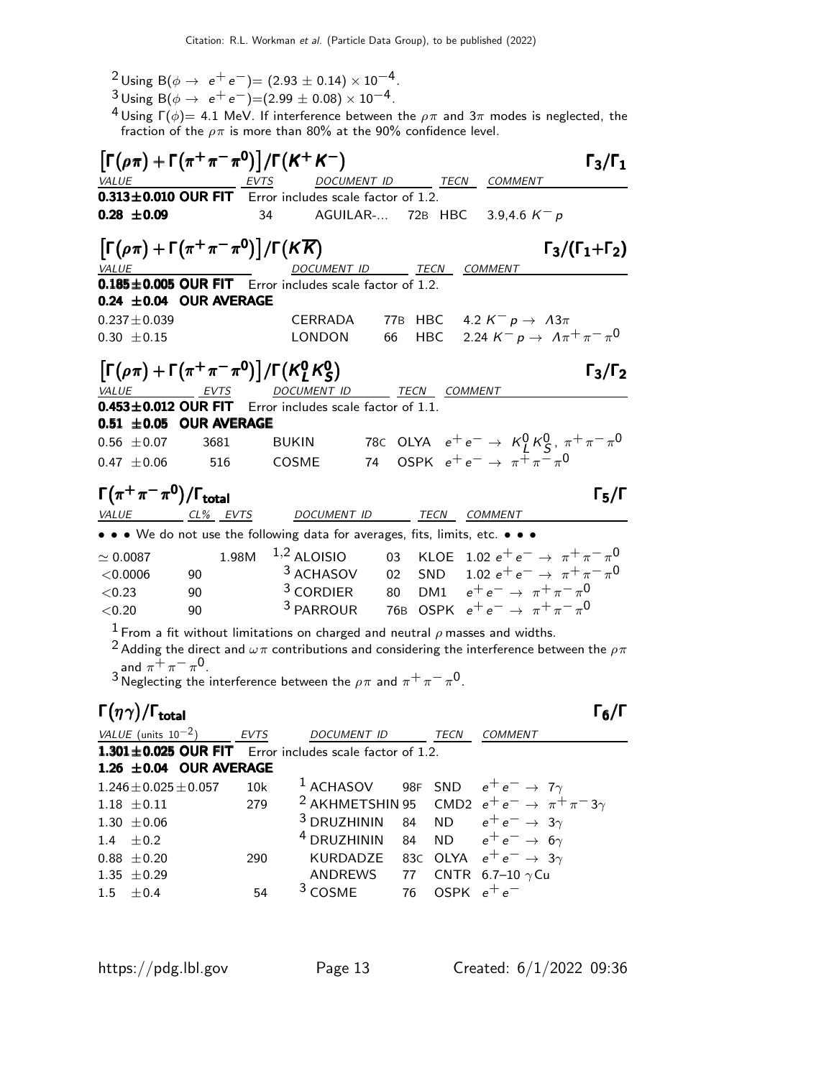- 2 Using B( $\phi \to e^+e^-$ )= (2.93 ± 0.14) × 10<sup>-4</sup>.
- $\frac{3}{4}$ Using B( $\phi \to e^+e^-$ )=(2.99 ± 0.08) × 10<sup>-4</sup>.

<sup>4</sup> Using Γ $(\phi)$ = 4.1 MeV. If interference between the  $\rho\pi$  and 3 $\pi$  modes is neglected, the fraction of the  $\rho\pi$  is more than 80% at the 90% confidence level.

| $\left[\Gamma(\rho\pi)+\Gamma(\pi^+\pi^-\pi^0)\right]/\Gamma(K^+K^-)$        |                 |                                                                                      |                             | $\Gamma_3/\Gamma_1$                                                                                                 |
|------------------------------------------------------------------------------|-----------------|--------------------------------------------------------------------------------------|-----------------------------|---------------------------------------------------------------------------------------------------------------------|
| <b>VALUE</b>                                                                 | EVTS            | DOCUMENT ID ______ TECN COMMENT                                                      |                             |                                                                                                                     |
|                                                                              |                 | $0.313 \pm 0.010$ OUR FIT Error includes scale factor of 1.2.                        |                             |                                                                                                                     |
| $0.28 \pm 0.09$                                                              |                 | 34<br>AGUILAR- 72B HBC                                                               |                             | 3.9,4.6 $K^- p$                                                                                                     |
| $\left[\Gamma(\rho\pi)+\Gamma(\pi^+\pi^-\pi^0)\right]/\Gamma(K\overline{K})$ |                 |                                                                                      |                             | $\Gamma_3/(\Gamma_1+\Gamma_2)$                                                                                      |
| VALUE                                                                        |                 | DOCUMENT ID TECN COMMENT<br>0.185±0.005 OUR FIT Error includes scale factor of 1.2.  |                             |                                                                                                                     |
| 0.24 $\pm$ 0.04 OUR AVERAGE                                                  |                 |                                                                                      |                             |                                                                                                                     |
|                                                                              |                 |                                                                                      |                             |                                                                                                                     |
| $0.237 \pm 0.039$                                                            |                 | CERRADA                                                                              |                             | 77B HBC 4.2 $K^- p \rightarrow A3\pi$                                                                               |
| $0.30 \pm 0.15$                                                              |                 | LONDON                                                                               | 66                          | HBC 2.24 $K^- p \to \Lambda \pi^+ \pi^- \pi^0$                                                                      |
| $\left[\Gamma(\rho\pi)+\Gamma(\pi^+\pi^-\pi^0)\right]/\Gamma(K_L^0K_S^0)$    |                 |                                                                                      |                             | $\Gamma_3/\Gamma_2$                                                                                                 |
| VALUE<br>$0.453 \pm 0.012$ OUR FIT                                           | EVTS            | DOCUMENT ID TECN COMMENT<br>Error includes scale factor of 1.1.                      |                             |                                                                                                                     |
| $0.51 \pm 0.05$ OUR AVERAGE                                                  |                 |                                                                                      |                             |                                                                                                                     |
| $0.56 \pm 0.07$                                                              | 3681            | <b>BUKIN</b>                                                                         |                             | 78C OLYA $e^+e^- \to K^0_I K^0_S$ , $\pi^+\pi^-\pi^0$                                                               |
|                                                                              |                 | COSME                                                                                |                             | 74 OSPK $e^+e^- \rightarrow \pi^+\pi^-\pi^0$                                                                        |
| $0.47 \pm 0.06$                                                              | 516             |                                                                                      |                             |                                                                                                                     |
| $\Gamma(\pi^+\pi^-\pi^0)/\Gamma_{\rm total}$                                 |                 |                                                                                      |                             | $\Gamma_5/\Gamma$                                                                                                   |
| <b>VALUE</b>                                                                 | <u>CL% EVTS</u> | DOCUMENT ID                                                                          | TECN                        | COMMENT                                                                                                             |
|                                                                              |                 | • • • We do not use the following data for averages, fits, limits, etc. • • •        |                             |                                                                                                                     |
| $\simeq 0.0087$                                                              | 1.98M           | $1,2$ ALOISIO                                                                        |                             | 03 KLOE 1.02 $e^+e^- \rightarrow \pi^+\pi^-\pi^0$                                                                   |
| < 0.0006<br>90                                                               |                 | <sup>3</sup> ACHASOV                                                                 |                             | 02 SND 1.02 $e^+e^- \to \pi^+\pi^-\pi^0$                                                                            |
| < 0.23                                                                       | 90              |                                                                                      |                             | <sup>3</sup> CORDIER 80 DM1 $e^+e^- \rightarrow \pi^+\pi^-\pi^0$                                                    |
| < 0.20                                                                       | 90              |                                                                                      |                             | <sup>3</sup> PARROUR 76B OSPK $e^+e^- \rightarrow \pi^+\pi^-\pi^0$                                                  |
|                                                                              |                 |                                                                                      |                             |                                                                                                                     |
|                                                                              |                 | $^1$ From a fit without limitations on charged and neutral $\rho$ masses and widths. |                             |                                                                                                                     |
|                                                                              |                 |                                                                                      |                             | <sup>2</sup> Adding the direct and $\omega\pi$ contributions and considering the interference between the $\rho\pi$ |
| and $\pi^+\pi^-\pi^0$ .                                                      |                 |                                                                                      | $\sim$ $\sim$ $\sim$ $\sim$ |                                                                                                                     |

 $^3$  Neglecting the interference between the  $\rho\pi$  and  $\pi^+\pi^-\pi^0.$ 

### $\Gamma(\eta \gamma)/\Gamma_{\rm total}$  Γ<sub>6</sub>/Γ

| VALUE (units $10^{-2}$ )                                      | EVTS | DOCUMENT ID                                               | TECN | <b>COMMENT</b>                                                         |
|---------------------------------------------------------------|------|-----------------------------------------------------------|------|------------------------------------------------------------------------|
| $1.301 \pm 0.025$ OUR FIT Error includes scale factor of 1.2. |      |                                                           |      |                                                                        |
| 1.26 $\pm$ 0.04 OUR AVERAGE                                   |      |                                                           |      |                                                                        |
| $1.246 \pm 0.025 \pm 0.057$ 10k                               |      | <sup>1</sup> ACHASOV 98F SND $e^+e^- \rightarrow 7\gamma$ |      |                                                                        |
| $1.18 \pm 0.11$                                               | 279  |                                                           |      | <sup>2</sup> AKHMETSHIN 95 CMD2 $e^+e^- \rightarrow \pi^+\pi^-3\gamma$ |
| $1.30 \pm 0.06$                                               |      | <sup>3</sup> DRUZHININ 84 ND $e^+e^- \rightarrow 3\gamma$ |      |                                                                        |
| 1.4 $\pm$ 0.2                                                 |      | <sup>4</sup> DRUZHININ 84 ND $e^+e^- \rightarrow 6\gamma$ |      |                                                                        |
| $0.88 \pm 0.20$                                               | 290  | KURDADZE 83C OLYA $e^+e^- \rightarrow 3\gamma$            |      |                                                                        |
| 1.35 $\pm$ 0.29                                               |      | ANDREWS 77 CNTR 6.7-10 $\gamma$ Cu                        |      |                                                                        |
| $1.5 \pm 0.4$                                                 | 54   | $3 \text{ COSME}$ 76 OSPK $e^+e^-$                        |      |                                                                        |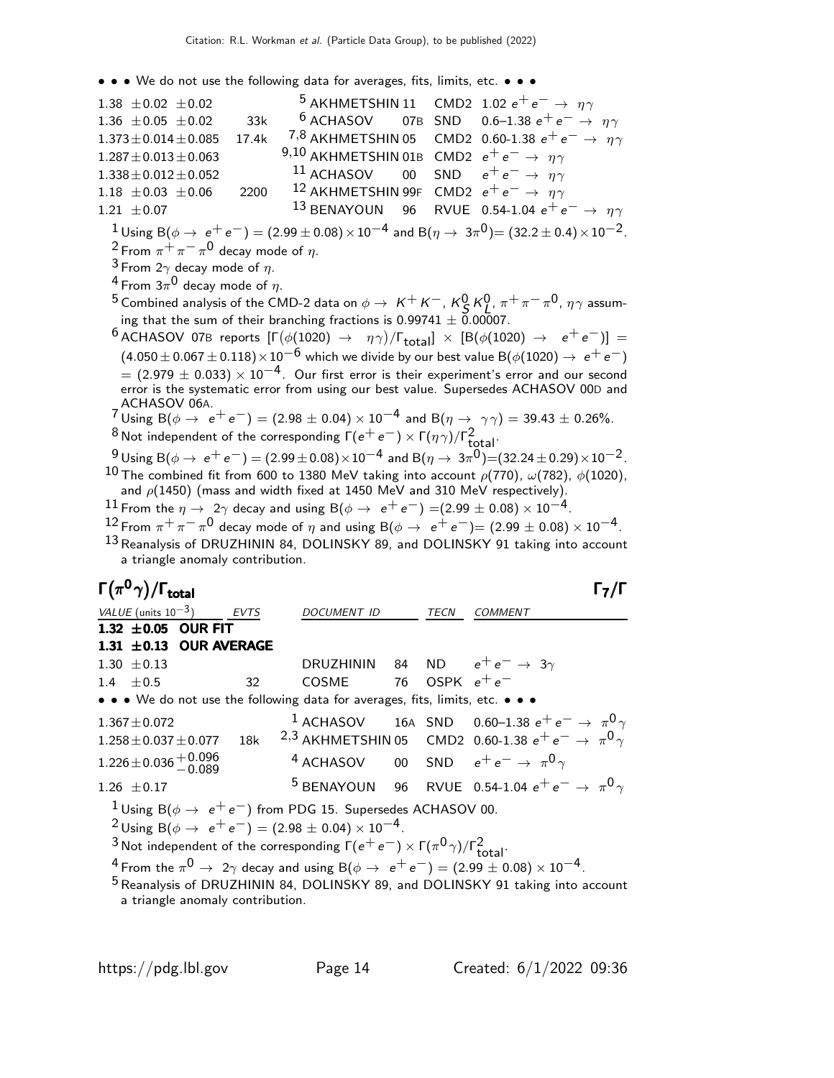• • • We do not use the following data for averages, fits, limits, etc. • • •

1.38  $\pm$  0.02  $\pm$  0.02 5 AKHMETSHIN 11 CMD2 1.02  $e^+e^- \rightarrow \eta \gamma$ <br>1.36  $\pm$  0.05  $\pm$  0.02 33k <sup>6</sup> ACHASOV 07B SND 0.6–1.38  $e^+e^- \rightarrow$ 1.36  $\pm$  0.05  $\pm$  0.02 33k <sup>6</sup> ACHASOV 07B SND 0.6–1.38  $e^+e^- \rightarrow \eta \gamma$ <br>1.373 $\pm$  0.014 $\pm$ 0.085 17.4k <sup>7,8</sup> AKHMETSHIN 05 CMD2 0.60-1.38  $e^+e^- \rightarrow \eta \gamma$ 1.373±0.014±0.085 17.4k  $^{7,8}$  AKHMETSHIN 05 CMD2 0.60-1.38  $e^+e^-$  →  $\eta\gamma$ <br>1.287±0.013±0.063 9,10 AKHMETSHIN 01B CMD2  $e^+e^-$  →  $\eta\gamma$  $^{9,10}$  AKHMETSHIN 01B CMD2  $e^+e^-$  → η γ<br>  $^{11}$  ACHASOV 00 SND  $e^+e^-$  → η γ  $1.338 \pm 0.012 \pm 0.052$ <br> $1.18 \pm 0.03 \pm 0.06$  2200 1.18 ±0.03 ±0.06 2200 <sup>12</sup> AKHMETSHIN 99F CMD2  $e^+e^- \rightarrow \eta \gamma$ <br>1.21 ±0.07 <sup>13</sup> BENAYOUN 96 RVUE 0.54-1.04  $e^+e$ RVUE 0.54-1.04  $e^+e^- \rightarrow \eta \gamma$  $\frac{1}{2}$ Using B( $\phi \to e^+e^-$ ) = (2.99 ± 0.08) × 10<sup>-4</sup> and B( $\eta \to 3\pi^0$ )= (32.2 ± 0.4) × 10<sup>-2</sup>.  $^2$ From  $\pi^+\pi^-\pi^0$  decay mode of  $\eta.$  $3$  From 2 $\gamma$  decay mode of  $\eta$ .  $^4$  From  $3\pi^0$  decay mode of  $\eta.$ <sup>5</sup> Combined analysis of the CMD-2 data on  $\phi \to K^+ K^-$ ,  $K^0_S K^0_S$ ,  $\pi^+ \pi^- \pi^0$ ,  $\eta \gamma$  assuming that the sum of their branching fractions is  $0.99741 \pm 0.00007$ .  $^6$ ACHASOV 07B reports  $[\Gamma(\phi(1020) \rightarrow \eta \gamma)/\Gamma_{\rm total}]\times[{\cal B}(\phi(1020) \rightarrow \epsilon^+ \epsilon^-)] =$  $(4.050 \pm 0.067 \pm 0.118) \times 10^{-6}$  which we divide by our best value B( $\phi$ (1020)  $\rightarrow e^+e^-$ )  $=$  (2.979  $\pm$  0.033)  $\times$  10<sup>-4</sup>. Our first error is their experiment's error and our second error is the systematic error from using our best value. Supersedes ACHASOV 00D and ACHASOV 06A.  $7 \text{ Using } B(\phi \to e^+ e^-) = (2.98 \pm 0.04) \times 10^{-4} \text{ and } B(\eta \to \gamma \gamma) = 39.43 \pm 0.26\%$ . <sup>8</sup> Not independent of the corresponding  $\Gamma(e^+e^-) \times \Gamma(\eta \gamma)/\Gamma_{\rm total}^2$ .  $^{9}$  Using B( $\phi \to e^+e^-$ ) = (2.99 ± 0.08) × 10<sup>-4</sup> and B( $\eta \to 3\pi^0$ )=(32.24 ± 0.29) × 10<sup>-2</sup>.  $^{10}$  The combined fit from 600 to 1380 MeV taking into account  $\rho(770)$ ,  $\omega(782)$ ,  $\phi(1020)$ , and  $\rho(1450)$  (mass and width fixed at 1450 MeV and 310 MeV respectively).  $^{11}$  From the  $\eta \rightarrow\ 2\gamma$  decay and using B( $\phi \rightarrow\ e^+ \,e^-)$  =(2.99  $\pm$  0.08)  $\times$  10 $^{-4}$ .  $12$  From  $\pi^+\pi^-\pi^0$  decay mode of  $\eta$  and using B( $\phi \to e^+e^-$ )= (2.99  $\pm$  0.08)  $\times$  10 $^{-4}$ . 13 Reanalysis of DRUZHININ 84, DOLINSKY 89, and DOLINSKY 91 taking into account a triangle anomaly contribution. Γ $(\pi^0 \gamma)/\Gamma_{\text{total}}$  Γ $_7/\Gamma$ VALUE (units  $10^{-3}$ ) EVTS DOCUMENT ID TECN COMMENT 1.32  $\pm 0.05$  OUR FIT 1.31  $\pm$  0.13 OUR AVERAGE 1.30  $+$  0.13 1.30 ±0.13 DRUZHININ 84 ND  $e^+e^- \rightarrow 3\gamma$ <br>1.4 ±0.5 32 COSME 76 OSPK  $e^+e^-$ OSPK  $e^+e^-$ • • • We do not use the following data for averages, fits, limits, etc. • • • 1.367±0.072 16A SND 0.60−1.38  $e^+e^-$  →  $\pi^0$  $1.258\pm0.037\pm0.077$  18k  $^{-2,3}$  AKHMETSHIN 05  $\,$  CMD2 0.60-1.38  $e^+ \, e^- \rightarrow \, \pi^0 \, \gamma$  $1.226 \pm 0.036 \begin{array}{c} +0.096 \\ -0.089 \end{array}$ <sup>4</sup> ACHASOV 00 SND  $e^+e^- \rightarrow \pi^0 \gamma$ 1.26  $\pm$  0.17 <sup>5</sup> BENAYOUN 96 RVUE 0.54-1.04  $e^+e^- \to \pi^0 \gamma$ <sup>1</sup>Using B( $\phi \rightarrow e^+e^-$ ) from PDG 15. Supersedes ACHASOV 00.  $^{2}$  Using B( $\phi \rightarrow e^{+}e^{-}$ ) = (2.98 ± 0.04) × 10<sup>-4</sup>. <sup>3</sup> Not independent of the corresponding  $\Gamma(e^+e^-) \times \Gamma(\pi^0\gamma)/\Gamma^2_{\text{total}}$ .  $^4$  From the  $\pi^0\rightarrow\,\,2\gamma$  decay and using  ${\rm B}(\phi\rightarrow\,\,{\rm e}^+\,{\rm e}^-)=(2.99\pm 0.08)\times 10^{-4}$ .

<sup>5</sup> Reanalysis of DRUZHININ 84, DOLINSKY 89, and DOLINSKY 91 taking into account a triangle anomaly contribution.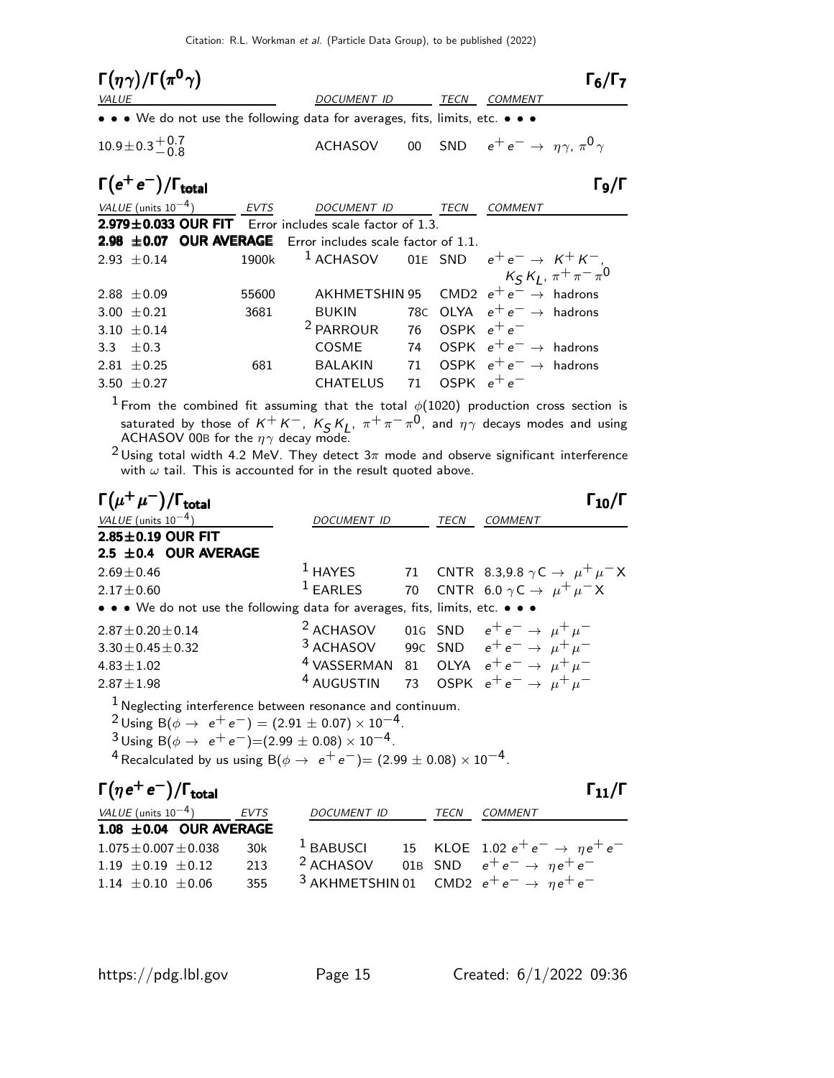| <b>VALUE</b>    | $\Gamma(\eta\gamma)/\Gamma(\pi^0\gamma)$ |                                                                               | DOCUMENT ID                                              |     | TECN          | <b>COMMENT</b>                                           | $\Gamma_6/\Gamma_7$             |
|-----------------|------------------------------------------|-------------------------------------------------------------------------------|----------------------------------------------------------|-----|---------------|----------------------------------------------------------|---------------------------------|
|                 |                                          | • • • We do not use the following data for averages, fits, limits, etc. • • • |                                                          |     |               |                                                          |                                 |
|                 | $10.9 \pm 0.3 \pm 0.7$                   |                                                                               | <b>ACHASOV</b>                                           |     |               | 00 SND $e^+e^- \rightarrow \eta \gamma$ , $\pi^0 \gamma$ |                                 |
|                 | $\Gamma(e^+e^-)/\Gamma_{\text{total}}$   |                                                                               |                                                          |     |               |                                                          | Го/Г                            |
|                 | VALUE (units $10^{-4}$ )                 | <b>EVTS</b>                                                                   | <b>DOCUMENT ID</b>                                       |     | TECN          | COMMENT                                                  |                                 |
|                 |                                          | $2.979 \pm 0.033$ OUR FIT Error includes scale factor of 1.3.                 |                                                          |     |               |                                                          |                                 |
| $2.98 \pm 0.07$ |                                          | <b>OUR AVERAGE</b> Error includes scale factor of 1.1.                        |                                                          |     |               |                                                          |                                 |
| $2.93 + 0.14$   |                                          | 1900k                                                                         | <sup>1</sup> ACHASOV 01E SND $e^+e^- \rightarrow K^+K^-$ |     |               |                                                          |                                 |
|                 |                                          |                                                                               |                                                          |     |               |                                                          | $K_S K_J$ , $\pi^+ \pi^- \pi^0$ |
| 2.88 $\pm$ 0.09 |                                          | 55600                                                                         | <b>AKHMETSHIN 95</b>                                     |     |               | CMD2 $e^+e^- \rightarrow$ hadrons                        |                                 |
| 3.00            | $\pm 0.21$                               | 3681                                                                          | <b>BUKIN</b>                                             | 78C |               | OLYA $e^+e^- \rightarrow$ hadrons                        |                                 |
| 3.10            | $\pm 0.14$                               |                                                                               | <sup>2</sup> PARROUR                                     | 76  | OSPK $e^+e^-$ |                                                          |                                 |
| 3.3             | $+0.3$                                   |                                                                               | COSME                                                    | 74  |               | OSPK $e^+e^- \rightarrow$ hadrons                        |                                 |
| $2.81 + 0.25$   |                                          | 681                                                                           | <b>BALAKIN</b>                                           | 71  |               | OSPK $e^+e^- \rightarrow$ hadrons                        |                                 |
| 3.50 $\pm$ 0.27 |                                          |                                                                               | <b>CHATELUS</b>                                          | 71  | OSPK $e^+e^-$ |                                                          |                                 |

 $^1$  From the combined fit assuming that the total  $\phi(1020)$  production cross section is saturated by those of  $K^+K^-$ ,  $K_S K_L$ ,  $\pi^+\pi^-\pi^0$ , and  $\eta\gamma$  decays modes and using ACHASOV 00B for the  $\eta\gamma$  decay mode.

 $^2$ Using total width 4.2 MeV. They detect  $3\pi$  mode and observe significant interference with  $\omega$  tail. This is accounted for in the result quoted above.

| $\Gamma(\mu^+\mu^-)/\Gamma_{\rm total}$                                                                                                                                                                                                                                                                                                                                       |                                                                           |      |                |  |
|-------------------------------------------------------------------------------------------------------------------------------------------------------------------------------------------------------------------------------------------------------------------------------------------------------------------------------------------------------------------------------|---------------------------------------------------------------------------|------|----------------|--|
| VALUE (units $10^{-4}$ )                                                                                                                                                                                                                                                                                                                                                      | DOCUMENT ID                                                               | TECN | <b>COMMENT</b> |  |
| $2.85 \pm 0.19$ OUR FIT                                                                                                                                                                                                                                                                                                                                                       |                                                                           |      |                |  |
| 2.5 $\pm$ 0.4 OUR AVERAGE                                                                                                                                                                                                                                                                                                                                                     |                                                                           |      |                |  |
| $2.69 \pm 0.46$                                                                                                                                                                                                                                                                                                                                                               | <sup>1</sup> HAYES 71 CNTR 8.3,9.8 $\gamma$ C $\rightarrow \mu^+ \mu^- X$ |      |                |  |
| $2.17 \pm 0.60$                                                                                                                                                                                                                                                                                                                                                               | <sup>1</sup> EARLES 70 CNTR 6.0 $\gamma$ C $\rightarrow \mu^+ \mu^- X$    |      |                |  |
| • • • We do not use the following data for averages, fits, limits, etc. • • •                                                                                                                                                                                                                                                                                                 |                                                                           |      |                |  |
| $2.87 \pm 0.20 \pm 0.14$                                                                                                                                                                                                                                                                                                                                                      | <sup>2</sup> ACHASOV 01G SND $e^+e^- \rightarrow \mu^+\mu^-$              |      |                |  |
| $3.30 \pm 0.45 \pm 0.32$                                                                                                                                                                                                                                                                                                                                                      | <sup>3</sup> ACHASOV 99C SND $e^+e^- \rightarrow \mu^+\mu^-$              |      |                |  |
| $4.83 \pm 1.02$                                                                                                                                                                                                                                                                                                                                                               | <sup>4</sup> VASSERMAN 81 OLYA $e^+e^- \rightarrow \mu^+\mu^-$            |      |                |  |
| $2.87 \pm 1.98$                                                                                                                                                                                                                                                                                                                                                               | <sup>4</sup> AUGUSTIN 73 OSPK $e^+e^- \rightarrow \mu^+\mu^-$             |      |                |  |
| $1$ Neglecting interference between resonance and continuum.<br><sup>2</sup> Using B( $\phi \rightarrow e^+e^-$ ) = (2.91 $\pm$ 0.07) $\times$ 10 <sup>-4</sup> .<br>$3 \text{ Using } B(\phi \rightarrow e^+e^-) = (2.99 \pm 0.08) \times 10^{-4}$ .<br><sup>4</sup> Recalculated by us using B( $\phi \rightarrow e^+e^-$ ) = (2.99 $\pm$ 0.08) $\times$ 10 <sup>-4</sup> . |                                                                           |      |                |  |
| $\Gamma(\eta e^+e^-)/\Gamma_{\rm total}$                                                                                                                                                                                                                                                                                                                                      |                                                                           |      |                |  |

| EVTS                            | <b>DOCUMENT ID</b> | TECN | COMMENT                                                                                                                           |
|---------------------------------|--------------------|------|-----------------------------------------------------------------------------------------------------------------------------------|
| $1.08 \pm 0.04$ OUR AVERAGE     |                    |      |                                                                                                                                   |
| $1.075 \pm 0.007 \pm 0.038$ 30k | $1$ BABUSCI        |      | 15 KLOE 1.02 $e^+e^- \rightarrow \eta e^+e^-$                                                                                     |
| 213                             |                    |      |                                                                                                                                   |
| 355                             |                    |      |                                                                                                                                   |
|                                 |                    |      | <sup>2</sup> ACHASOV 01B SND $e^+e^- \rightarrow \eta e^+e^-$<br><sup>3</sup> AKHMETSHIN 01 CMD2 $e^+e^- \rightarrow \eta e^+e^-$ |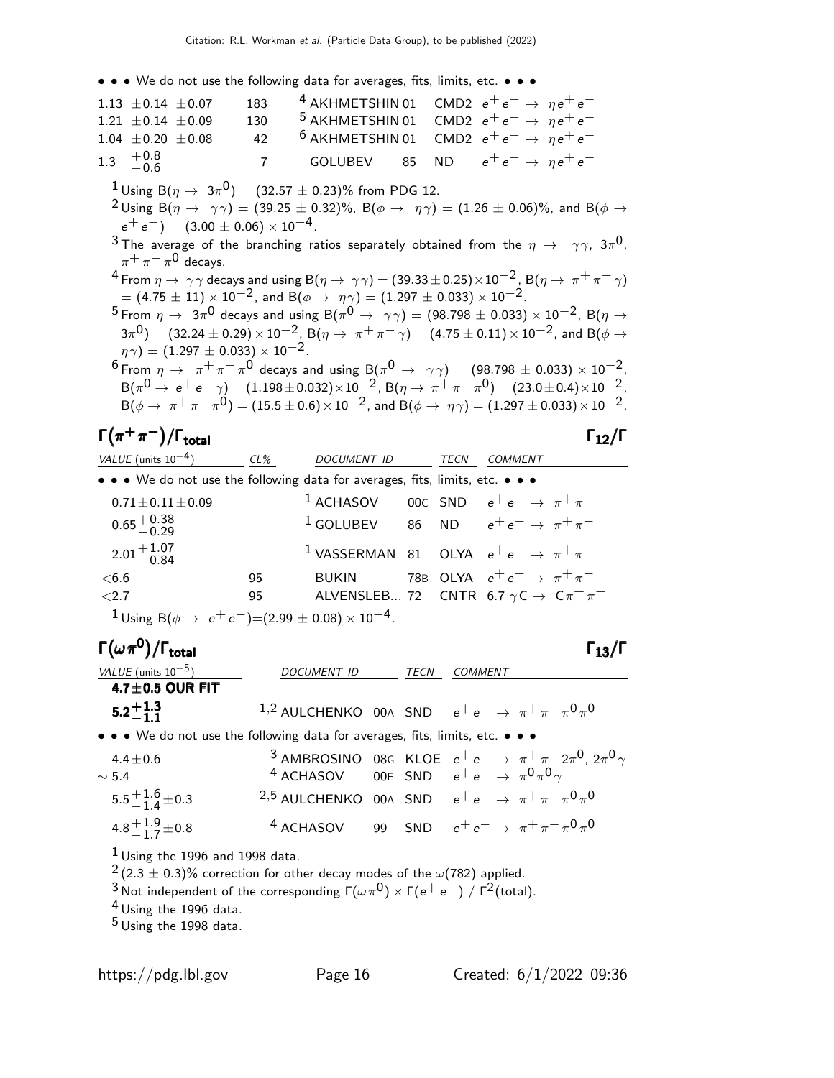• • • We do not use the following data for averages, fits, limits, etc. • • •

|                    | 183                                                                                                             |                |                                                                                                                  |                                                 |                                                                              |                                                                                                                       |                                                                                                                                                                                                                                                                                                                                                                                                                                                                                                                                                                                                                                                                                                                                                                                                                                                                                                                                                                                                                                                                                                                                                                                                                                                                                                                                                      |
|--------------------|-----------------------------------------------------------------------------------------------------------------|----------------|------------------------------------------------------------------------------------------------------------------|-------------------------------------------------|------------------------------------------------------------------------------|-----------------------------------------------------------------------------------------------------------------------|------------------------------------------------------------------------------------------------------------------------------------------------------------------------------------------------------------------------------------------------------------------------------------------------------------------------------------------------------------------------------------------------------------------------------------------------------------------------------------------------------------------------------------------------------------------------------------------------------------------------------------------------------------------------------------------------------------------------------------------------------------------------------------------------------------------------------------------------------------------------------------------------------------------------------------------------------------------------------------------------------------------------------------------------------------------------------------------------------------------------------------------------------------------------------------------------------------------------------------------------------------------------------------------------------------------------------------------------------|
|                    |                                                                                                                 |                |                                                                                                                  |                                                 |                                                                              |                                                                                                                       |                                                                                                                                                                                                                                                                                                                                                                                                                                                                                                                                                                                                                                                                                                                                                                                                                                                                                                                                                                                                                                                                                                                                                                                                                                                                                                                                                      |
|                    | 42                                                                                                              |                |                                                                                                                  |                                                 |                                                                              |                                                                                                                       |                                                                                                                                                                                                                                                                                                                                                                                                                                                                                                                                                                                                                                                                                                                                                                                                                                                                                                                                                                                                                                                                                                                                                                                                                                                                                                                                                      |
|                    | $\overline{7}$                                                                                                  | <b>GOLUBEV</b> | 85                                                                                                               |                                                 |                                                                              |                                                                                                                       |                                                                                                                                                                                                                                                                                                                                                                                                                                                                                                                                                                                                                                                                                                                                                                                                                                                                                                                                                                                                                                                                                                                                                                                                                                                                                                                                                      |
|                    |                                                                                                                 |                |                                                                                                                  |                                                 |                                                                              |                                                                                                                       |                                                                                                                                                                                                                                                                                                                                                                                                                                                                                                                                                                                                                                                                                                                                                                                                                                                                                                                                                                                                                                                                                                                                                                                                                                                                                                                                                      |
|                    |                                                                                                                 |                |                                                                                                                  |                                                 |                                                                              |                                                                                                                       |                                                                                                                                                                                                                                                                                                                                                                                                                                                                                                                                                                                                                                                                                                                                                                                                                                                                                                                                                                                                                                                                                                                                                                                                                                                                                                                                                      |
|                    |                                                                                                                 |                |                                                                                                                  |                                                 |                                                                              |                                                                                                                       |                                                                                                                                                                                                                                                                                                                                                                                                                                                                                                                                                                                                                                                                                                                                                                                                                                                                                                                                                                                                                                                                                                                                                                                                                                                                                                                                                      |
|                    |                                                                                                                 |                |                                                                                                                  |                                                 |                                                                              |                                                                                                                       |                                                                                                                                                                                                                                                                                                                                                                                                                                                                                                                                                                                                                                                                                                                                                                                                                                                                                                                                                                                                                                                                                                                                                                                                                                                                                                                                                      |
|                    |                                                                                                                 |                |                                                                                                                  |                                                 |                                                                              |                                                                                                                       |                                                                                                                                                                                                                                                                                                                                                                                                                                                                                                                                                                                                                                                                                                                                                                                                                                                                                                                                                                                                                                                                                                                                                                                                                                                                                                                                                      |
|                    |                                                                                                                 |                |                                                                                                                  |                                                 |                                                                              |                                                                                                                       |                                                                                                                                                                                                                                                                                                                                                                                                                                                                                                                                                                                                                                                                                                                                                                                                                                                                                                                                                                                                                                                                                                                                                                                                                                                                                                                                                      |
|                    |                                                                                                                 |                |                                                                                                                  |                                                 |                                                                              |                                                                                                                       |                                                                                                                                                                                                                                                                                                                                                                                                                                                                                                                                                                                                                                                                                                                                                                                                                                                                                                                                                                                                                                                                                                                                                                                                                                                                                                                                                      |
|                    |                                                                                                                 |                |                                                                                                                  |                                                 |                                                                              |                                                                                                                       |                                                                                                                                                                                                                                                                                                                                                                                                                                                                                                                                                                                                                                                                                                                                                                                                                                                                                                                                                                                                                                                                                                                                                                                                                                                                                                                                                      |
|                    |                                                                                                                 |                |                                                                                                                  |                                                 |                                                                              |                                                                                                                       |                                                                                                                                                                                                                                                                                                                                                                                                                                                                                                                                                                                                                                                                                                                                                                                                                                                                                                                                                                                                                                                                                                                                                                                                                                                                                                                                                      |
|                    |                                                                                                                 |                |                                                                                                                  |                                                 |                                                                              |                                                                                                                       |                                                                                                                                                                                                                                                                                                                                                                                                                                                                                                                                                                                                                                                                                                                                                                                                                                                                                                                                                                                                                                                                                                                                                                                                                                                                                                                                                      |
|                    |                                                                                                                 |                |                                                                                                                  |                                                 |                                                                              |                                                                                                                       |                                                                                                                                                                                                                                                                                                                                                                                                                                                                                                                                                                                                                                                                                                                                                                                                                                                                                                                                                                                                                                                                                                                                                                                                                                                                                                                                                      |
|                    |                                                                                                                 |                |                                                                                                                  |                                                 |                                                                              |                                                                                                                       |                                                                                                                                                                                                                                                                                                                                                                                                                                                                                                                                                                                                                                                                                                                                                                                                                                                                                                                                                                                                                                                                                                                                                                                                                                                                                                                                                      |
|                    |                                                                                                                 |                |                                                                                                                  |                                                 |                                                                              |                                                                                                                       |                                                                                                                                                                                                                                                                                                                                                                                                                                                                                                                                                                                                                                                                                                                                                                                                                                                                                                                                                                                                                                                                                                                                                                                                                                                                                                                                                      |
| 1.3 $+0.8$<br>-0.6 | 1.13 $\pm$ 0.14 $\pm$ 0.07<br>$1.21 \pm 0.14 \pm 0.09$<br>$1.04 \pm 0.20 \pm 0.08$<br>$\pi^+\pi^-\pi^0$ decays. | 130            | $e^+e^-$ = (3.00 $\pm$ 0.06) $\times$ 10 <sup>-4</sup> .<br>$(\eta \gamma) = (1.297 \pm 0.033) \times 10^{-2}$ . | <sup>4</sup> AKHMETSHIN 01<br>$6$ AKHMETSHIN 01 | <sup>1</sup> Using B( $\eta \to 3\pi^0$ ) = (32.57 $\pm$ 0.23)% from PDG 12. | $= (4.75 \pm 11) \times 10^{-2}$ , and B( $\phi \rightarrow \eta \gamma$ ) = (1.297 $\pm$ 0.033) × 10 <sup>-2</sup> . | CMD2 $e^+e^- \rightarrow ne^+e^-$<br><sup>5</sup> AKHMETSHIN 01 CMD2 $e^+e^- \rightarrow \eta e^+e^-$<br>CMD2 $e^+e^- \rightarrow \eta e^+e^-$<br>ND $e^+e^- \rightarrow ne^+e^-$<br><sup>2</sup> Using B( $\eta \rightarrow \gamma \gamma$ ) = (39.25 ± 0.32)%, B( $\phi \rightarrow \eta \gamma$ ) = (1.26 ± 0.06)%, and B( $\phi \rightarrow$<br><sup>3</sup> The average of the branching ratios separately obtained from the $\eta \rightarrow \gamma \gamma$ , $3\pi^{0}$ ,<br><sup>4</sup> From $\eta \to \gamma \gamma$ decays and using B( $\eta \to \gamma \gamma$ ) = (39.33 ± 0.25) × 10 <sup>-2</sup> , B( $\eta \to \pi^+ \pi^- \gamma$ )<br>$^{5}$ From $\eta \to 3\pi^{0}$ decays and using B( $\pi^{0} \to \gamma\gamma) = (98.798 \pm 0.033) \times 10^{-2}$ , B( $\eta \to$<br>$(3\pi^0) = (32.24 \pm 0.29) \times 10^{-2}$ , B( $\eta \to \pi^+ \pi^- \gamma$ ) = (4.75 ± 0.11) × 10 <sup>-2</sup> , and B( $\phi \to$<br>6 From $\eta \to \pi^+\pi^-\pi^0$ decays and using B( $\pi^0 \to \gamma\gamma$ ) = (98.798 ± 0.033) × 10 <sup>-2</sup> .<br>$B(\pi^0 \to e^+e^-\gamma) = (1.198 \pm 0.032) \times 10^{-2}$ , $B(\eta \to \pi^+ \pi^- \pi^0) = (23.0 \pm 0.4) \times 10^{-2}$ ,<br>$B(\phi \to \pi^+ \pi^- \pi^0) = (15.5 \pm 0.6) \times 10^{-2}$ , and $B(\phi \to \eta \gamma) = (1.297 \pm 0.033) \times 10^{-2}$ . |

#### $\Gamma(\pi^+\pi^-)/\Gamma_{\rm total}$  Γ<sub>12</sub>/Γ  $\Gamma$ <sub>total</sub> Γ<sub>12</sub>/Γ

| VALUE (units $10^{-4}$ )                                                             | $CL\%$ | DOCUMENT ID  | TECN | COMMENT                                                              |
|--------------------------------------------------------------------------------------|--------|--------------|------|----------------------------------------------------------------------|
| • • • We do not use the following data for averages, fits, limits, etc. • • •        |        |              |      |                                                                      |
| $0.71 \pm 0.11 \pm 0.09$                                                             |        |              |      | <sup>1</sup> ACHASOV 00C SND $e^+e^- \rightarrow \pi^+\pi^-$         |
| $0.65 + 0.38$<br>-0.29                                                               |        |              |      | <sup>1</sup> GOLUBEV 86 ND $e^+e^- \rightarrow \pi^+\pi^-$           |
| $2.01 + 1.07$<br>$-0.84$                                                             |        |              |      | <sup>1</sup> VASSERMAN 81 OLYA $e^+e^- \rightarrow \pi^+\pi^-$       |
| < 6.6                                                                                | 95     | <b>BUKIN</b> |      | 78B OLYA $e^+e^- \rightarrow \pi^+\pi^-$                             |
| ${<}2.7$                                                                             | 95     |              |      | ALVENSLEB 72 CNTR 6.7 $\gamma$ C $\rightarrow$ C $\pi^{+}$ $\pi^{-}$ |
| <sup>1</sup> Using B( $\phi \rightarrow e^+e^-$ )=(2.99 ± 0.08) × 10 <sup>-4</sup> . |        |              |      |                                                                      |

## Γ $(\omega \, \pi^{\bm{0}})/\Gamma_{\bm{\text{total}}}$

| VALUE (units $10^{-5}$ )                                                                                                                                                                                                                      | <i>DOCUMENT ID</i> | TECN | COMMENT                                                                                                                                                      |
|-----------------------------------------------------------------------------------------------------------------------------------------------------------------------------------------------------------------------------------------------|--------------------|------|--------------------------------------------------------------------------------------------------------------------------------------------------------------|
| $4.7 \pm 0.5$ OUR FIT                                                                                                                                                                                                                         |                    |      |                                                                                                                                                              |
| $5.2^{+1.3}_{-1.1}$                                                                                                                                                                                                                           |                    |      | 1,2 AULCHENKO 00A SND $e^+e^- \rightarrow \pi^+\pi^-\pi^0\pi^0$                                                                                              |
| • • • We do not use the following data for averages, fits, limits, etc. • • •                                                                                                                                                                 |                    |      |                                                                                                                                                              |
| $4.4 \pm 0.6$<br>$\sim$ 5.4                                                                                                                                                                                                                   |                    |      | <sup>3</sup> AMBROSINO 08G KLOE $e^+e^- \rightarrow \pi^+\pi^-2\pi^0$ , $2\pi^0\gamma$<br><sup>4</sup> ACHASOV 00E SND $e^+e^- \rightarrow \pi^0\pi^0\gamma$ |
| $5.5^{+1.6}_{-1.4}$ ± 0.3                                                                                                                                                                                                                     |                    |      | <sup>2,5</sup> AULCHENKO 00A SND $e^+e^- \rightarrow \pi^+\pi^-\pi^0\pi^0$                                                                                   |
| 4.8 $\frac{1.9}{1.7}$ ± 0.8                                                                                                                                                                                                                   |                    |      | <sup>4</sup> ACHASOV 99 SND $e^+e^- \rightarrow \pi^+\pi^-\pi^0\pi^0$                                                                                        |
| $1$ Using the 1996 and 1998 data.<br>$2(2.3 \pm 0.3)\%$ correction for other decay modes of the $\omega(782)$ applied.<br><sup>3</sup> Not independent of the corresponding $\Gamma(\omega \pi^0) \times \Gamma(e^+ e^-) / \Gamma^2$ (total). |                    |      |                                                                                                                                                              |

 $^4$  Using the 1996 data.

 $^5$  Using the 1998 data.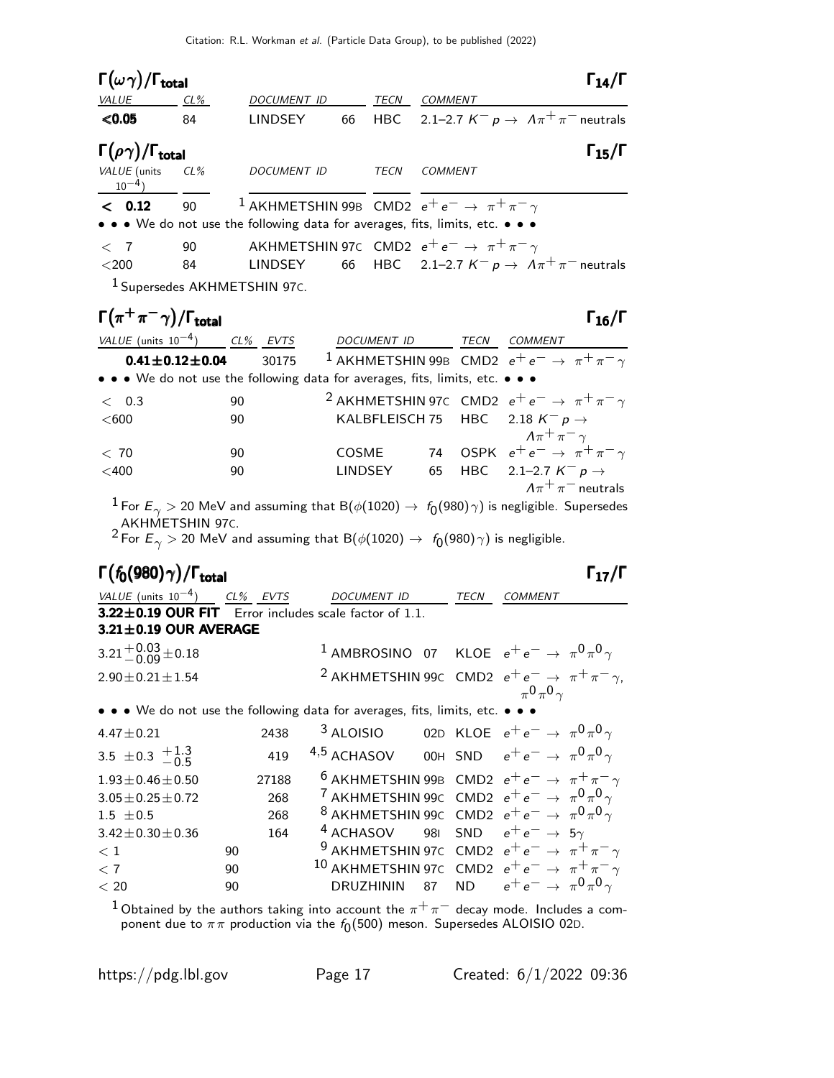| $\Gamma(\omega\gamma)/\Gamma_{\rm total}$                                     |                          |                                                                                                               |                          |                  |    | $\Gamma_{14}/\Gamma$                                                                                          |
|-------------------------------------------------------------------------------|--------------------------|---------------------------------------------------------------------------------------------------------------|--------------------------|------------------|----|---------------------------------------------------------------------------------------------------------------|
| VALUE CL%                                                                     |                          |                                                                                                               | DOCUMENT ID TECN COMMENT |                  |    |                                                                                                               |
| < 0.05                                                                        | 84                       | <b>LINDSEY</b>                                                                                                | 66                       |                  |    | HBC 2.1-2.7 $K^- p \rightarrow A \pi^+ \pi^-$ neutrals                                                        |
| $\Gamma(\rho\gamma)/\Gamma_{\rm total}$                                       |                          |                                                                                                               |                          |                  |    | $\Gamma_{15}/\Gamma$                                                                                          |
| VALUE (units<br>$10^{-4}$                                                     | CL%                      | DOCUMENT ID TECN COMMENT                                                                                      |                          |                  |    |                                                                                                               |
| < 0.12                                                                        | 90                       | <sup>1</sup> AKHMETSHIN 99B CMD2 $e^+e^- \rightarrow \pi^+\pi^-\gamma$                                        |                          |                  |    |                                                                                                               |
| • • • We do not use the following data for averages, fits, limits, etc. • • • |                          |                                                                                                               |                          |                  |    |                                                                                                               |
| $\langle$ 7                                                                   | 90                       | AKHMETSHIN 97 $\epsilon$ CMD2 $e^+e^- \rightarrow \pi^+\pi^-\gamma$                                           |                          |                  |    |                                                                                                               |
| $<$ 200                                                                       | 84                       | <b>LINDSEY</b>                                                                                                |                          |                  |    | 66 HBC 2.1-2.7 $K^- p \rightarrow A \pi^+ \pi^-$ neutrals                                                     |
|                                                                               |                          | <sup>1</sup> Supersedes AKHMETSHIN 97C.                                                                       |                          |                  |    |                                                                                                               |
| $\Gamma(\pi^+\pi^-\gamma)/\Gamma_{\rm total}$                                 |                          |                                                                                                               |                          |                  |    | $\Gamma_{16}/\Gamma$                                                                                          |
| VALUE (units $10^{-4}$ ) CL% EVTS                                             |                          |                                                                                                               |                          |                  |    | DOCUMENT ID TECN COMMENT                                                                                      |
|                                                                               | $0.41 \pm 0.12 \pm 0.04$ | 30175                                                                                                         |                          |                  |    | <sup>1</sup> AKHMETSHIN 99B CMD2 $e^+e^- \rightarrow \pi^+\pi^-\gamma$                                        |
| • • • We do not use the following data for averages, fits, limits, etc. • • • |                          |                                                                                                               |                          |                  |    |                                                                                                               |
| < 0.3                                                                         |                          | 90                                                                                                            |                          |                  |    | <sup>2</sup> AKHMETSHIN 97C CMD2 $e^+e^- \rightarrow \pi^+\pi^-\gamma$                                        |
| $<$ 600                                                                       |                          | 90                                                                                                            |                          |                  |    | KALBFLEISCH 75 HBC 2.18 $K^- p \rightarrow$                                                                   |
|                                                                               |                          |                                                                                                               |                          |                  |    | $\Lambda \pi^+ \pi^- \gamma$<br>74 OSPK $e^+e^- \rightarrow \pi^+\pi^-\gamma$                                 |
| < 70<br>$<$ 400                                                               |                          | 90<br>90                                                                                                      |                          | COSME<br>LINDSEY | 65 | HBC 2.1-2.7 $K^- p \rightarrow$                                                                               |
|                                                                               |                          |                                                                                                               |                          |                  |    | $A\pi^+\pi^-$ neutrals                                                                                        |
|                                                                               |                          |                                                                                                               |                          |                  |    | $^1$ For $E_\gamma >$ 20 MeV and assuming that B( $\phi(1020) \to~f_0(980) \gamma)$ is negligible. Supersedes |
| AKHMETSHIN 97C.                                                               |                          |                                                                                                               |                          |                  |    |                                                                                                               |
|                                                                               |                          | $^2$ For $E_\gamma >$ 20 MeV and assuming that B( $\phi(1020) \rightarrow~f_0(980) \, \gamma)$ is negligible. |                          |                  |    |                                                                                                               |
| $\Gamma(f_0(980)\gamma)/\Gamma_{\rm total}$                                   |                          |                                                                                                               |                          |                  |    | $\Gamma_{17}/\Gamma$                                                                                          |
| VALUE (units $10^{-4}$ ) CL% EVTS DOCUMENT ID TECN COMMENT                    |                          |                                                                                                               |                          |                  |    |                                                                                                               |
| $3.22 \pm 0.19$ OUR FIT Error includes scale factor of 1.1.                   |                          |                                                                                                               |                          |                  |    |                                                                                                               |
| 3.21±0.19 OUR AVERAGE                                                         |                          |                                                                                                               |                          |                  |    |                                                                                                               |
| $3.21^{+0.03}_{-0.09}$ ± 0.18                                                 |                          |                                                                                                               |                          |                  |    | <sup>1</sup> AMBROSINO 07 KLOE $e^+e^- \rightarrow \pi^0\pi^0\gamma$                                          |
| $2.90 \pm 0.21 \pm 1.54$                                                      |                          |                                                                                                               |                          |                  |    | <sup>2</sup> AKHMETSHIN 99C CMD2 $e^+e^- \rightarrow \pi^+\pi^-\gamma$ ,<br>$\pi^0 \pi^0 \gamma$              |
| • • • We do not use the following data for averages, fits, limits, etc. • •   |                          |                                                                                                               |                          |                  |    |                                                                                                               |
| $4.47 \pm 0.21$                                                               |                          | 2438                                                                                                          |                          |                  |    | <sup>3</sup> ALOISIO 02D KLOE $e^+e^- \rightarrow \pi^0 \pi^0 \gamma$                                         |
| 3.5 $\pm$ 0.3 $\frac{+1.3}{-0.5}$                                             |                          | 419                                                                                                           | 4,5 ACHASOV              |                  |    | 00H SND $e^+e^- \rightarrow \pi^0 \pi^0 \gamma$                                                               |
| $1.93 \pm 0.46 \pm 0.50$                                                      |                          | 27188                                                                                                         |                          |                  |    | <sup>6</sup> AKHMETSHIN 99B CMD2 $e^+e^- \rightarrow \pi^+\pi^-\gamma$                                        |
| $3.05 \pm 0.25 \pm 0.72$                                                      |                          | 268                                                                                                           |                          |                  |    | <sup>7</sup> AKHMETSHIN 99C CMD2 $e^+e^- \rightarrow \pi^0 \pi^0 \gamma$                                      |

https://pdg.lbl.gov Page 17 Created: 6/1/2022 09:36

 $3.05 \pm 0.25 \pm 0.72$  268 <sup>7</sup> AKHMETSHIN 99C CMD2  $e^+e^-$  →  $\pi^0$ π<sup>0</sup> γ 1.5  $\pm$  0.5 268 8 AKHMETSHIN 99C CMD2  $e^+e^- \rightarrow \pi^0\pi^0\gamma$  $3.42\pm0.30\pm0.36$  164  $4$  ACHASOV 98I SND  $e^+e^- \rightarrow 5\gamma$ <br>  $< 1$  90  $9$  AKHMETSHIN 97C CMD2  $e^+e^- \rightarrow \pi^+$  $< 1$  90 9 AKHMETSHIN 97C CMD2  $e^+e^-$  → π $^+\pi^-\gamma$ <br>  $< 7$  90  $10$  AKHMETSHIN 97C CMD2  $e^+e^-$  → π $^+\pi^-\gamma$  $<$  7 90 90 10 AKHMETSHIN 97c CMD2  $e^+e^-$  →  $π^+π^ <$  20 90 DRUZHININ 87 ND  $e^+e^-$  →  $π^0π^0γ$  $^1$ Obtained by the authors taking into account the  $\pi^+\pi^-$  decay mode. Includes a component due to  $\pi\pi$  production via the  $f_0(500)$  meson. Supersedes ALOISIO 02D.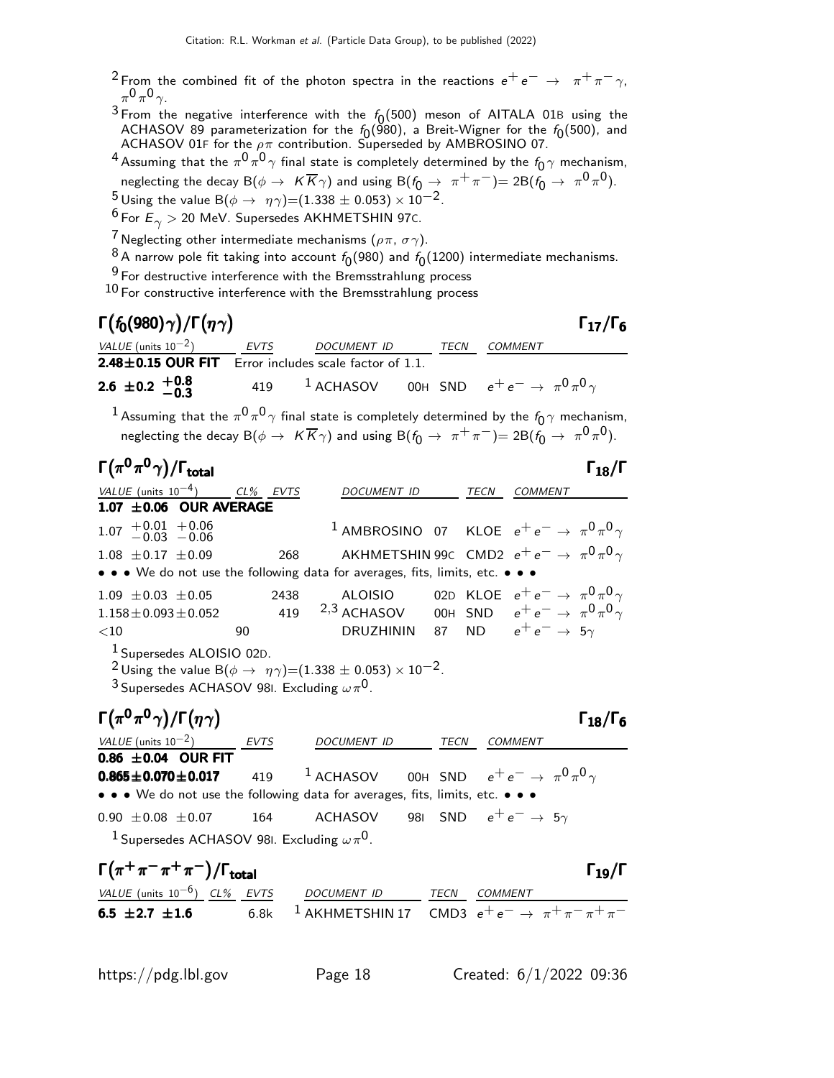- <sup>2</sup> From the combined fit of the photon spectra in the reactions  $e^+e^- \rightarrow \pi^+\pi^-\gamma$ ,  $\pi^0 \pi^0 \gamma$ .
- <sup>3</sup> From the negative interference with the  $f_0(500)$  meson of AITALA 01B using the ACHASOV 89 parameterization for the  $f_0$ (980), a Breit-Wigner for the  $f_0$ (500), and ACHASOV 01F for the  $\rho\pi$  contribution. Superseded by AMBROSINO 07.
- $^4$  Assuming that the  $\pi^0\pi^0\gamma$  final state is completely determined by the  $f_0\gamma$  mechanism, neglecting the decay  ${\sf B}(\phi\to^- K\overline K\gamma)$  and using  ${\sf B}(f_0\to^-\pi^+\pi^-)$   $=2{\sf B}(f_0\to^-\pi^0\pi^0)$ .
- 5 Using the value B $(\phi \to \eta \gamma) = (1.338 \pm 0.053) \times 10^{-2}$ .
- $6$  For  $E_{\gamma} > 20$  MeV. Supersedes AKHMETSHIN 97C.
- <sup>7</sup> Neglecting other intermediate mechanisms ( $\rho \pi$ ,  $\sigma \gamma$ ).
- $^8$ A narrow pole fit taking into account  $f_0(980)$  and  $f_0(1200)$  intermediate mechanisms.
- 9 For destructive interference with the Bremsstrahlung process
- $10$  For constructive interference with the Bremsstrahlung process

| $\Gamma(f_0(980)\gamma)/\Gamma(\eta\gamma)$                                 |      |             |      | $\Gamma_{17}/\Gamma_6$                                             |  |
|-----------------------------------------------------------------------------|------|-------------|------|--------------------------------------------------------------------|--|
| <i>VALUE</i> (units $10^{-2}$ )                                             | EVTS | DOCUMENT ID | TECN | COMMENT                                                            |  |
| <b>2.48<math>\pm</math>0.15 OUR FIT</b> Error includes scale factor of 1.1. |      |             |      |                                                                    |  |
| 2.6 $\pm$ 0.2 $+$ 0.8 - 0.3                                                 | 419  |             |      | <sup>1</sup> ACHASOV 00H SND $e^+e^- \rightarrow \pi^0\pi^0\gamma$ |  |

 $^1$  Assuming that the  $\pi^0\pi^0\gamma$  final state is completely determined by the  $f_0\gamma$  mechanism, neglecting the decay  ${\sf B}(\phi\to^- K\overline K\gamma)$  and using  ${\sf B}(f_{\bar{\textbf{0}}}\to^-\pi^+\pi^-)$   $=2{\sf B}(f_{\bar{\textbf{0}}}\to^-\pi^{\textbf{0}}\pi^{\textbf{0}})$ .

| $\Gamma(\pi^0\pi^0\gamma)/\Gamma_{\rm total}$                                                                                                                                                                    |     |              |                                      | $\Gamma_{18}/\Gamma$                                                   |
|------------------------------------------------------------------------------------------------------------------------------------------------------------------------------------------------------------------|-----|--------------|--------------------------------------|------------------------------------------------------------------------|
| VALUE (units $10^{-4}$ ) CL% EVTS                                                                                                                                                                                |     | DOCUMENT ID  | TECN                                 | <b>COMMENT</b>                                                         |
| $1.07 \pm 0.06$ OUR AVERAGE                                                                                                                                                                                      |     |              |                                      |                                                                        |
| $1.07$ $+0.01$ $+0.06$<br>$-0.03$ $-0.06$                                                                                                                                                                        |     |              |                                      | <sup>1</sup> AMBROSINO 07 KLOE $e^+e^- \rightarrow \pi^0 \pi^0 \gamma$ |
| $1.08 + 0.17 + 0.09$                                                                                                                                                                                             | 268 |              |                                      | AKHMETSHIN 99C CMD2 $e^+e^- \rightarrow \pi^0 \pi^0 \gamma$            |
| • • • We do not use the following data for averages, fits, limits, etc. • • •                                                                                                                                    |     |              |                                      |                                                                        |
| $1.09 \pm 0.03 \pm 0.05$                                                                                                                                                                                         |     | 2438 ALOISIO |                                      | 02D KLOE $e^+e^- \rightarrow \pi^0 \pi^0 \gamma$                       |
| $1.158 \pm 0.093 \pm 0.052$ 419 $2.3$ ACHASOV 00H SND $e^+e^- \rightarrow \pi^0 \pi^0 \gamma$                                                                                                                    |     |              |                                      |                                                                        |
| $<$ 10                                                                                                                                                                                                           | 90  | DRUZHININ    |                                      | 87 ND $e^+e^- \rightarrow 5\gamma$                                     |
| <sup>1</sup> Supersedes ALOISIO 02D.<br><sup>2</sup> Using the value B( $\phi \rightarrow \eta \gamma$ )=(1.338 ± 0.053) × 10 <sup>-2</sup> .<br><sup>3</sup> Supersedes ACHASOV 981. Excluding $\omega \pi^0$ . |     |              |                                      |                                                                        |
| $\Gamma(\pi^0\pi^0\gamma)/\Gamma(\eta\gamma)$                                                                                                                                                                    |     |              |                                      | $\Gamma_{18}/\Gamma_6$                                                 |
| VALUE (units $10^{-2}$ ) EVTS                                                                                                                                                                                    |     | DOCUMENT ID  | TECN                                 | <b>COMMENT</b>                                                         |
| 0.86 $\pm$ 0.04 OUR FIT                                                                                                                                                                                          |     |              |                                      |                                                                        |
| 0.865±0.070±0.017 419 <sup>1</sup> ACHASOV 00H SND $e^+e^- \to \pi^0 \pi^0 \gamma$                                                                                                                               |     |              |                                      |                                                                        |
| • • • We do not use the following data for averages, fits, limits, etc. • • •                                                                                                                                    |     |              |                                      |                                                                        |
| $0.90 \pm 0.08 \pm 0.07$                                                                                                                                                                                         | 164 | ACHASOV      | 981 SND $e^+e^- \rightarrow 5\gamma$ |                                                                        |
| <sup>1</sup> Supersedes ACHASOV 981. Excluding $\omega\pi^{0}$ .                                                                                                                                                 |     |              |                                      |                                                                        |

| $\Gamma(\pi^+\pi^-\pi^+\pi^-)/\Gamma_{\rm total}$ |  |  |                                                                                |  |              |  |  |  |
|---------------------------------------------------|--|--|--------------------------------------------------------------------------------|--|--------------|--|--|--|
| VALUE (units $10^{-6}$ ) CL% EVTS                 |  |  | DOCUMENT ID                                                                    |  | TECN COMMENT |  |  |  |
| 6.5 $\pm 2.7$ $\pm 1.6$                           |  |  | 6.8k <sup>1</sup> AKHMETSHIN 17 CMD3 $e^+e^- \rightarrow \pi^+\pi^-\pi^+\pi^-$ |  |              |  |  |  |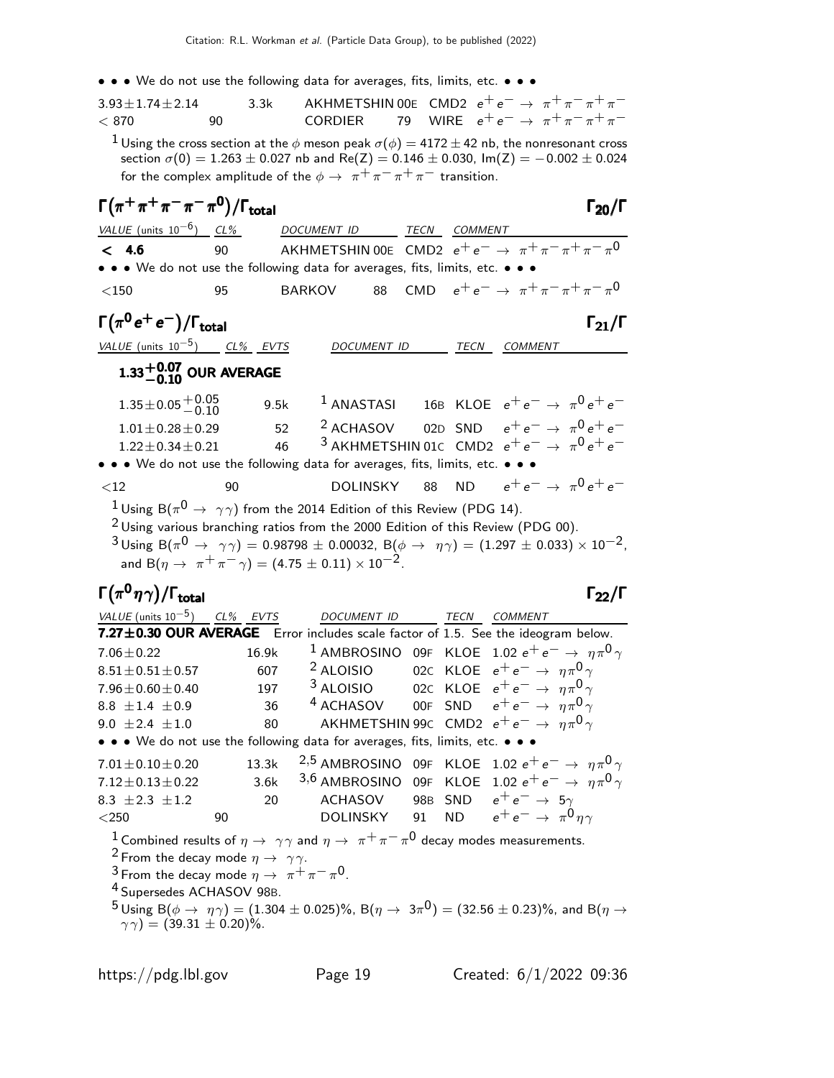We do not use the following data for averages, fits, limits, etc.

| $\bullet$ $\bullet$ $\bullet$ vve do not use the following data for averages, fits, limits, etc. $\bullet$ $\bullet$ $\bullet$<br>$3.93 \pm 1.74 \pm 2.14$                  | 3.3k  |                                                                                 |                      |              | AKHMETSHIN 00E CMD2 $e^+e^- \rightarrow \pi^+\pi^-\pi^+\pi^-$                                                                                                                                                        |  |
|-----------------------------------------------------------------------------------------------------------------------------------------------------------------------------|-------|---------------------------------------------------------------------------------|----------------------|--------------|----------------------------------------------------------------------------------------------------------------------------------------------------------------------------------------------------------------------|--|
| < 870                                                                                                                                                                       | 90    | <b>CORDIER</b>                                                                  |                      |              | 79 WIRE $e^+e^- \to \pi^+\pi^-\pi^+\pi^-$                                                                                                                                                                            |  |
|                                                                                                                                                                             |       | for the complex amplitude of the $\phi \to \pi^+ \pi^- \pi^+ \pi^-$ transition. |                      |              | $^1$ Using the cross section at the $\phi$ meson peak $\sigma(\phi) =$ 4172 $\pm$ 42 nb, the nonresonant cross<br>section $\sigma(0) = 1.263 \pm 0.027$ nb and Re(Z) = 0.146 $\pm$ 0.030, Im(Z) = -0.002 $\pm$ 0.024 |  |
| $\Gamma(\pi^+\pi^+\pi^-\pi^-\pi^0)/\Gamma_{\rm total}$                                                                                                                      |       |                                                                                 |                      |              | $\Gamma_{20}/\Gamma$                                                                                                                                                                                                 |  |
| VALUE (units $10^{-6}$ ) CL%                                                                                                                                                |       | DOCUMENT ID                                                                     |                      | TECN COMMENT |                                                                                                                                                                                                                      |  |
| < 4.6<br>• • • We do not use the following data for averages, fits, limits, etc. • • •                                                                                      | 90    |                                                                                 |                      |              | AKHMETSHIN 00E CMD2 $e^+e^- \rightarrow \pi^+\pi^-\pi^+\pi^-\pi^0$                                                                                                                                                   |  |
| $<$ 150                                                                                                                                                                     | 95    | BARKOV                                                                          | 88                   |              | CMD $e^+e^- \rightarrow \pi^+\pi^-\pi^+\pi^-\pi^0$                                                                                                                                                                   |  |
| $\Gamma(\pi^0\,e^+\,e^-)/\Gamma_{\rm total}$                                                                                                                                |       |                                                                                 |                      |              | $\Gamma_{21}/\Gamma$                                                                                                                                                                                                 |  |
| VALUE (units $10^{-5}$ ) CL% EVTS                                                                                                                                           |       |                                                                                 | DOCUMENT ID          |              | TECN COMMENT                                                                                                                                                                                                         |  |
| $1.33^{+0.07}_{-0.10}$ OUR AVERAGE                                                                                                                                          |       |                                                                                 |                      |              |                                                                                                                                                                                                                      |  |
| $1.35 \pm 0.05 \begin{array}{c} +0.05 \\ -0.10 \end{array}$                                                                                                                 | 9.5k  |                                                                                 | $1$ ANASTASI         |              | 16B KLOE $e^+e^- \rightarrow \pi^0 e^+e^-$                                                                                                                                                                           |  |
| $1.01 \pm 0.28 \pm 0.29$                                                                                                                                                    |       | 52                                                                              | <sup>2</sup> ACHASOV |              | 02D SND $e^+e^- \rightarrow \pi^0 e^+e^-$                                                                                                                                                                            |  |
| $1.22 \pm 0.34 \pm 0.21$                                                                                                                                                    |       | 46                                                                              |                      |              | <sup>3</sup> AKHMETSHIN 01C CMD2 $e^+e^- \rightarrow \pi^0 e^+e^-$                                                                                                                                                   |  |
| • • • We do not use the following data for averages, fits, limits, etc. • • •                                                                                               |       |                                                                                 |                      |              |                                                                                                                                                                                                                      |  |
| $<$ 12                                                                                                                                                                      | 90    |                                                                                 | DOLINSKY             |              | 88 ND $e^+e^- \rightarrow \pi^0 e^+e^-$                                                                                                                                                                              |  |
| $^1$ Using B( $\pi^0\to~\gamma\gamma)$ from the 2014 Edition of this Review (PDG 14).<br>$^2$ Using various branching ratios from the 2000 Edition of this Review (PDG 00). |       | and B( $\eta \to \pi^+ \pi^- \gamma$ ) = (4.75 ± 0.11) × 10 <sup>-2</sup> .     |                      |              | $3 \text{ Using } B(\pi^0 \to \gamma \gamma) = 0.98798 \pm 0.00032, B(\phi \to \eta \gamma) = (1.297 \pm 0.033) \times 10^{-2}$                                                                                      |  |
| $\Gamma(\pi^0\eta\gamma)/\Gamma_{\rm total}$                                                                                                                                |       |                                                                                 |                      |              | $\Gamma_{22}/\Gamma$                                                                                                                                                                                                 |  |
| VALUE (units $10^{-5}$ ) CL% EVTS                                                                                                                                           |       | <b>DOCUMENT ID</b>                                                              |                      | TECN         | COMMENT                                                                                                                                                                                                              |  |
|                                                                                                                                                                             |       |                                                                                 |                      |              | 7.27±0.30 OUR AVERAGE Error includes scale factor of 1.5. See the ideogram below.                                                                                                                                    |  |
| $7.06 \pm 0.22$                                                                                                                                                             | 16.9k |                                                                                 |                      |              | $^1$ AMBROSINO 09F KLOE 1.02 $e^+e^-\rightarrow~\eta\pi^{0}\gamma$                                                                                                                                                   |  |
| $8.51 \pm 0.51 \pm 0.57$                                                                                                                                                    | 607   | <sup>2</sup> ALOISIO                                                            |                      |              | 02C KLOE $e^+e^- \rightarrow \eta \pi^0 \gamma$<br><sup>3</sup> ALOISIO 02C KLOE $e^+e^- \rightarrow \eta \pi^0 \gamma$                                                                                              |  |
| $7.96 \pm 0.60 \pm 0.40$ 197<br>8.8 $\pm$ 1.4 $\pm$ 0.9                                                                                                                     | 36    |                                                                                 |                      |              | <sup>4</sup> ACHASOV 00F SND $e^+e^- \rightarrow \eta \pi^0 \gamma$                                                                                                                                                  |  |
| $9.0 \pm 2.4 \pm 1.0$                                                                                                                                                       | 80    |                                                                                 |                      |              | AKHMETSHIN 99c CMD2 $e^+e^- \rightarrow \eta \pi^0 \gamma$                                                                                                                                                           |  |
| • • • We do not use the following data for averages, fits, limits, etc. • • •                                                                                               |       |                                                                                 |                      |              |                                                                                                                                                                                                                      |  |
| $7.01 \pm 0.10 \pm 0.20$                                                                                                                                                    | 13.3k |                                                                                 |                      |              | <sup>2,5</sup> AMBROSINO 09F KLOE 1.02 $e^+e^- \rightarrow \eta \pi^0 \gamma$                                                                                                                                        |  |
| $7.12 \pm 0.13 \pm 0.22$                                                                                                                                                    | 3.6k  |                                                                                 |                      |              | 3,6 AMBROSINO 09F KLOE 1.02 $e^+e^- \rightarrow \eta \pi^0 \gamma$                                                                                                                                                   |  |
| 8.3 $\pm 2.3 \pm 1.2$                                                                                                                                                       | 20    |                                                                                 |                      |              | ACHASOV 98B SND $e^+e^- \rightarrow 5\gamma$                                                                                                                                                                         |  |
| $<$ 250                                                                                                                                                                     | 90    |                                                                                 |                      |              | DOLINSKY 91 ND $e^+e^- \rightarrow \pi^0 n \gamma$                                                                                                                                                                   |  |
| <sup>2</sup> From the decay mode $\eta \rightarrow \gamma \gamma$ .<br><sup>3</sup> From the decay mode $\eta \rightarrow \pi^+ \pi^- \pi^0$ .                              |       |                                                                                 |                      |              | <sup>1</sup> Combined results of $\eta \to \gamma \gamma$ and $\eta \to \pi^+ \pi^- \pi^0$ decay modes measurements.                                                                                                 |  |

4 Supersedes ACHASOV 98B.

 $^{5}$ Using B $(\phi \to \eta \gamma) = (1.304 \pm 0.025)\%$ , B $(\eta \to 3\pi^{0}) = (32.56 \pm 0.23)\%$ , and B $(\eta \to 0.025)\%$  $(\gamma \gamma) = (39.31 \pm 0.20)\%.$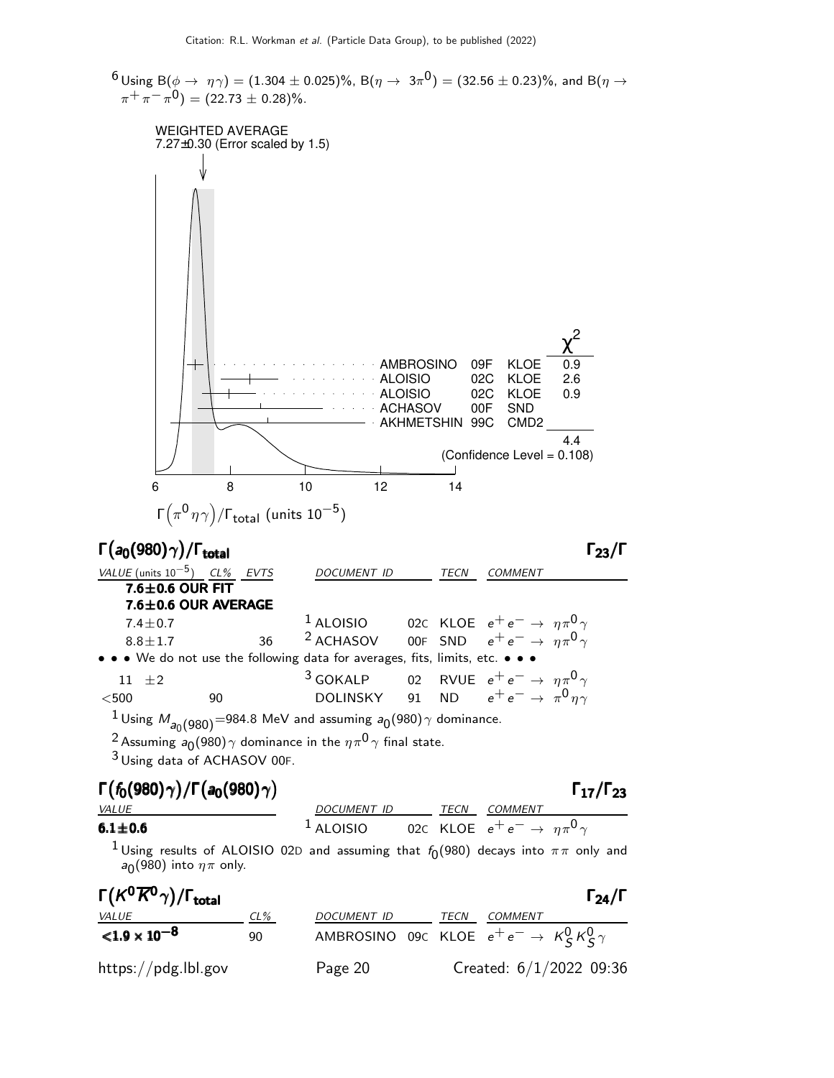$^6$ Using B $(\phi\to~\eta\,\gamma)=(1.304\pm0.025)\%$ , B $(\eta\to~3\pi^{\text{O}})=(32.56\pm0.23)\%$ , and B $(\eta\to$  $\pi^+\pi^-\pi^0$ ) = (22.73  $\pm$  0.28)%. WEIGHTED AVERAGE 7.27±0.30 (Error scaled by 1.5) 2 χ AMBROSINO 09F KLOE 0.9 ALOISIO 02C KLOE 2.6 ALOISIO 02C KLOE 0.9 ACHASOV 00F SND AKHMETSHIN 99C CMD2 4.4 (Confidence Level = 0.108)  $\overline{\phantom{a}}$ 6 8 10 12 14 Γ $\bigl(\pi^{\mathsf{0}}\eta \gamma\bigr)$ /Γ<sub>total</sub> (units 10<sup>—5</sup>) Γ $(a_0(980) \gamma)$ /Γ<sub>total</sub> Γ<sub>23</sub>/Γ /Γ $_{\rm total}$ Γ $_{23}/$ Γ VALUE (units 10<sup>-5</sup>) CL% EVTS DOCUMENT ID TECN COMMENT  $7.6 \pm 0.6$  OUR FIT  $7.6 \pm 0.6$  OUR AVERAGE <sup>1</sup> ALOISIO 02C KLOE  $e^+e^- \rightarrow \eta \pi^0 \gamma$ <br><sup>2</sup> ACHASOV 00F SND  $e^+e^- \rightarrow \eta \pi^0 \gamma$  $7.4 \pm 0.7$ <br> $8.8 \pm 1.7$ 8.8 $\pm$ 1.7 36 <sup>2</sup> ACHASOV 00F SND  $e^+e^- \rightarrow \eta \pi^0 \gamma$ • • • We do not use the following data for averages, fits, limits, etc. • • • <sup>3</sup> GOKALP 02 RVUE  $e^+e^- \rightarrow \eta \pi^0 \gamma$ <br>DOLINSKY 91 ND  $e^+e^- \rightarrow \pi^0 \eta \gamma$  $11 \quad \pm 2$ <br> $< 500$  $<$ 500 90 DOLINSKY 91 ND  $e^+e^- \rightarrow \pi^0 \eta \gamma$  $^1$ Using  $M_{\bm{a}_0(980)}$ =984.8 MeV and assuming  $a_0(980)$   $\gamma$  dominance.  $^2$ Assuming  $a_0$ (980) $\gamma$  dominance in the  $\eta \pi^0 \gamma$  final state. 3 Using data of ACHASOV 00F. Γ $(f_0(980) \gamma)$ /Γ $(a_0(980) \gamma)$  $Γ_{17}/Γ_{23}$ 

| $\sim$        |  |                                                                      |                                           |                     | . |  |
|---------------|--|----------------------------------------------------------------------|-------------------------------------------|---------------------|---|--|
| <i>VALUE</i>  |  | <i>DOCUMENT ID</i>                                                   |                                           | <i>TECN COMMENT</i> |   |  |
| $6.1 \pm 0.6$ |  | <sup>1</sup> ALOISIO 02C KLOE $e^+e^- \rightarrow \eta \pi^0 \gamma$ |                                           |                     |   |  |
|               |  |                                                                      | $\sim$ $\sim$ $\sim$ $\sim$ $\sim$ $\sim$ |                     |   |  |

<sup>1</sup>Using results of ALOISIO 02D and assuming that  $f_0(980)$  decays into  $\pi\pi$  only and  $a_0(980)$  into  $\eta\pi$  only.

| $\Gamma(K^0\overline{K}{}^0\gamma)/\Gamma_{\rm total}$ |        |                                                            |      |                | $\Gamma_{24}/\Gamma$      |
|--------------------------------------------------------|--------|------------------------------------------------------------|------|----------------|---------------------------|
| <u>VALUE</u>                                           | $CL\%$ | <i>DOCUMENT ID</i>                                         | TECN | <i>COMMENT</i> |                           |
| ${<}1.9\times10^{-8}$                                  | 90     | AMBROSINO 09C KLOE $e^+e^- \rightarrow K_S^0 K_S^0 \gamma$ |      |                |                           |
| https://pdg.lbl.gov                                    |        | Page 20                                                    |      |                | Created: $6/1/2022$ 09:36 |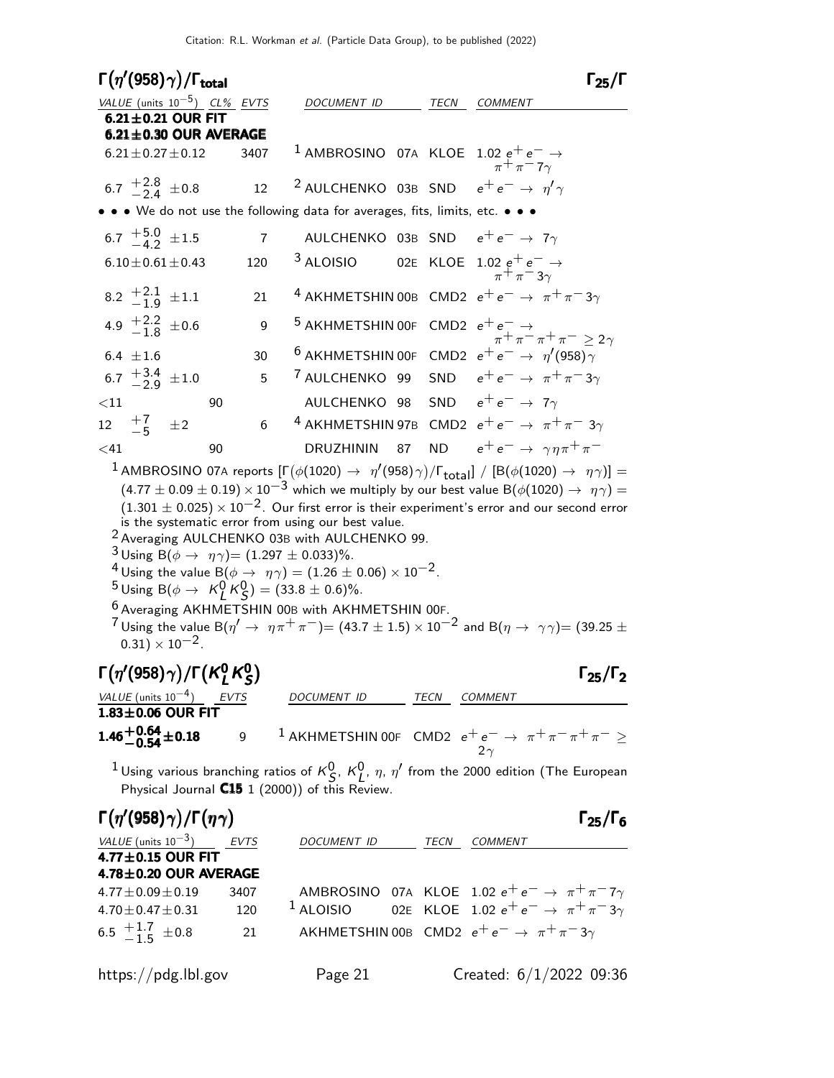Citation: R.L. Workman et al. (Particle Data Group), to be published (2022)

|         |                                   | $\Gamma(\eta^\prime(958)\gamma)/\Gamma_{\rm total}$                                         |    |                |                                                                                                                                                                                                                                                                                                                                                                                                                                |    |      | $\Gamma_{25}/\Gamma$                                                                                                                                                                                                                                         |
|---------|-----------------------------------|---------------------------------------------------------------------------------------------|----|----------------|--------------------------------------------------------------------------------------------------------------------------------------------------------------------------------------------------------------------------------------------------------------------------------------------------------------------------------------------------------------------------------------------------------------------------------|----|------|--------------------------------------------------------------------------------------------------------------------------------------------------------------------------------------------------------------------------------------------------------------|
|         |                                   | VALUE (units $10^{-5}$ ) CL% EVTS                                                           |    |                | DOCUMENT ID                                                                                                                                                                                                                                                                                                                                                                                                                    |    | TECN | <b>COMMENT</b>                                                                                                                                                                                                                                               |
|         |                                   | $6.21 \pm 0.21$ OUR FIT<br>$6.21 \pm 0.30$ OUR AVERAGE                                      |    |                |                                                                                                                                                                                                                                                                                                                                                                                                                                |    |      |                                                                                                                                                                                                                                                              |
|         |                                   | $6.21 \pm 0.27 \pm 0.12$                                                                    |    | 3407           |                                                                                                                                                                                                                                                                                                                                                                                                                                |    |      | <sup>1</sup> AMBROSINO 07A KLOE $1.02 e^+e^- \rightarrow$<br>$\pi^+\pi^-\pi^+\gamma$                                                                                                                                                                         |
|         | 6.7 $\frac{+2.8}{-2.4}$ ± 0.8     |                                                                                             |    | 12             |                                                                                                                                                                                                                                                                                                                                                                                                                                |    |      | <sup>2</sup> AULCHENKO 03B SND $e^+e^- \rightarrow \eta' \gamma$                                                                                                                                                                                             |
|         |                                   |                                                                                             |    |                | • • We do not use the following data for averages, fits, limits, etc. • • •                                                                                                                                                                                                                                                                                                                                                    |    |      |                                                                                                                                                                                                                                                              |
|         | 6.7 $\frac{+5.0}{-4.2}$ ± 1.5     |                                                                                             |    | $\overline{7}$ |                                                                                                                                                                                                                                                                                                                                                                                                                                |    |      | AULCHENKO 03B SND $e^+e^- \rightarrow 7\gamma$                                                                                                                                                                                                               |
|         |                                   | $6.10 \pm 0.61 \pm 0.43$                                                                    |    | 120            | <sup>3</sup> ALOISIO                                                                                                                                                                                                                                                                                                                                                                                                           |    |      | 02E KLOE $1.02 e^+ e^- \rightarrow$<br>$\pi^+ \pi^- 3\gamma$                                                                                                                                                                                                 |
|         | 8.2 $\frac{+2.1}{-1.9}$ $\pm 1.1$ |                                                                                             |    | 21             |                                                                                                                                                                                                                                                                                                                                                                                                                                |    |      | <sup>4</sup> AKHMETSHIN 00B CMD2 $e^+e^- \rightarrow \pi^+\pi^-3\gamma$                                                                                                                                                                                      |
|         | 4.9 $\frac{+2.2}{-1.8}$ ± 0.6     |                                                                                             |    | 9              |                                                                                                                                                                                                                                                                                                                                                                                                                                |    |      | 5 AKHMETSHIN 00F CMD2 $e^+e^- \rightarrow \pi^+ \pi^- \pi^+ \pi^- \geq 2\gamma$                                                                                                                                                                              |
|         | $6.4 \pm 1.6$                     |                                                                                             |    | 30             |                                                                                                                                                                                                                                                                                                                                                                                                                                |    |      | <sup>6</sup> AKHMETSHIN 00F CMD2 $e^+e^- \rightarrow \eta'(958)\gamma$                                                                                                                                                                                       |
|         | 6.7 $\frac{+3.4}{-2.9}$ ± 1.0     |                                                                                             |    | 5              |                                                                                                                                                                                                                                                                                                                                                                                                                                |    |      | <sup>7</sup> AULCHENKO 99 SND $e^+e^- \rightarrow \pi^+\pi^-3\gamma$                                                                                                                                                                                         |
| ${<}11$ |                                   |                                                                                             | 90 |                |                                                                                                                                                                                                                                                                                                                                                                                                                                |    |      | AULCHENKO 98 SND $e^+e^- \rightarrow 7\gamma$                                                                                                                                                                                                                |
|         | 12 $\frac{+7}{-5}$ $\pm 2$        |                                                                                             |    | 6              |                                                                                                                                                                                                                                                                                                                                                                                                                                |    |      | <sup>4</sup> AKHMETSHIN 97B CMD2 $e^+e^- \rightarrow \pi^+\pi^-$ 3 $\gamma$                                                                                                                                                                                  |
| $<$ 41  |                                   |                                                                                             | 90 |                | <b>DRUZHININ</b>                                                                                                                                                                                                                                                                                                                                                                                                               | 87 |      | ND $e^+e^- \rightarrow \gamma \eta \pi^+ \pi^-$                                                                                                                                                                                                              |
|         |                                   | $(0.31) \times 10^{-2}$ .                                                                   |    |                | is the systematic error from using our best value.<br><sup>2</sup> Averaging AULCHENKO 03B with AULCHENKO 99.<br><sup>3</sup> Using B( $\phi \to \eta \gamma$ ) = (1.297 $\pm$ 0.033)%.<br><sup>4</sup> Using the value B( $\phi \rightarrow \eta \gamma) = (1.26 \pm 0.06) \times 10^{-2}$ .<br><sup>5</sup> Using B( $\phi \to K_I^0 K_S^0$ ) = (33.8 ± 0.6)%.<br><sup>6</sup> Averaging AKHMETSHIN 00B with AKHMETSHIN 00F. |    |      | $(1.301 \pm 0.025) \times 10^{-2}$ . Our first error is their experiment's error and our second error<br>$7$ Using the value B( $\eta' \to \eta \pi^+ \pi^-$ ) = (43.7 $\pm$ 1.5) $\times$ 10 <sup>-2</sup> and B( $\eta \to \gamma \gamma$ ) = (39.25 $\pm$ |
|         |                                   | $\Gamma(\eta^{\prime}(958)\gamma)/\Gamma(K^0_L\,K^0_S)$                                     |    |                |                                                                                                                                                                                                                                                                                                                                                                                                                                |    |      | $\Gamma_{25}/\Gamma_2$                                                                                                                                                                                                                                       |
|         |                                   | $\frac{\text{VALUE (units 10}^{-4})}{1.83 \pm 0.06} \frac{\text{EVTS}}{\text{OUR FIT}}$     |    |                | DOCUMENT ID TECN COMMENT                                                                                                                                                                                                                                                                                                                                                                                                       |    |      |                                                                                                                                                                                                                                                              |
|         | $1.46 + 0.64 + 0.18$              |                                                                                             |    | $\mathsf{g}\,$ |                                                                                                                                                                                                                                                                                                                                                                                                                                |    |      | <sup>1</sup> AKHMETSHIN 00F CMD2 $e^+e^- \rightarrow \pi^+\pi^-\pi^+\pi^- \geq$<br>$2\gamma$                                                                                                                                                                 |
|         |                                   |                                                                                             |    |                | Physical Journal C15 1 (2000)) of this Review.                                                                                                                                                                                                                                                                                                                                                                                 |    |      | $^1$ Using various branching ratios of $\kappa_S^0$ , $\kappa_L^0$ , $\eta$ , $\eta'$ from the 2000 edition (The European                                                                                                                                    |
|         |                                   | $\Gamma(\eta'(958)\gamma)/\Gamma(\eta\gamma)$                                               |    |                |                                                                                                                                                                                                                                                                                                                                                                                                                                |    |      | $\Gamma_{25}/\Gamma_{6}$                                                                                                                                                                                                                                     |
|         |                                   | $\frac{VALUE (units 10^{-3})}{4.77 \pm 0.15 \text{ OUR FIT}}$ EVTS<br>4.78±0.20 OUR AVERAGE |    |                | DOCUMENT ID                                                                                                                                                                                                                                                                                                                                                                                                                    |    |      | TECN COMMENT                                                                                                                                                                                                                                                 |
|         | $4.77 \pm 0.09 \pm 0.19$          |                                                                                             |    | 3407           |                                                                                                                                                                                                                                                                                                                                                                                                                                |    |      | AMBROSINO 07A KLOE 1.02 $e^+e^- \rightarrow \pi^+\pi^-\pi^+\gamma$                                                                                                                                                                                           |
|         | $4.70 \pm 0.47 \pm 0.31$          |                                                                                             |    | 120            | $1$ ALOISIO                                                                                                                                                                                                                                                                                                                                                                                                                    |    |      | 02E KLOE 1.02 $e^+e^- \rightarrow \pi^+\pi^-3\gamma$                                                                                                                                                                                                         |
|         | 6.5 $\frac{+1.7}{-1.5}$ ± 0.8     |                                                                                             |    | 21             |                                                                                                                                                                                                                                                                                                                                                                                                                                |    |      | AKHMETSHIN 00B CMD2 $e^+e^- \rightarrow \pi^+\pi^-3\gamma$                                                                                                                                                                                                   |

https://pdg.lbl.gov Page 21 Created: 6/1/2022 09:36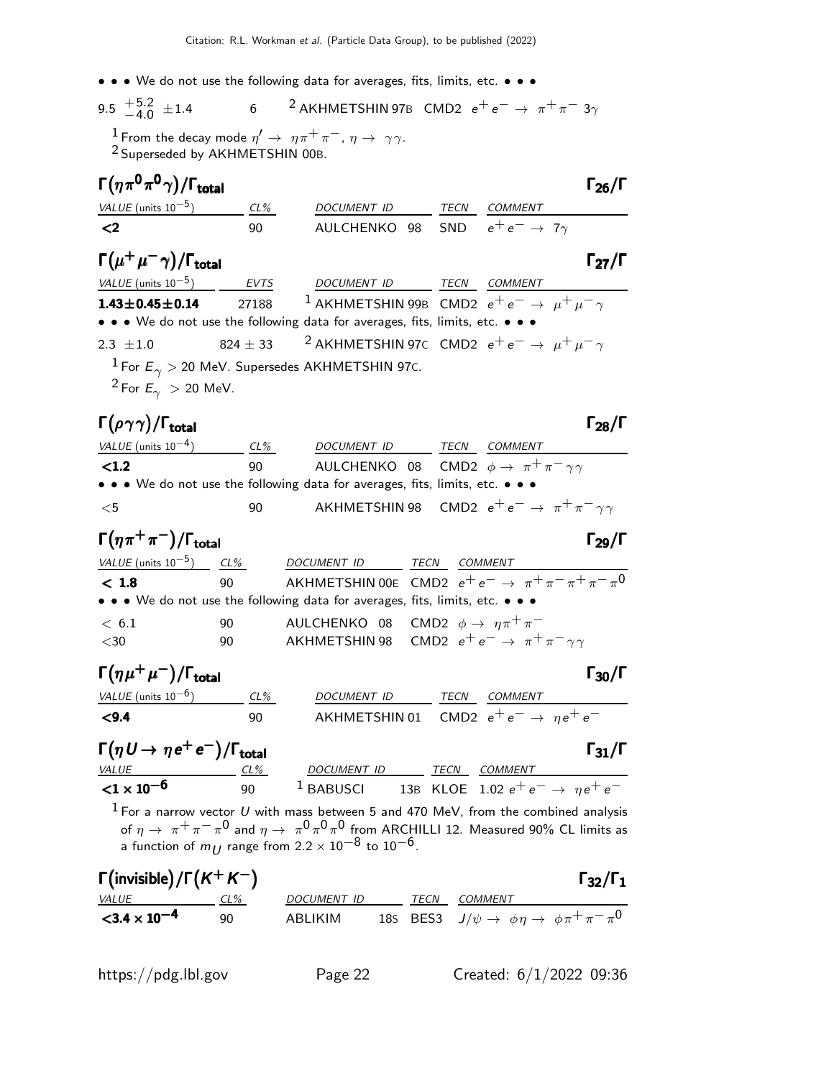• • • We do not use the following data for averages, fits, limits, etc. • • •

9.5 
$$
\begin{array}{cc} +5.2 \\ -4.0 \end{array}
$$
  $\pm 1.4$  6 2 AKHMETSHIN 97B CMD2  $e^+e^- \rightarrow \pi^+\pi^- 3\gamma$ 

 $\frac{1}{2}$  From the decay mode  $\eta' \to \eta \pi^+ \pi^-, \eta \to \gamma \gamma$ . 2 Superseded by AKHMETSHIN 00B.

| $\Gamma(\eta\pi^0\pi^0\gamma)/\Gamma_{\rm total}$ |       |                                                                                 |             |                | $\Gamma_{26}/\Gamma$ |
|---------------------------------------------------|-------|---------------------------------------------------------------------------------|-------------|----------------|----------------------|
| VALUE (units $10^{-5}$ ) CL%                      |       | DOCUMENT ID                                                                     | <b>TECN</b> | <b>COMMENT</b> |                      |
| $\langle$ 2                                       | 90    | AULCHENKO 98 SND $e^+e^- \rightarrow 7\gamma$                                   |             |                |                      |
| $\Gamma(\mu^+\mu^-\gamma)/\Gamma_{\rm total}$     |       |                                                                                 |             |                | $\Gamma_{27}/\Gamma$ |
| VALUE (units $10^{-5}$ ) EVTS                     |       | DOCUMENT ID TECN                                                                |             | COMMENT        |                      |
| $1.43 \pm 0.45 \pm 0.14$                          | 27188 | <sup>1</sup> AKHMETSHIN 99B CMD2 $e^+e^- \rightarrow \mu^+\mu^-\gamma$          |             |                |                      |
|                                                   |       | • • • We do not use the following data for averages, fits, limits, etc. • • •   |             |                |                      |
| 2.3 $\pm 1.0$                                     |       | 824 ± 33 <sup>2</sup> AKHMETSHIN 97C CMD2 $e^+e^- \rightarrow \mu^+\mu^-\gamma$ |             |                |                      |
|                                                   |       | <sup>1</sup> For $E_{\gamma}$ > 20 MeV. Supersedes AKHMETSHIN 97C.              |             |                |                      |
| <sup>2</sup> For $E_{\gamma} > 20$ MeV.           |       |                                                                                 |             |                |                      |

## Γ $(\rho \gamma \gamma)/$ Γ<sub>total</sub> Γ $_{28}/$ Γ

| VALUE (units $10^{-4}$ )                     | $CL\%$ | DOCUMENT ID                                                                   | TECN | <b>COMMENT</b>                                                     |
|----------------------------------------------|--------|-------------------------------------------------------------------------------|------|--------------------------------------------------------------------|
| $\langle 1.2$                                | 90     | AULCHENKO 08 CMD2 $\phi \rightarrow \pi^+ \pi^- \gamma \gamma$                |      |                                                                    |
|                                              |        | • • • We do not use the following data for averages, fits, limits, etc. • • • |      |                                                                    |
| $<$ 5                                        | 90     |                                                                               |      | AKHMETSHIN 98 CMD2 $e^+e^- \rightarrow \pi^+\pi^-\gamma\gamma$     |
| $\Gamma(\eta \pi^+\pi^-)/\Gamma_{\rm total}$ |        |                                                                               |      | $\Gamma_{29}/\Gamma$                                               |
| VALUE (units $10^{-5}$ ) CL%                 |        | <b>DOCUMENT ID</b>                                                            | TECN | COMMENT                                                            |
| < 1.8                                        | 90     |                                                                               |      | AKHMETSHIN 00E CMD2 $e^+e^- \rightarrow \pi^+\pi^-\pi^+\pi^-\pi^0$ |
|                                              |        | • • • We do not use the following data for averages, fits, limits, etc. • • • |      |                                                                    |
| $\epsilon$ 6.1                               | 90     | AULCHENKO 08 CMD2 $\phi \rightarrow \eta \pi^+ \pi^-$                         |      |                                                                    |
| $<$ 30                                       | 90     | AKHMETSHIN 98 CMD2 $e^+e^- \rightarrow \pi^+\pi^-\gamma\gamma$                |      |                                                                    |
|                                              |        |                                                                               |      |                                                                    |

| $\Gamma(\eta\mu^+\mu^-)/\Gamma_{\rm total}$ |        |             |      | $\Gamma_{30}/\Gamma$                            |
|---------------------------------------------|--------|-------------|------|-------------------------------------------------|
| <i>VALUE</i> (units $10^{-6}$ )             | $CL\%$ | DOCUMENT ID | TECN | <i>COMMENT</i>                                  |
| $\leq 9.4$                                  | ۹N     |             |      | AKHMETSHIN 01 CMD2 $e^+e^- \rightarrow ne^+e^-$ |

| $\Gamma(\eta U \to \eta e^+ e^-)/\Gamma_{\rm total}$ |     |             |  |                                            | $\Gamma_{31}/\Gamma$ |
|------------------------------------------------------|-----|-------------|--|--------------------------------------------|----------------------|
| <i>VALUE</i>                                         | CL% | DOCUMENT ID |  | TECN COMMENT                               |                      |
| ${<}1 \times 10^{-6}$                                | 90  | $1$ BABUSCI |  | 13B KLOE 1.02 $e^+e^- \rightarrow ne^+e^-$ |                      |

 $^1$  For a narrow vector U with mass between 5 and 470 MeV, from the combined analysis of  $\eta\to~\pi^+\pi^-\pi^0$  and  $\eta\to~\pi^0\pi^0\pi^0$  from ARCHILLI 12. Measured 90% CL limits as a function of  $m_{\small{U}}$  range from 2.2  $\times\,10^{-8}$  to  $10^{-6}$ .

| $\Gamma$ (invisible)/ $\Gamma$ (K <sup>+</sup> K <sup>-</sup> ) |        |             |      |                                                                            | $\Gamma_{32}/\Gamma_1$ |
|-----------------------------------------------------------------|--------|-------------|------|----------------------------------------------------------------------------|------------------------|
| <i>VALUE</i>                                                    | $CL\%$ | DOCUMENT ID | TECN | COMMENT                                                                    |                        |
| $<$ 3.4 $\times$ 10 <sup>-4</sup>                               | ۹N     | ABI IKIM    |      | 185 BES3 $J/\psi \rightarrow \phi \eta \rightarrow \phi \pi^+ \pi^- \pi^0$ |                        |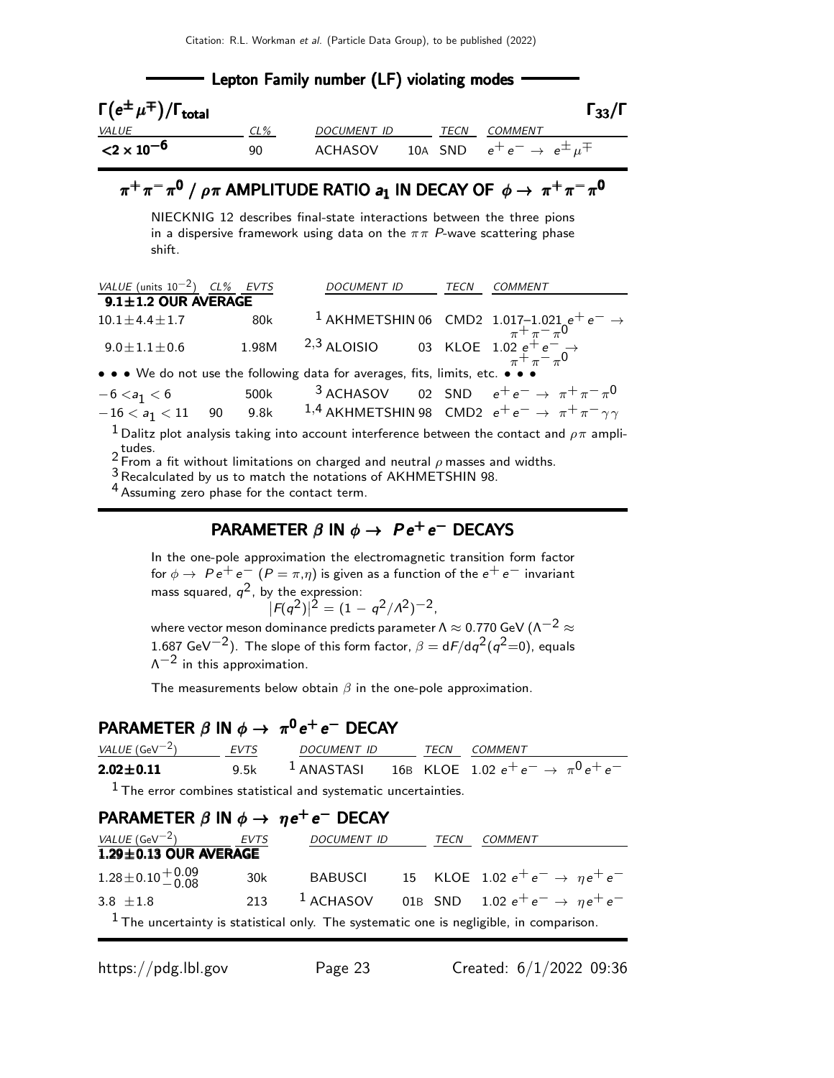| <b>EXECUTE:</b> Lepton Family number (LF) violating modes |     |             |  |      |                                                |                      |  |
|-----------------------------------------------------------|-----|-------------|--|------|------------------------------------------------|----------------------|--|
| $\Gamma(e^{\pm}\mu^{\mp})/\Gamma_{\rm total}$             |     |             |  |      |                                                | $\Gamma_{33}/\Gamma$ |  |
| <i>VALUE</i>                                              | CL% | DOCUMENT ID |  | TECN | COMMENT                                        |                      |  |
| ${<}2 \times 10^{-6}$                                     | 90  | ACHASOV     |  |      | 10A SND $e^+e^- \rightarrow e^{\pm} \mu^{\mp}$ |                      |  |

## $\pi^+\pi^-\pi^{\mathsf{0}}$  /  $\rho\pi$  AMPLITUDE RATIO  $\bm{\mathsf{a_1}}$  IN DECAY OF  $\phi\rightarrow \ \pi^+\pi^-\pi^{\mathsf{0}}$

NIECKNIG 12 describes final-state interactions between the three pions in a dispersive framework using data on the  $\pi \pi$  P-wave scattering phase shift.

| VALUE (units $10^{-2}$ ) CL% EVTS |       | <b>DOCUMENT ID</b>                                                            | <b>TECN</b> | COMMENT                                                                                                                                                                                                          |
|-----------------------------------|-------|-------------------------------------------------------------------------------|-------------|------------------------------------------------------------------------------------------------------------------------------------------------------------------------------------------------------------------|
| $9.1 \pm 1.2$ OUR AVERAGE         |       |                                                                               |             |                                                                                                                                                                                                                  |
| $10.1 \pm 4.4 \pm 1.7$            | 80k   |                                                                               |             |                                                                                                                                                                                                                  |
| $9.0 \pm 1.1 \pm 0.6$             | 1.98M |                                                                               |             | <sup>1</sup> AKHMETSHIN 06 CMD2 1.017-1.021 $e^+e^- \rightarrow$<br><sup>2,3</sup> ALOISIO 03 KLOE 1.02 $e^+e^- \rightarrow$<br><sup>2</sup> ,3 ALOISIO 03 KLOE 1.02 $e^+e^- \rightarrow$<br>$\pi^+ \pi^- \pi^0$ |
|                                   |       | • • • We do not use the following data for averages, fits, limits, etc. • • • |             |                                                                                                                                                                                                                  |
| $-6 < a_1 < 6$ 500k               |       |                                                                               |             | <sup>3</sup> ACHASOV 02 SND $e^+e^- \rightarrow \pi^+\pi^-\pi^0$                                                                                                                                                 |
| $-16 < a_1 < 11$ 90               |       |                                                                               |             | 9.8k $1,4$ AKHMETSHIN 98 $\,$ CMD2 $\,$ e <sup>+</sup> e <sup>-</sup> $\rightarrow$ $\,$ $\pi^{+}$ $\pi^{-}$ $\gamma\gamma$                                                                                      |
|                                   |       |                                                                               |             | <sup>1</sup> Dalitz plot analysis taking into account interference between the contact and $\rho\pi$ ampli-                                                                                                      |

2 tudes.<br>2 From a fit without limitations on charged and neutral ρ masses and widths.

3Recalculated by us to match the notations of AKHMETSHIN 98.

<sup>4</sup> Assuming zero phase for the contact term.

### PARAMETER  $\beta$  in  $\phi \rightarrow Pe^+e^-$  DECAYS

In the one-pole approximation the electromagnetic transition form factor for  $\phi \to Pe^+e^ (P = \pi, \eta)$  is given as a function of the  $e^+e^-$  invariant mass squared,  $q^2$ , by the expression:  $|F(q^2)|^2 = (1 - q^2/A^2)^{-2}$ ,

where vector meson dominance predicts parameter Λ  $\approx$  0.770 GeV (Λ<sup>-2</sup>  $\approx$  $1.687$  GeV $^{-2})$ . The slope of this form factor,  $\beta = \mathsf{d} F / \mathsf{d} q^2 (q^2{=}0)$ , equals  $\Lambda^{-2}$  in this approximation.

The measurements below obtain  $\beta$  in the one-pole approximation.

### $\mathsf{PARAMETER}\ \beta\ \mathsf{IN}\ \phi\rightarrow\ \pi^0\,e^+\,e^-\ \mathsf{DECAY}$

| <i>VALUE</i> (GeV $^{-2}$ )                                                      | EVTS | <i>DOCUMENT ID</i> | TFCN | <i>COMMENT</i>                                                    |
|----------------------------------------------------------------------------------|------|--------------------|------|-------------------------------------------------------------------|
| $2.02 \pm 0.11$                                                                  |      |                    |      | 9.5k $1$ ANASTASI 16B KLOE 1.02 $e^+e^- \rightarrow \pi^0 e^+e^-$ |
| $\pm$ The concerns of the contract of state of systems the concerns in the $\pm$ |      |                    |      |                                                                   |

1 The error combines statistical and systematic uncertainties.

 $\mathbf{r}$ 

| PARAMETER $\beta$ IN $\phi \rightarrow \eta e^+e^-$ DECAY |      |                    |      |                                                                                           |
|-----------------------------------------------------------|------|--------------------|------|-------------------------------------------------------------------------------------------|
| <i>VALUE</i> (GeV $^{-2}$ )                               | EVTS | <i>DOCUMENT ID</i> | TECN | <b>COMMENT</b>                                                                            |
| $1.29 \pm 0.13$ OUR AVERAGE                               |      |                    |      |                                                                                           |
| $1.28 \pm 0.10 \frac{+0.09}{-0.08}$                       | 30k  |                    |      | BABUSCI 15 KLOE 1.02 $e^+e^- \rightarrow \eta e^+e^-$                                     |
| 3.8 $\pm 1.8$                                             | 213  | $^1$ ACHASOV       |      | 01B SND 1.02 $e^+e^- \rightarrow \eta e^+e^-$                                             |
|                                                           |      |                    |      | $1$ The uncertainty is statistical only. The systematic one is negligible, in comparison. |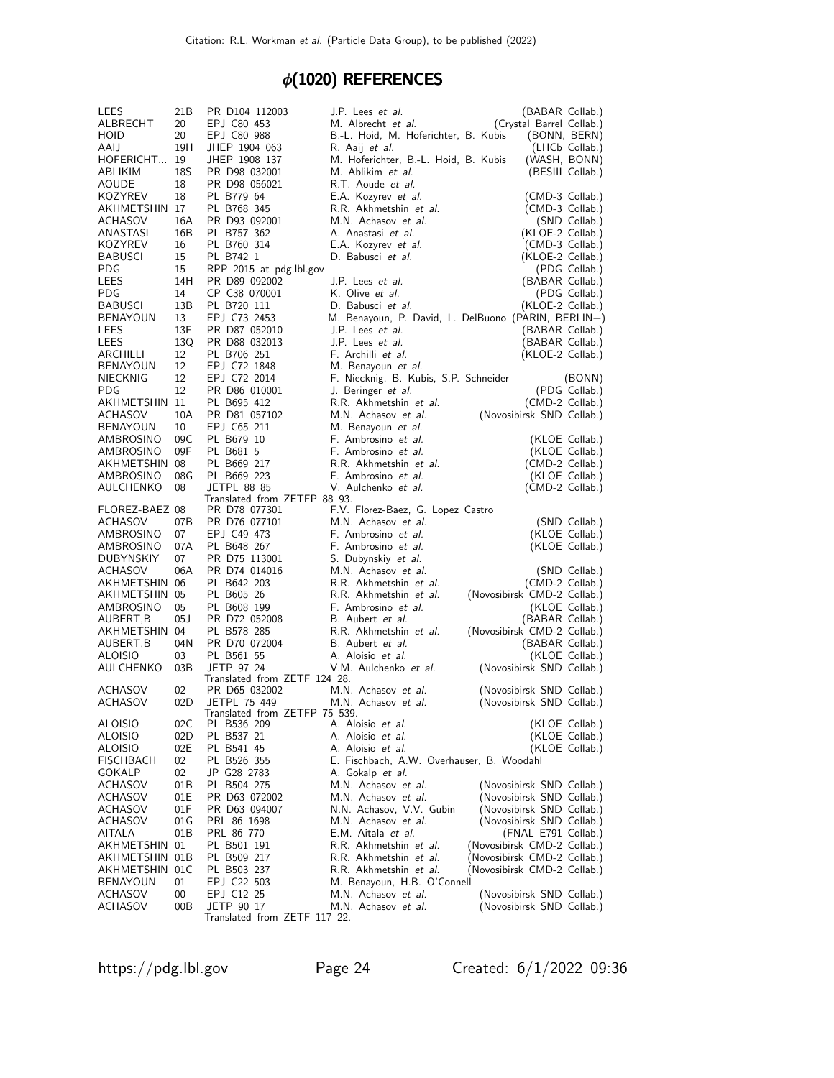### $\phi$ (1020) REFERENCES

| LEES               | 21B       | PR D104 112003                                | J.P. Lees et al.                           | (BABAR Collab.)                                        |
|--------------------|-----------|-----------------------------------------------|--------------------------------------------|--------------------------------------------------------|
| ALBRECHT           | 20        | EPJ C80 453                                   | M. Albrecht et al.                         | (Crystal Barrel Collab.)                               |
| HOID               | 20        | EPJ C80 988                                   | B.-L. Hoid, M. Hoferichter, B. Kubis       | (BONN, BERN)                                           |
| AAIJ               | 19H       | JHEP 1904 063                                 | R. Aaij <i>et al.</i>                      | (LHCb Collab.)                                         |
| HOFERICHT 19       |           | JHEP 1908 137                                 | M. Hoferichter, B.-L. Hoid, B. Kubis       | (WASH, BONN)                                           |
| ABLIKIM            | 18S       | PR D98 032001                                 | M. Ablikim et al.                          | (BESIII Collab.)                                       |
| AOUDE              | 18        | PR D98 056021                                 | R.T. Aoude et al.                          |                                                        |
| KOZYREV            | 18        | PL B779 64                                    | E.A. Kozyrev et al.                        | (CMD-3 Collab.)                                        |
| AKHMETSHIN 17      |           | PL B768 345                                   | R.R. Akhmetshin et al.                     | (CMD-3 Collab.)                                        |
| ACHASOV            | 16A       | PR D93 092001                                 | M.N. Achasov et al.                        | (SND Collab.)                                          |
| ANASTASI           | 16B       | PL B757 362                                   | A. Anastasi et al.                         | (KLOE-2 Collab.)                                       |
| KOZYREV            | 16        | PL B760 314<br>PL B742 1                      | E.A. Kozyrev et al.                        | (CMD-3 Collab.)                                        |
| BABUSCI<br>PDG     | 15<br>15  | RPP 2015 at pdg.lbl.gov                       | D. Babusci et al.                          | (KLOE-2 Collab.)<br>(PDG Collab.)                      |
| LEES               | 14H       | PR D89 092002                                 | J.P. Lees et al.                           | (BABAR Collab.)                                        |
| PDG                | 14        | CP C38 070001                                 | K. Olive et al.                            | (PDG Collab.)                                          |
| <b>BABUSCI</b>     | 13B       | PL B720 111                                   | D. Babusci et al.                          | (KLOE-2 Collab.)                                       |
| BENAYOUN           | 13        | EPJ C73 2453                                  |                                            | M. Benayoun, P. David, L. DelBuono (PARIN, BERLIN+)    |
| LEES               | 13F       | PR D87 052010                                 | J.P. Lees <i>et al.</i>                    | (BABAR Collab.)                                        |
| LEES               | 13Q       | PR D88 032013                                 | J.P. Lees et al.                           | (BABAR Collab.)                                        |
| ARCHILLI           | 12        | PL B706 251                                   | F. Archilli et al.                         | (KLOE-2 Collab.)                                       |
| BENAYOUN           | 12        | EPJ C72 1848                                  | M. Benayoun et al.                         |                                                        |
| NIECKNIG           | 12        | EPJ C72 2014                                  | F. Niecknig, B. Kubis, S.P. Schneider      | (BONN)                                                 |
| PDG                | 12        | PR D86 010001                                 | J. Beringer et al.                         | (PDG Collab.)                                          |
| AKHMETSHIN 11      |           | PL B695 412                                   | R.R. Akhmetshin et al.                     | (CMD-2 Collab.)                                        |
| ACHASOV            | 10A       | PR D81 057102                                 | M.N. Achasov et al.                        | (Novosibirsk SND Collab.)                              |
| BENAYOUN           | 10        | EPJ C65 211                                   | M. Benayoun et al.                         |                                                        |
| AMBROSINO          | 09C       | PL B679 10                                    | F. Ambrosino et al.                        | (KLOE Collab.)                                         |
| AMBROSINO          | 09F       | PL B681 5                                     | F. Ambrosino et al.                        | (KLOE Collab.)                                         |
| AKHMETSHIN 08      |           | PL B669 217                                   | R.R. Akhmetshin et al.                     | (CMD-2 Collab.)                                        |
| AMBROSINO          | 08G       | PL B669 223                                   | F. Ambrosino et al.                        | (KLOE Collab.)                                         |
| AULCHENKO          | 08        | <b>JETPL 88 85</b>                            | V. Aulchenko et al.                        | (CMD-2 Collab.)                                        |
| FLOREZ-BAEZ 08     |           | Translated from ZETFP 88 93.<br>PR D78 077301 | F.V. Florez-Baez, G. Lopez Castro          |                                                        |
| ACHASOV            | 07B       | PR D76 077101                                 | M.N. Achasov et al.                        | (SND Collab.)                                          |
| AMBROSINO          | 07        | EPJ C49 473                                   | F. Ambrosino et al.                        | (KLOE Collab.)                                         |
| AMBROSINO          | 07A       | PL B648 267                                   | F. Ambrosino et al.                        | (KLOE Collab.)                                         |
| DUBYNSKIY          | 07        | PR D75 113001                                 | S. Dubynskiy et al.                        |                                                        |
| <b>ACHASOV</b>     | 06A       | PR D74 014016                                 | M.N. Achasov et al.                        | (SND Collab.)                                          |
| AKHMETSHIN         | 06        | PL B642 203                                   | R.R. Akhmetshin et al.                     | (CMD-2 Collab.)                                        |
| AKHMETSHIN 05      |           | PL B605 26                                    | R.R. Akhmetshin et al.                     | (Novosibirsk CMD-2 Collab.)                            |
| AMBROSINO          | 05        | PL B608 199                                   | F. Ambrosino et al.                        | (KLOE Collab.)                                         |
| AUBERT,B           | 05J       | PR D72 052008                                 | B. Aubert et al.                           | (BABAR Collab.)                                        |
| AKHMETSHIN 04      |           | PL B578 285                                   | R.R. Akhmetshin et al.                     | (Novosibirsk CMD-2 Collab.)                            |
| AUBERT,B           | 04N       | PR D70 072004                                 | B. Aubert et al.                           | (BABAR Collab.)                                        |
| <b>ALOISIO</b>     | 03        | PL B561 55                                    | A. Aloisio et al.                          | (KLOE Collab.)                                         |
| AULCHENKO          | 03B       | JETP 97 24                                    | V.M. Aulchenko et al.                      | (Novosibirsk SND Collab.)                              |
| ACHASOV            | 02        | Translated from ZETF 124 28.                  | M.N. Achasov et al.                        |                                                        |
| ACHASOV            | 02D       | PR D65 032002<br>JETPL 75 449                 | M.N. Achasov et al.                        | (Novosibirsk SND Collab.)<br>(Novosibirsk SND Collab.) |
|                    |           | Translated from ZETFP 75 539.                 |                                            |                                                        |
| ALOISIO            | 02C       | PL B536 209                                   | A. Aloisio et al.                          | (KLOE Collab.)                                         |
| ALOISIO            | 02D       | PL B537 21                                    | A. Aloisio et al.                          | (KLOE Collab.)                                         |
| ALOISIO            | 02E       | PL B541 45                                    | A. Aloisio et al.                          | (KLOE Collab.)                                         |
| FISCHBACH          | 02        | PL B526 355                                   | E. Fischbach, A.W. Overhauser, B. Woodahl  |                                                        |
| GOKALP             | 02        | JP G28 2783                                   | A. Gokalp et al.                           |                                                        |
| ACHASOV            | 01B       | PL B504 275                                   | M.N. Achasov et al.                        | (Novosibirsk SND Collab.)                              |
| ACHASOV            |           |                                               |                                            |                                                        |
|                    | 01E       | PR D63 072002                                 | M.N. Achasov et al.                        | (Novosibirsk SND Collab.)                              |
| ACHASOV            | 01F       | PR D63 094007                                 | N.N. Achasov, V.V. Gubin                   | (Novosibirsk SND Collab.)                              |
| ACHASOV            | 01 G      | PRL 86 1698                                   | M.N. Achasov et al.                        | (Novosibirsk SND Collab.)                              |
| AITALA             | 01B       | PRL 86 770                                    | E.M. Aitala et al.                         | (FNAL E791 Collab.)                                    |
| AKHMETSHIN         | 01        | PL B501 191                                   | R.R. Akhmetshin et al.                     | (Novosibirsk CMD-2 Collab.)                            |
| AKHMETSHIN 01B     |           | PL B509 217                                   | R.R. Akhmetshin et al.                     | (Novosibirsk CMD-2 Collab.)                            |
| AKHMETSHIN 01C     |           | PL B503 237                                   | R.R. Akhmetshin et al.                     | (Novosibirsk CMD-2 Collab.)                            |
| <b>BENAYOUN</b>    | 01        | EPJ C22 503                                   | M. Benayoun, H.B. O'Connell                |                                                        |
| ACHASOV<br>ACHASOV | 00<br>00B | EPJ C12 25<br>JETP 90 17                      | M.N. Achasov et al.<br>M.N. Achasov et al. | (Novosibirsk SND Collab.)<br>(Novosibirsk SND Collab.) |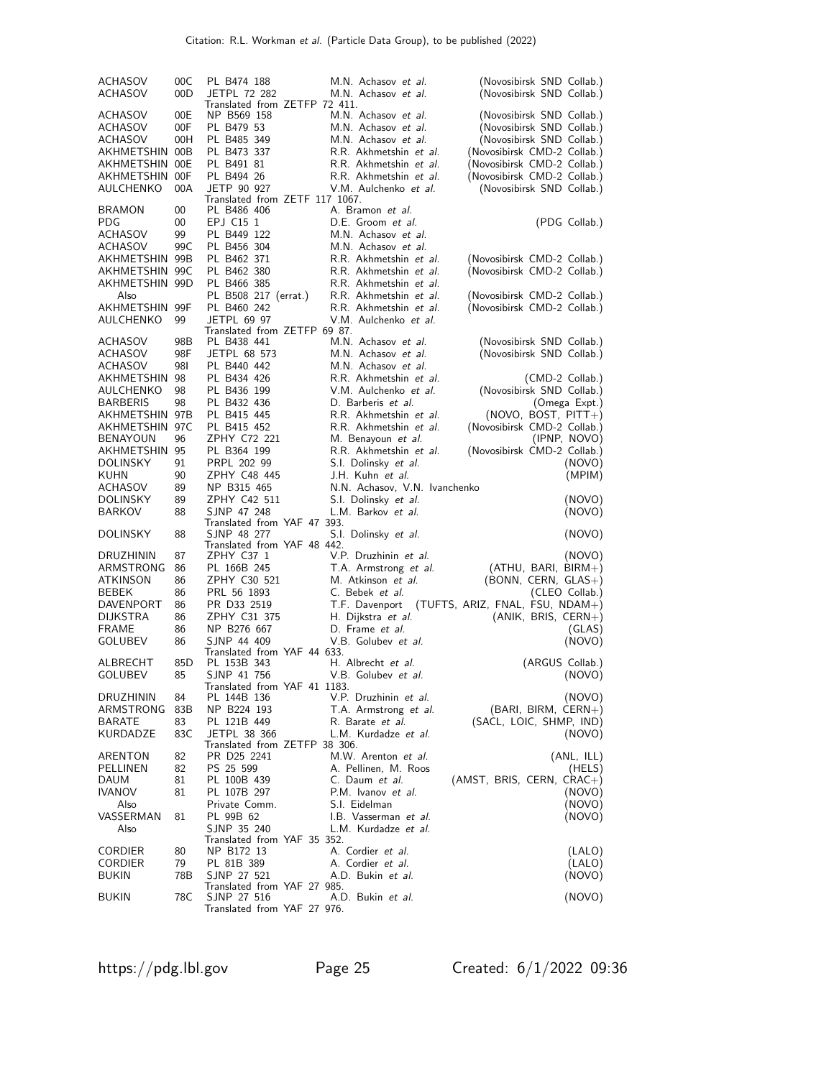| <b>ACHASOV</b><br><b>ACHASOV</b>  | 00C<br>00D | (Novosibirsk SND Collab.)<br>PL B474 188<br>M.N. Achasov et al.<br><b>JETPL 72 282</b><br>M.N. Achasov et al.<br>(Novosibirsk SND Collab.)<br>Translated from ZETFP 72 411. |
|-----------------------------------|------------|-----------------------------------------------------------------------------------------------------------------------------------------------------------------------------|
| ACHASOV                           | 00E        | NP B569 158<br>M.N. Achasov et al.<br>(Novosibirsk SND Collab.)                                                                                                             |
| ACHASOV                           | 00F        | M.N. Achasov et al.<br>PL B479 53<br>(Novosibirsk SND Collab.)                                                                                                              |
| ACHASOV                           | 00H        | M.N. Achasov et al.<br>PL B485 349<br>(Novosibirsk SND Collab.)                                                                                                             |
| AKHMETSHIN 00B                    |            | R.R. Akhmetshin et al.<br>PL B473 337<br>(Novosibirsk CMD-2 Collab.)                                                                                                        |
| AKHMETSHIN 00E                    |            | R.R. Akhmetshin et al.<br>(Novosibirsk CMD-2 Collab.)<br>PL B491 81                                                                                                         |
| AKHMETSHIN 00F                    |            | PL B494 26<br>R.R. Akhmetshin et al.<br>(Novosibirsk CMD-2 Collab.)                                                                                                         |
| AULCHENKO                         | 00A        | JETP 90 927<br>V.M. Aulchenko et al.<br>(Novosibirsk SND Collab.)<br>Translated from ZETF 117 1067.                                                                         |
| <b>BRAMON</b>                     | 00         | A. Bramon et al.<br>PL B486 406                                                                                                                                             |
| <b>PDG</b>                        | 00         | D.E. Groom et al.<br>EPJ C15 1<br>(PDG Collab.)                                                                                                                             |
| ACHASOV                           | 99         | M.N. Achasov et al.<br>PL B449 122                                                                                                                                          |
| ACHASOV                           | 99C        | M.N. Achasov et al.<br>PL B456 304                                                                                                                                          |
| AKHMETSHIN 99B                    |            | R.R. Akhmetshin et al.<br>PL B462 371<br>(Novosibirsk CMD-2 Collab.)                                                                                                        |
| AKHMETSHIN 99C<br>AKHMETSHIN 99D  |            | PL B462 380<br>R.R. Akhmetshin et al.<br>(Novosibirsk CMD-2 Collab.)<br>R.R. Akhmetshin et al.                                                                              |
| Also                              |            | PL B466 385<br>R.R. Akhmetshin et al.<br>PL B508 217 (errat.)<br>(Novosibirsk CMD-2 Collab.)                                                                                |
| AKHMETSHIN 99F                    |            | R.R. Akhmetshin et al.<br>(Novosibirsk CMD-2 Collab.)<br>PL B460 242                                                                                                        |
| AULCHENKO                         | 99         | <b>JETPL 69 97</b><br>V.M. Aulchenko et al.                                                                                                                                 |
|                                   |            | Translated from ZETFP 69 87.                                                                                                                                                |
| <b>ACHASOV</b>                    | 98B        | PL B438 441<br>M.N. Achasov et al.<br>(Novosibirsk SND Collab.)                                                                                                             |
| ACHASOV                           | 98F        | M.N. Achasov et al.<br>(Novosibirsk SND Collab.)<br>JETPL 68 573                                                                                                            |
| ACHASOV                           | 98I        | PL B440 442<br>M.N. Achasov et al.                                                                                                                                          |
| AKHMETSHIN                        | 98         | R.R. Akhmetshin et al.<br>PL B434 426<br>(CMD-2 Collab.)                                                                                                                    |
| AULCHENKO                         | 98         | V.M. Aulchenko et al.<br>(Novosibirsk SND Collab.)<br>PL B436 199                                                                                                           |
| <b>BARBERIS</b>                   | 98         | D. Barberis et al.<br>PL B432 436<br>(Omega Expt.)                                                                                                                          |
| AKHMETSHIN 97B                    |            | R.R. Akhmetshin et al.<br>PL B415 445<br>$(NOVO, BOST, PITT+)$                                                                                                              |
| AKHMETSHIN 97C<br><b>BENAYOUN</b> | 96         | R.R. Akhmetshin et al.<br>PL B415 452<br>(Novosibirsk CMD-2 Collab.)<br>ZPHY C72 221<br>M. Benayoun <i>et al.</i><br>(IPNP, NOVO)                                           |
| AKHMETSHIN 95                     |            | R.R. Akhmetshin et al.<br>(Novosibirsk CMD-2 Collab.)<br>PL B364 199                                                                                                        |
| <b>DOLINSKY</b>                   | 91         | S.I. Dolinsky et al.<br>PRPL 202 99<br>(NOVO)                                                                                                                               |
| KUHN                              | 90         | ZPHY C48 445<br>J.H. Kuhn et al.<br>(MPIM)                                                                                                                                  |
| ACHASOV                           | 89         | NP B315 465<br>N.N. Achasov, V.N. Ivanchenko                                                                                                                                |
| DOLINSKY                          | 89         | ZPHY C42 511<br>S.I. Dolinsky et al.<br>(NOVO)                                                                                                                              |
| <b>BARKOV</b>                     | 88         | SJNP 47 248<br>L.M. Barkov et al.<br>(NOVO)                                                                                                                                 |
| <b>DOLINSKY</b>                   | 88         | Translated from YAF 47 393.<br>SJNP 48 277<br>S.I. Dolinsky et al.<br>(NOVO)                                                                                                |
|                                   |            | Translated from YAF 48 442.                                                                                                                                                 |
| DRUZHININ                         | 87         | ZPHY C37 1<br>V.P. Druzhinin et al.<br>(NOVO)                                                                                                                               |
| ARMSTRONG                         | 86         | PL 166B 245<br>T.A. Armstrong et al.<br>(ATHU, BARI, BIRM+)                                                                                                                 |
| ATKINSON<br>BEBEK                 | 86<br>86   | ZPHY C30 521<br>M. Atkinson et al.<br>$(BONN, CERN, GLAS+)$<br>PRL 56 1893<br>C. Bebek <i>et al.</i><br>(CLEO Collab.)                                                      |
| DAVENPORT                         | 86         | PR D33 2519<br>T.F. Davenport<br>$(TUFTS, ARIZ, FNAL, FSU, NDAM+)$                                                                                                          |
| <b>DIJKSTRA</b>                   | 86         | ZPHY C31 375<br>H. Dijkstra et al.<br>$(ANIK, BRIS, CERN+)$                                                                                                                 |
| <b>FRAME</b>                      | 86         | D. Frame et al.<br>NP B276 667<br>(GLAS)                                                                                                                                    |
| GOLUBEV                           | 86         | SJNP 44 409<br>V.B. Golubey et al.<br>(NOVO)                                                                                                                                |
|                                   |            | Translated from YAF 44 633.                                                                                                                                                 |
| ALBRECHT                          | 85D        | H. Albrecht et al.<br>PL 153B 343<br>(ARGUS Collab.)                                                                                                                        |
| <b>GOLUBEV</b>                    | 85         | SJNP 41 756<br>V.B. Golubev <i>et al.</i><br>(NOVO)<br>Translated from YAF 41 1183.                                                                                         |
| <b>DRUZHININ</b>                  | 84         | (NOVO)<br>PL 144B 136<br>V.P. Druzhinin et al.                                                                                                                              |
| ARMSTRONG                         | 83B        | NP B224 193<br>T.A. Armstrong et al.<br>$(BARI, BIRM, CERN+)$                                                                                                               |
| <b>BARATE</b>                     | 83         | PL 121B 449<br>(SACL, LOIC, SHMP, IND)<br>R. Barate <i>et al.</i>                                                                                                           |
| KURDADZE                          | 83C        | JETPL 38 366<br>L.M. Kurdadze et al.<br>(NOVO)                                                                                                                              |
|                                   |            | Translated from ZETFP 38 306.                                                                                                                                               |
| ARENTON                           | 82         | PR D25 2241<br>M.W. Arenton et al.<br>(ANL, ILL)                                                                                                                            |
| PELLINEN                          | 82         | PS 25 599<br>A. Pellinen, M. Roos<br>(HELS)                                                                                                                                 |
| DAUM                              | 81<br>81   | PL 100B 439<br>C. Daum et al.<br>$(AMST, BRIS, CERN, CRAC+)$<br>(NOVO)                                                                                                      |
| <b>IVANOV</b><br>Also             |            | PL 107B 297<br>P.M. Ivanov et al.<br>S.I. Eidelman<br>Private Comm.<br>(NOVO)                                                                                               |
| VASSERMAN                         | 81         | PL 99B 62<br>I.B. Vasserman et al.<br>(NOVO)                                                                                                                                |
| Also                              |            | SJNP 35 240<br>L.M. Kurdadze et al.                                                                                                                                         |
|                                   |            | Translated from YAF 35 352.                                                                                                                                                 |
| <b>CORDIER</b>                    |            |                                                                                                                                                                             |
|                                   | 80         | A. Cordier et al.<br>NP B172 13<br>(LALO)                                                                                                                                   |
| CORDIER                           | 79         | PL 81B 389<br>A. Cordier et al.<br>(LALO)                                                                                                                                   |
| <b>BUKIN</b>                      | 78B        | SJNP 27 521<br>A.D. Bukin et al.<br>(NOVO)                                                                                                                                  |
| <b>BUKIN</b>                      | 78C        | Translated from YAF 27 985.<br>(NOVO)<br>SJNP 27 516<br>A.D. Bukin <i>et al.</i>                                                                                            |